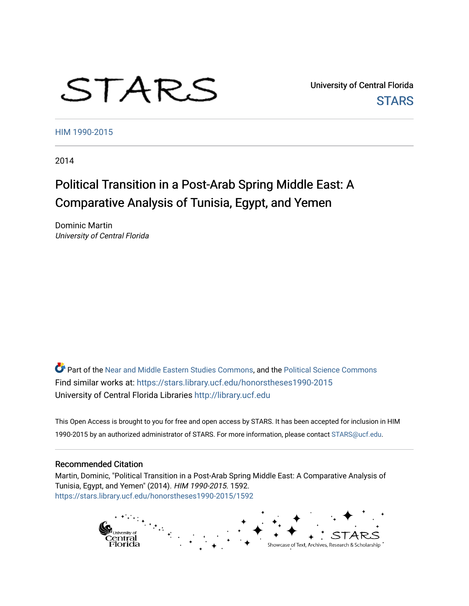# STARS

University of Central Florida **STARS** 

[HIM 1990-2015](https://stars.library.ucf.edu/honorstheses1990-2015) 

2014

# Political Transition in a Post-Arab Spring Middle East: A Comparative Analysis of Tunisia, Egypt, and Yemen

Dominic Martin University of Central Florida

Part of the [Near and Middle Eastern Studies Commons,](http://network.bepress.com/hgg/discipline/1308?utm_source=stars.library.ucf.edu%2Fhonorstheses1990-2015%2F1592&utm_medium=PDF&utm_campaign=PDFCoverPages) and the [Political Science Commons](http://network.bepress.com/hgg/discipline/386?utm_source=stars.library.ucf.edu%2Fhonorstheses1990-2015%2F1592&utm_medium=PDF&utm_campaign=PDFCoverPages) Find similar works at: <https://stars.library.ucf.edu/honorstheses1990-2015> University of Central Florida Libraries [http://library.ucf.edu](http://library.ucf.edu/) 

This Open Access is brought to you for free and open access by STARS. It has been accepted for inclusion in HIM 1990-2015 by an authorized administrator of STARS. For more information, please contact [STARS@ucf.edu](mailto:STARS@ucf.edu).

## Recommended Citation

Martin, Dominic, "Political Transition in a Post-Arab Spring Middle East: A Comparative Analysis of Tunisia, Egypt, and Yemen" (2014). HIM 1990-2015. 1592. [https://stars.library.ucf.edu/honorstheses1990-2015/1592](https://stars.library.ucf.edu/honorstheses1990-2015/1592?utm_source=stars.library.ucf.edu%2Fhonorstheses1990-2015%2F1592&utm_medium=PDF&utm_campaign=PDFCoverPages) 

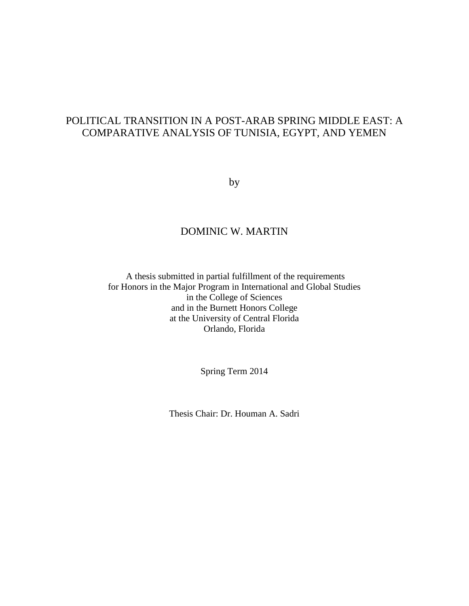# POLITICAL TRANSITION IN A POST-ARAB SPRING MIDDLE EAST: A COMPARATIVE ANALYSIS OF TUNISIA, EGYPT, AND YEMEN

by

# DOMINIC W. MARTIN

A thesis submitted in partial fulfillment of the requirements for Honors in the Major Program in International and Global Studies in the College of Sciences and in the Burnett Honors College at the University of Central Florida Orlando, Florida

Spring Term 2014

Thesis Chair: Dr. Houman A. Sadri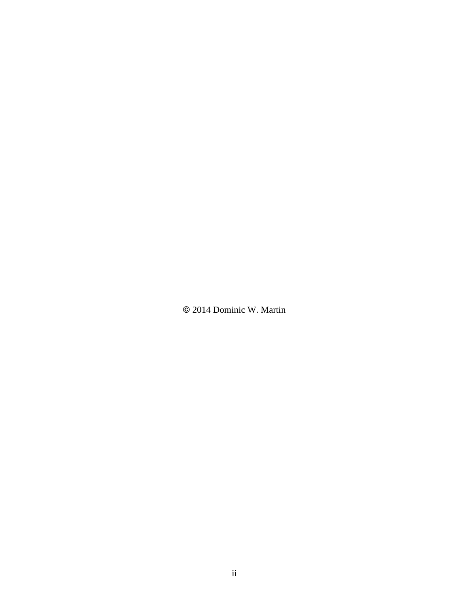**©** 2014 Dominic W. Martin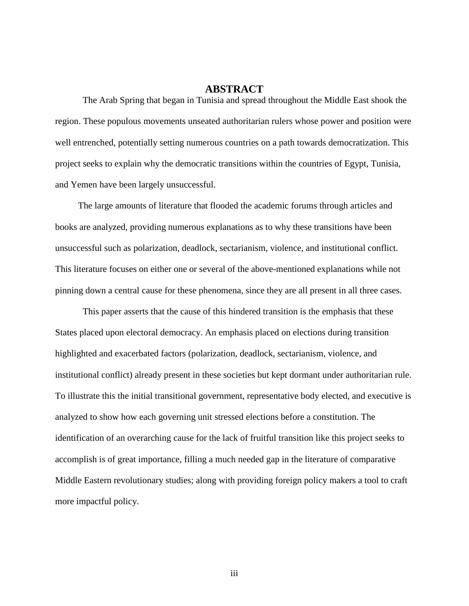# **ABSTRACT**

The Arab Spring that began in Tunisia and spread throughout the Middle East shook the region. These populous movements unseated authoritarian rulers whose power and position were well entrenched, potentially setting numerous countries on a path towards democratization. This project seeks to explain why the democratic transitions within the countries of Egypt, Tunisia, and Yemen have been largely unsuccessful.

 The large amounts of literature that flooded the academic forums through articles and books are analyzed, providing numerous explanations as to why these transitions have been unsuccessful such as polarization, deadlock, sectarianism, violence, and institutional conflict. This literature focuses on either one or several of the above-mentioned explanations while not pinning down a central cause for these phenomena, since they are all present in all three cases.

This paper asserts that the cause of this hindered transition is the emphasis that these States placed upon electoral democracy. An emphasis placed on elections during transition highlighted and exacerbated factors (polarization, deadlock, sectarianism, violence, and institutional conflict) already present in these societies but kept dormant under authoritarian rule. To illustrate this the initial transitional government, representative body elected, and executive is analyzed to show how each governing unit stressed elections before a constitution. The identification of an overarching cause for the lack of fruitful transition like this project seeks to accomplish is of great importance, filling a much needed gap in the literature of comparative Middle Eastern revolutionary studies; along with providing foreign policy makers a tool to craft more impactful policy.

iii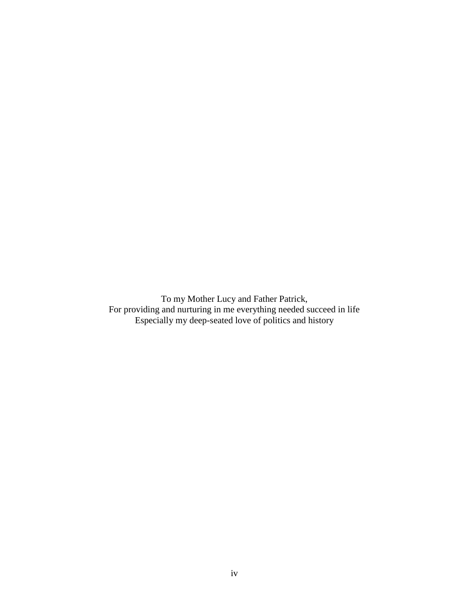To my Mother Lucy and Father Patrick, For providing and nurturing in me everything needed succeed in life Especially my deep-seated love of politics and history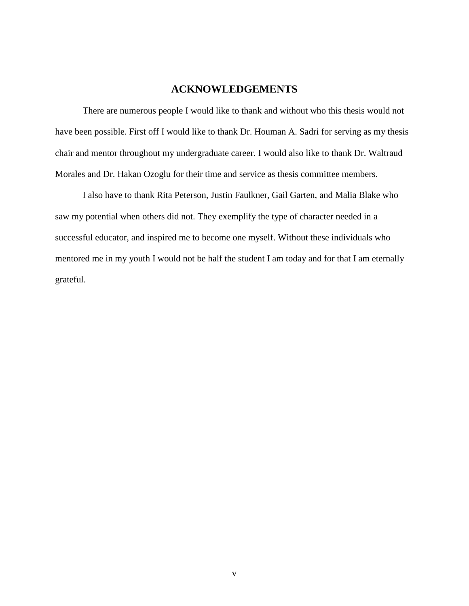# **ACKNOWLEDGEMENTS**

There are numerous people I would like to thank and without who this thesis would not have been possible. First off I would like to thank Dr. Houman A. Sadri for serving as my thesis chair and mentor throughout my undergraduate career. I would also like to thank Dr. Waltraud Morales and Dr. Hakan Ozoglu for their time and service as thesis committee members.

I also have to thank Rita Peterson, Justin Faulkner, Gail Garten, and Malia Blake who saw my potential when others did not. They exemplify the type of character needed in a successful educator, and inspired me to become one myself. Without these individuals who mentored me in my youth I would not be half the student I am today and for that I am eternally grateful.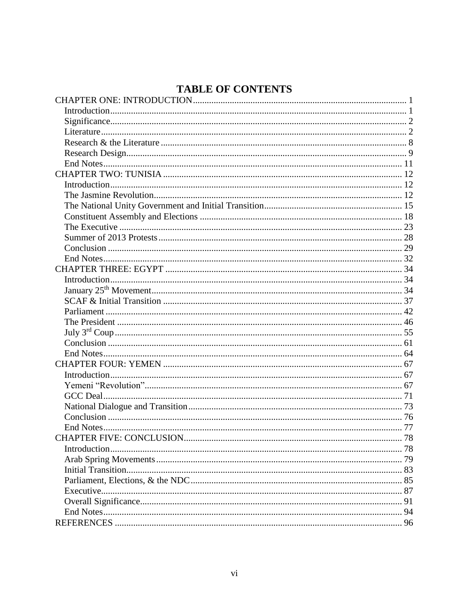# **TABLE OF CONTENTS**

| 94 |
|----|
|    |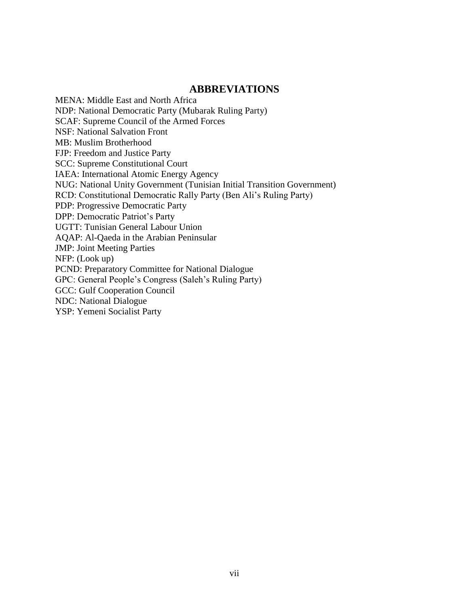# **ABBREVIATIONS**

MENA: Middle East and North Africa NDP: National Democratic Party (Mubarak Ruling Party) SCAF: Supreme Council of the Armed Forces NSF: National Salvation Front MB: Muslim Brotherhood FJP: Freedom and Justice Party SCC: Supreme Constitutional Court IAEA: International Atomic Energy Agency NUG: National Unity Government (Tunisian Initial Transition Government) RCD: Constitutional Democratic Rally Party (Ben Ali's Ruling Party) PDP: Progressive Democratic Party DPP: Democratic Patriot's Party UGTT: Tunisian General Labour Union AQAP: Al-Qaeda in the Arabian Peninsular JMP: Joint Meeting Parties NFP: (Look up) PCND: Preparatory Committee for National Dialogue GPC: General People's Congress (Saleh's Ruling Party) GCC: Gulf Cooperation Council NDC: National Dialogue YSP: Yemeni Socialist Party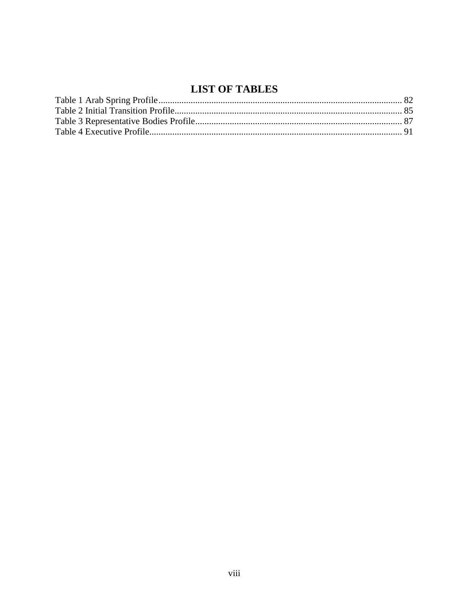# **LIST OF TABLES**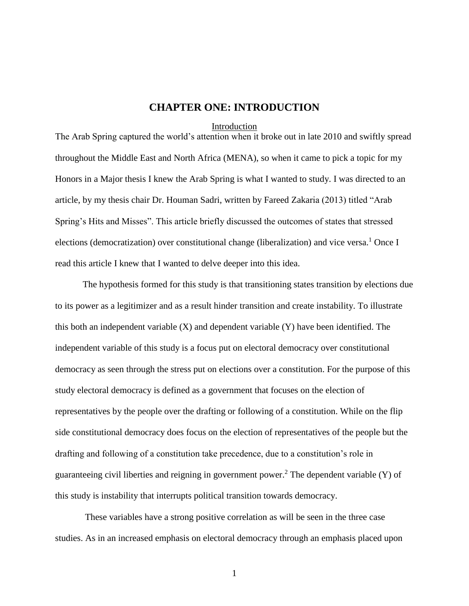# **CHAPTER ONE: INTRODUCTION**

#### Introduction

<span id="page-9-1"></span><span id="page-9-0"></span>The Arab Spring captured the world's attention when it broke out in late 2010 and swiftly spread throughout the Middle East and North Africa (MENA), so when it came to pick a topic for my Honors in a Major thesis I knew the Arab Spring is what I wanted to study. I was directed to an article, by my thesis chair Dr. Houman Sadri, written by Fareed Zakaria (2013) titled "Arab Spring's Hits and Misses". This article briefly discussed the outcomes of states that stressed elections (democratization) over constitutional change (liberalization) and vice versa.<sup>1</sup> Once I read this article I knew that I wanted to delve deeper into this idea.

The hypothesis formed for this study is that transitioning states transition by elections due to its power as a legitimizer and as a result hinder transition and create instability. To illustrate this both an independent variable  $(X)$  and dependent variable  $(Y)$  have been identified. The independent variable of this study is a focus put on electoral democracy over constitutional democracy as seen through the stress put on elections over a constitution. For the purpose of this study electoral democracy is defined as a government that focuses on the election of representatives by the people over the drafting or following of a constitution. While on the flip side constitutional democracy does focus on the election of representatives of the people but the drafting and following of a constitution take precedence, due to a constitution's role in guaranteeing civil liberties and reigning in government power.<sup>2</sup> The dependent variable (Y) of this study is instability that interrupts political transition towards democracy.

These variables have a strong positive correlation as will be seen in the three case studies. As in an increased emphasis on electoral democracy through an emphasis placed upon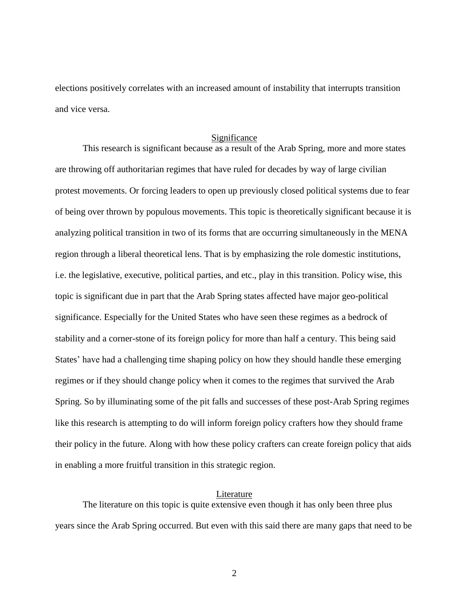elections positively correlates with an increased amount of instability that interrupts transition and vice versa.

#### Significance

<span id="page-10-0"></span>This research is significant because as a result of the Arab Spring, more and more states are throwing off authoritarian regimes that have ruled for decades by way of large civilian protest movements. Or forcing leaders to open up previously closed political systems due to fear of being over thrown by populous movements. This topic is theoretically significant because it is analyzing political transition in two of its forms that are occurring simultaneously in the MENA region through a liberal theoretical lens. That is by emphasizing the role domestic institutions, i.e. the legislative, executive, political parties, and etc., play in this transition. Policy wise, this topic is significant due in part that the Arab Spring states affected have major geo-political significance. Especially for the United States who have seen these regimes as a bedrock of stability and a corner-stone of its foreign policy for more than half a century. This being said States' have had a challenging time shaping policy on how they should handle these emerging regimes or if they should change policy when it comes to the regimes that survived the Arab Spring. So by illuminating some of the pit falls and successes of these post-Arab Spring regimes like this research is attempting to do will inform foreign policy crafters how they should frame their policy in the future. Along with how these policy crafters can create foreign policy that aids in enabling a more fruitful transition in this strategic region.

## Literature

<span id="page-10-1"></span>The literature on this topic is quite extensive even though it has only been three plus years since the Arab Spring occurred. But even with this said there are many gaps that need to be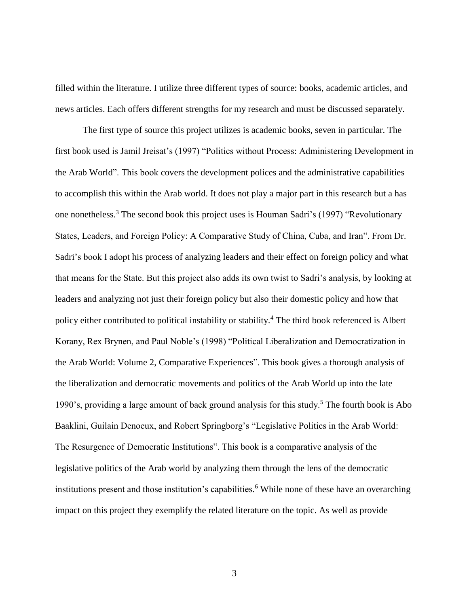filled within the literature. I utilize three different types of source: books, academic articles, and news articles. Each offers different strengths for my research and must be discussed separately.

The first type of source this project utilizes is academic books, seven in particular. The first book used is Jamil Jreisat's (1997) "Politics without Process: Administering Development in the Arab World". This book covers the development polices and the administrative capabilities to accomplish this within the Arab world. It does not play a major part in this research but a has one nonetheless.<sup>3</sup> The second book this project uses is Houman Sadri's (1997) "Revolutionary States, Leaders, and Foreign Policy: A Comparative Study of China, Cuba, and Iran". From Dr. Sadri's book I adopt his process of analyzing leaders and their effect on foreign policy and what that means for the State. But this project also adds its own twist to Sadri's analysis, by looking at leaders and analyzing not just their foreign policy but also their domestic policy and how that policy either contributed to political instability or stability.<sup>4</sup> The third book referenced is Albert Korany, Rex Brynen, and Paul Noble's (1998) "Political Liberalization and Democratization in the Arab World: Volume 2, Comparative Experiences". This book gives a thorough analysis of the liberalization and democratic movements and politics of the Arab World up into the late 1990's, providing a large amount of back ground analysis for this study.<sup>5</sup> The fourth book is Abo Baaklini, Guilain Denoeux, and Robert Springborg's "Legislative Politics in the Arab World: The Resurgence of Democratic Institutions". This book is a comparative analysis of the legislative politics of the Arab world by analyzing them through the lens of the democratic institutions present and those institution's capabilities.<sup>6</sup> While none of these have an overarching impact on this project they exemplify the related literature on the topic. As well as provide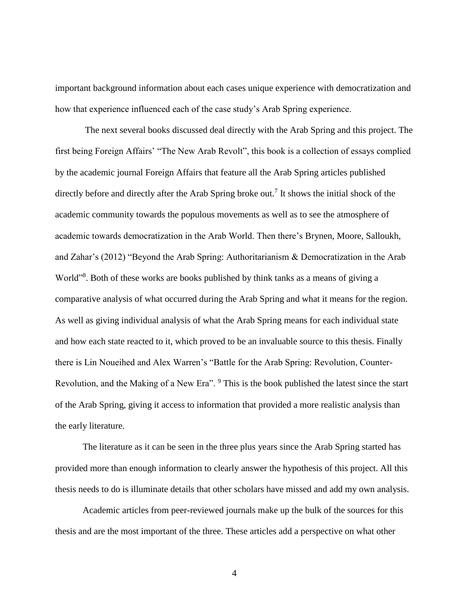important background information about each cases unique experience with democratization and how that experience influenced each of the case study's Arab Spring experience.

The next several books discussed deal directly with the Arab Spring and this project. The first being Foreign Affairs' "The New Arab Revolt", this book is a collection of essays complied by the academic journal Foreign Affairs that feature all the Arab Spring articles published directly before and directly after the Arab Spring broke out.<sup>7</sup> It shows the initial shock of the academic community towards the populous movements as well as to see the atmosphere of academic towards democratization in the Arab World. Then there's Brynen, Moore, Salloukh, and Zahar's (2012) "Beyond the Arab Spring: Authoritarianism & Democratization in the Arab World"<sup>8</sup>. Both of these works are books published by think tanks as a means of giving a comparative analysis of what occurred during the Arab Spring and what it means for the region. As well as giving individual analysis of what the Arab Spring means for each individual state and how each state reacted to it, which proved to be an invaluable source to this thesis. Finally there is Lin Noueihed and Alex Warren's "Battle for the Arab Spring: Revolution, Counter-Revolution, and the Making of a New Era". <sup>9</sup> This is the book published the latest since the start of the Arab Spring, giving it access to information that provided a more realistic analysis than the early literature.

The literature as it can be seen in the three plus years since the Arab Spring started has provided more than enough information to clearly answer the hypothesis of this project. All this thesis needs to do is illuminate details that other scholars have missed and add my own analysis.

Academic articles from peer-reviewed journals make up the bulk of the sources for this thesis and are the most important of the three. These articles add a perspective on what other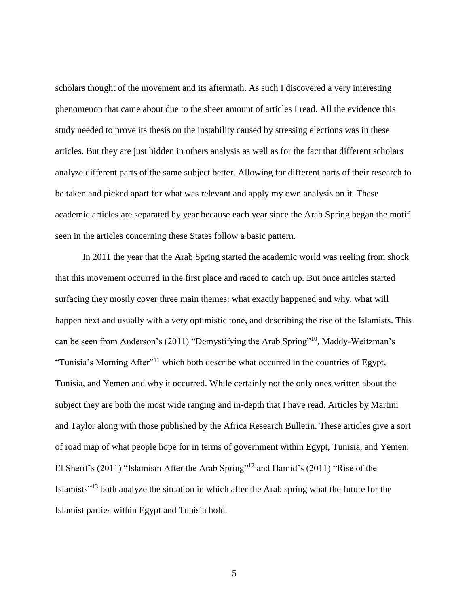scholars thought of the movement and its aftermath. As such I discovered a very interesting phenomenon that came about due to the sheer amount of articles I read. All the evidence this study needed to prove its thesis on the instability caused by stressing elections was in these articles. But they are just hidden in others analysis as well as for the fact that different scholars analyze different parts of the same subject better. Allowing for different parts of their research to be taken and picked apart for what was relevant and apply my own analysis on it. These academic articles are separated by year because each year since the Arab Spring began the motif seen in the articles concerning these States follow a basic pattern.

In 2011 the year that the Arab Spring started the academic world was reeling from shock that this movement occurred in the first place and raced to catch up. But once articles started surfacing they mostly cover three main themes: what exactly happened and why, what will happen next and usually with a very optimistic tone, and describing the rise of the Islamists. This can be seen from Anderson's (2011) "Demystifying the Arab Spring"<sup>10</sup> , Maddy-Weitzman's "Tunisia's Morning After"<sup>11</sup> which both describe what occurred in the countries of Egypt, Tunisia, and Yemen and why it occurred. While certainly not the only ones written about the subject they are both the most wide ranging and in-depth that I have read. Articles by Martini and Taylor along with those published by the Africa Research Bulletin. These articles give a sort of road map of what people hope for in terms of government within Egypt, Tunisia, and Yemen. El Sherif's (2011) "Islamism After the Arab Spring"<sup>12</sup> and Hamid's (2011) "Rise of the Islamists"<sup>13</sup> both analyze the situation in which after the Arab spring what the future for the Islamist parties within Egypt and Tunisia hold.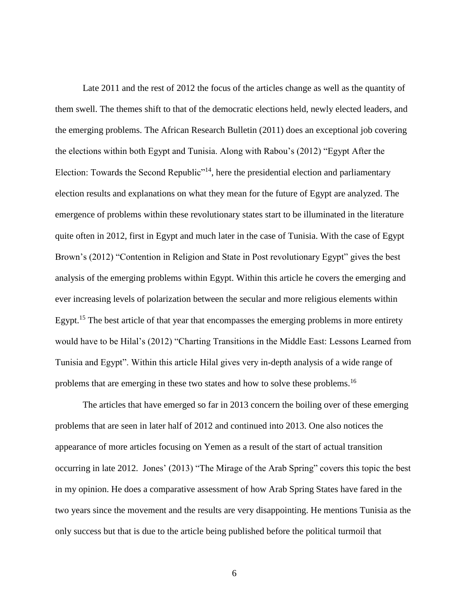Late 2011 and the rest of 2012 the focus of the articles change as well as the quantity of them swell. The themes shift to that of the democratic elections held, newly elected leaders, and the emerging problems. The African Research Bulletin (2011) does an exceptional job covering the elections within both Egypt and Tunisia. Along with Rabou's (2012) "Egypt After the Election: Towards the Second Republic<sup>"14</sup>, here the presidential election and parliamentary election results and explanations on what they mean for the future of Egypt are analyzed. The emergence of problems within these revolutionary states start to be illuminated in the literature quite often in 2012, first in Egypt and much later in the case of Tunisia. With the case of Egypt Brown's (2012) "Contention in Religion and State in Post revolutionary Egypt" gives the best analysis of the emerging problems within Egypt. Within this article he covers the emerging and ever increasing levels of polarization between the secular and more religious elements within Egypt.<sup>15</sup> The best article of that year that encompasses the emerging problems in more entirety would have to be Hilal's (2012) "Charting Transitions in the Middle East: Lessons Learned from Tunisia and Egypt". Within this article Hilal gives very in-depth analysis of a wide range of problems that are emerging in these two states and how to solve these problems.<sup>16</sup>

The articles that have emerged so far in 2013 concern the boiling over of these emerging problems that are seen in later half of 2012 and continued into 2013. One also notices the appearance of more articles focusing on Yemen as a result of the start of actual transition occurring in late 2012. Jones' (2013) "The Mirage of the Arab Spring" covers this topic the best in my opinion. He does a comparative assessment of how Arab Spring States have fared in the two years since the movement and the results are very disappointing. He mentions Tunisia as the only success but that is due to the article being published before the political turmoil that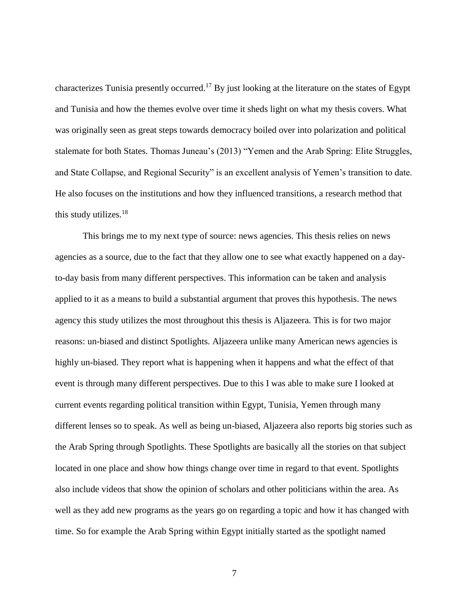characterizes Tunisia presently occurred.<sup>17</sup> By just looking at the literature on the states of Egypt and Tunisia and how the themes evolve over time it sheds light on what my thesis covers. What was originally seen as great steps towards democracy boiled over into polarization and political stalemate for both States. Thomas Juneau's (2013) "Yemen and the Arab Spring: Elite Struggles, and State Collapse, and Regional Security" is an excellent analysis of Yemen's transition to date. He also focuses on the institutions and how they influenced transitions, a research method that this study utilizes. $18$ 

This brings me to my next type of source: news agencies. This thesis relies on news agencies as a source, due to the fact that they allow one to see what exactly happened on a dayto-day basis from many different perspectives. This information can be taken and analysis applied to it as a means to build a substantial argument that proves this hypothesis. The news agency this study utilizes the most throughout this thesis is Aljazeera. This is for two major reasons: un-biased and distinct Spotlights. Aljazeera unlike many American news agencies is highly un-biased. They report what is happening when it happens and what the effect of that event is through many different perspectives. Due to this I was able to make sure I looked at current events regarding political transition within Egypt, Tunisia, Yemen through many different lenses so to speak. As well as being un-biased, Aljazeera also reports big stories such as the Arab Spring through Spotlights. These Spotlights are basically all the stories on that subject located in one place and show how things change over time in regard to that event. Spotlights also include videos that show the opinion of scholars and other politicians within the area. As well as they add new programs as the years go on regarding a topic and how it has changed with time. So for example the Arab Spring within Egypt initially started as the spotlight named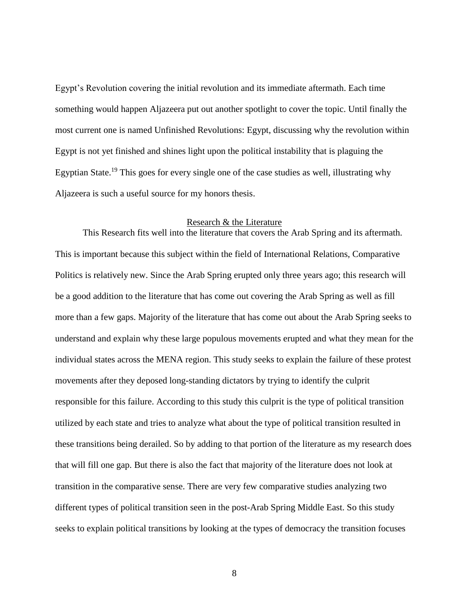Egypt's Revolution covering the initial revolution and its immediate aftermath. Each time something would happen Aljazeera put out another spotlight to cover the topic. Until finally the most current one is named Unfinished Revolutions: Egypt, discussing why the revolution within Egypt is not yet finished and shines light upon the political instability that is plaguing the Egyptian State.<sup>19</sup> This goes for every single one of the case studies as well, illustrating why Aljazeera is such a useful source for my honors thesis.

#### Research & the Literature

<span id="page-16-0"></span>This Research fits well into the literature that covers the Arab Spring and its aftermath. This is important because this subject within the field of International Relations, Comparative Politics is relatively new. Since the Arab Spring erupted only three years ago; this research will be a good addition to the literature that has come out covering the Arab Spring as well as fill more than a few gaps. Majority of the literature that has come out about the Arab Spring seeks to understand and explain why these large populous movements erupted and what they mean for the individual states across the MENA region. This study seeks to explain the failure of these protest movements after they deposed long-standing dictators by trying to identify the culprit responsible for this failure. According to this study this culprit is the type of political transition utilized by each state and tries to analyze what about the type of political transition resulted in these transitions being derailed. So by adding to that portion of the literature as my research does that will fill one gap. But there is also the fact that majority of the literature does not look at transition in the comparative sense. There are very few comparative studies analyzing two different types of political transition seen in the post-Arab Spring Middle East. So this study seeks to explain political transitions by looking at the types of democracy the transition focuses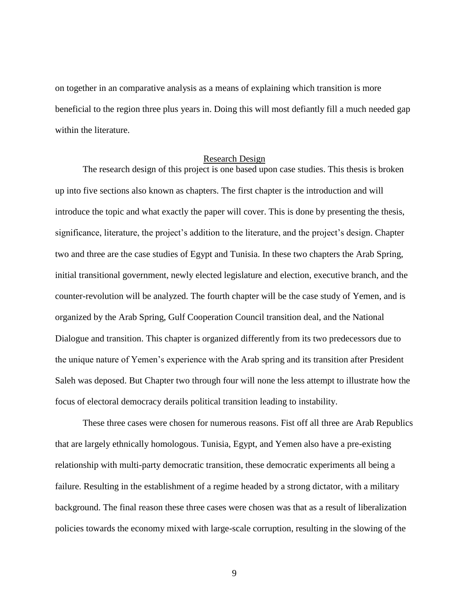on together in an comparative analysis as a means of explaining which transition is more beneficial to the region three plus years in. Doing this will most defiantly fill a much needed gap within the literature.

#### Research Design

<span id="page-17-0"></span>The research design of this project is one based upon case studies. This thesis is broken up into five sections also known as chapters. The first chapter is the introduction and will introduce the topic and what exactly the paper will cover. This is done by presenting the thesis, significance, literature, the project's addition to the literature, and the project's design. Chapter two and three are the case studies of Egypt and Tunisia. In these two chapters the Arab Spring, initial transitional government, newly elected legislature and election, executive branch, and the counter-revolution will be analyzed. The fourth chapter will be the case study of Yemen, and is organized by the Arab Spring, Gulf Cooperation Council transition deal, and the National Dialogue and transition. This chapter is organized differently from its two predecessors due to the unique nature of Yemen's experience with the Arab spring and its transition after President Saleh was deposed. But Chapter two through four will none the less attempt to illustrate how the focus of electoral democracy derails political transition leading to instability.

These three cases were chosen for numerous reasons. Fist off all three are Arab Republics that are largely ethnically homologous. Tunisia, Egypt, and Yemen also have a pre-existing relationship with multi-party democratic transition, these democratic experiments all being a failure. Resulting in the establishment of a regime headed by a strong dictator, with a military background. The final reason these three cases were chosen was that as a result of liberalization policies towards the economy mixed with large-scale corruption, resulting in the slowing of the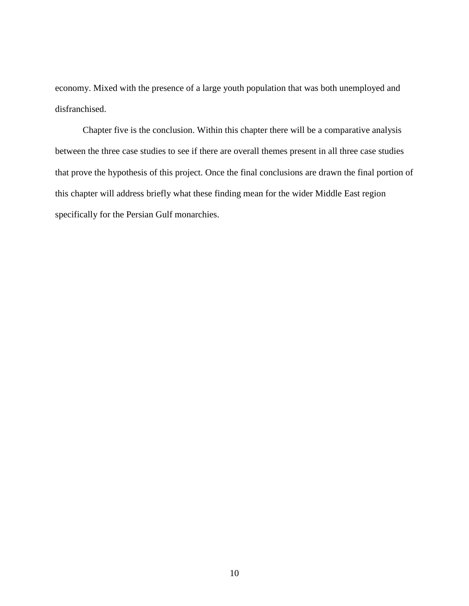economy. Mixed with the presence of a large youth population that was both unemployed and disfranchised.

Chapter five is the conclusion. Within this chapter there will be a comparative analysis between the three case studies to see if there are overall themes present in all three case studies that prove the hypothesis of this project. Once the final conclusions are drawn the final portion of this chapter will address briefly what these finding mean for the wider Middle East region specifically for the Persian Gulf monarchies.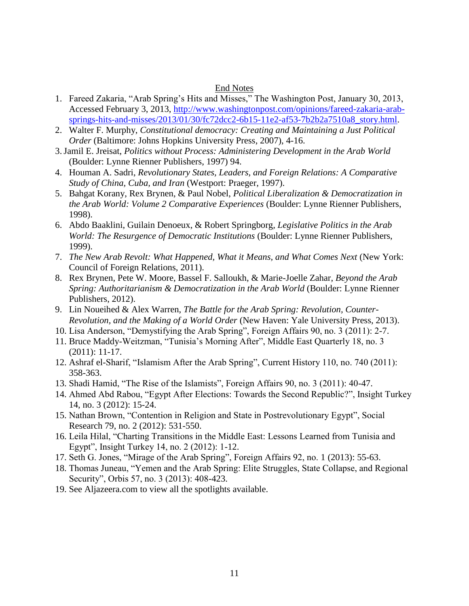## End Notes

- <span id="page-19-0"></span>1. Fareed Zakaria, "Arab Spring's Hits and Misses," The Washington Post, January 30, 2013, Accessed February 3, 2013, [http://www.washingtonpost.com/opinions/fareed-zakaria-arab](http://www.washingtonpost.com/opinions/fareed-zakaria-arab-springs-hits-and-misses/2013/01/30/fc72dcc2-6b15-11e2-af53-7b2b2a7510a8_story.html)[springs-hits-and-misses/2013/01/30/fc72dcc2-6b15-11e2-af53-7b2b2a7510a8\\_story.html.](http://www.washingtonpost.com/opinions/fareed-zakaria-arab-springs-hits-and-misses/2013/01/30/fc72dcc2-6b15-11e2-af53-7b2b2a7510a8_story.html)
- 2. Walter F. Murphy, *Constitutional democracy: Creating and Maintaining a Just Political Order* (Baltimore: Johns Hopkins University Press, 2007), 4-16.
- 3.Jamil E. Jreisat, *Politics without Process: Administering Development in the Arab World* (Boulder: Lynne Rienner Publishers, 1997) 94.
- 4. Houman A. Sadri, *Revolutionary States, Leaders, and Foreign Relations: A Comparative Study of China, Cuba, and Iran* (Westport: Praeger, 1997).
- 5. Bahgat Korany, Rex Brynen, & Paul Nobel, *Political Liberalization & Democratization in the Arab World: Volume 2 Comparative Experiences* (Boulder: Lynne Rienner Publishers, 1998).
- 6. Abdo Baaklini, Guilain Denoeux, & Robert Springborg*, Legislative Politics in the Arab World: The Resurgence of Democratic Institutions* (Boulder: Lynne Rienner Publishers, 1999).
- 7. *The New Arab Revolt: What Happened, What it Means, and What Comes Next* (New York: Council of Foreign Relations, 2011).
- 8. Rex Brynen, Pete W. Moore, Bassel F. Salloukh, & Marie-Joelle Zahar, *Beyond the Arab Spring: Authoritarianism & Democratization in the Arab World* (Boulder: Lynne Rienner Publishers, 2012).
- 9. Lin Noueihed & Alex Warren, *The Battle for the Arab Spring: Revolution, Counter-Revolution, and the Making of a World Order* (New Haven: Yale University Press, 2013).
- 10. Lisa Anderson, "Demystifying the Arab Spring", Foreign Affairs 90, no. 3 (2011): 2-7.
- 11. Bruce Maddy-Weitzman, "Tunisia's Morning After", Middle East Quarterly 18, no. 3 (2011): 11-17.
- 12. Ashraf el-Sharif, "Islamism After the Arab Spring", Current History 110, no. 740 (2011): 358-363.
- 13. Shadi Hamid, "The Rise of the Islamists", Foreign Affairs 90, no. 3 (2011): 40-47.
- 14. Ahmed Abd Rabou, "Egypt After Elections: Towards the Second Republic?", Insight Turkey 14, no. 3 (2012): 15-24.
- 15. Nathan Brown, "Contention in Religion and State in Postrevolutionary Egypt", Social Research 79, no. 2 (2012): 531-550.
- 16. Leila Hilal, "Charting Transitions in the Middle East: Lessons Learned from Tunisia and Egypt", Insight Turkey 14, no. 2 (2012): 1-12.
- 17. Seth G. Jones, "Mirage of the Arab Spring", Foreign Affairs 92, no. 1 (2013): 55-63.
- 18. Thomas Juneau, "Yemen and the Arab Spring: Elite Struggles, State Collapse, and Regional Security", Orbis 57, no. 3 (2013): 408-423.
- 19. See Aljazeera.com to view all the spotlights available.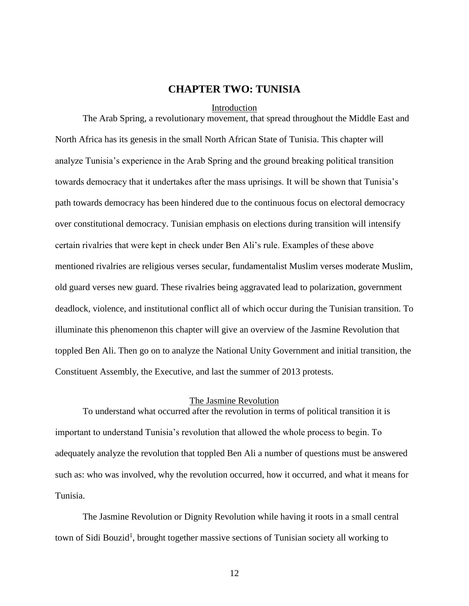## **CHAPTER TWO: TUNISIA**

#### Introduction

<span id="page-20-1"></span><span id="page-20-0"></span>The Arab Spring, a revolutionary movement, that spread throughout the Middle East and North Africa has its genesis in the small North African State of Tunisia. This chapter will analyze Tunisia's experience in the Arab Spring and the ground breaking political transition towards democracy that it undertakes after the mass uprisings. It will be shown that Tunisia's path towards democracy has been hindered due to the continuous focus on electoral democracy over constitutional democracy. Tunisian emphasis on elections during transition will intensify certain rivalries that were kept in check under Ben Ali's rule. Examples of these above mentioned rivalries are religious verses secular, fundamentalist Muslim verses moderate Muslim, old guard verses new guard. These rivalries being aggravated lead to polarization, government deadlock, violence, and institutional conflict all of which occur during the Tunisian transition. To illuminate this phenomenon this chapter will give an overview of the Jasmine Revolution that toppled Ben Ali. Then go on to analyze the National Unity Government and initial transition, the Constituent Assembly, the Executive, and last the summer of 2013 protests.

#### The Jasmine Revolution

<span id="page-20-2"></span>To understand what occurred after the revolution in terms of political transition it is important to understand Tunisia's revolution that allowed the whole process to begin. To adequately analyze the revolution that toppled Ben Ali a number of questions must be answered such as: who was involved, why the revolution occurred, how it occurred, and what it means for Tunisia.

The Jasmine Revolution or Dignity Revolution while having it roots in a small central town of Sidi Bouzid<sup>1</sup>, brought together massive sections of Tunisian society all working to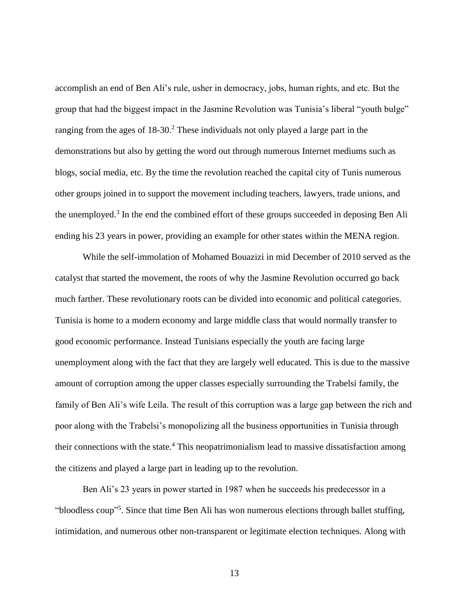accomplish an end of Ben Ali's rule, usher in democracy, jobs, human rights, and etc. But the group that had the biggest impact in the Jasmine Revolution was Tunisia's liberal "youth bulge" ranging from the ages of  $18-30$ .<sup>2</sup> These individuals not only played a large part in the demonstrations but also by getting the word out through numerous Internet mediums such as blogs, social media, etc. By the time the revolution reached the capital city of Tunis numerous other groups joined in to support the movement including teachers, lawyers, trade unions, and the unemployed.<sup>3</sup> In the end the combined effort of these groups succeeded in deposing Ben Ali ending his 23 years in power, providing an example for other states within the MENA region.

While the self-immolation of Mohamed Bouazizi in mid December of 2010 served as the catalyst that started the movement, the roots of why the Jasmine Revolution occurred go back much farther. These revolutionary roots can be divided into economic and political categories. Tunisia is home to a modern economy and large middle class that would normally transfer to good economic performance. Instead Tunisians especially the youth are facing large unemployment along with the fact that they are largely well educated. This is due to the massive amount of corruption among the upper classes especially surrounding the Trabelsi family, the family of Ben Ali's wife Leila. The result of this corruption was a large gap between the rich and poor along with the Trabelsi's monopolizing all the business opportunities in Tunisia through their connections with the state.<sup>4</sup> This neopatrimonialism lead to massive dissatisfaction among the citizens and played a large part in leading up to the revolution.

Ben Ali's 23 years in power started in 1987 when he succeeds his predecessor in a "bloodless coup"<sup>5</sup>. Since that time Ben Ali has won numerous elections through ballet stuffing, intimidation, and numerous other non-transparent or legitimate election techniques. Along with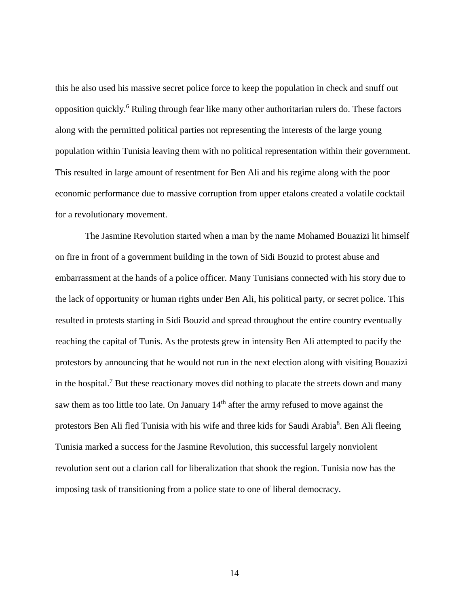this he also used his massive secret police force to keep the population in check and snuff out opposition quickly.<sup>6</sup> Ruling through fear like many other authoritarian rulers do. These factors along with the permitted political parties not representing the interests of the large young population within Tunisia leaving them with no political representation within their government. This resulted in large amount of resentment for Ben Ali and his regime along with the poor economic performance due to massive corruption from upper etalons created a volatile cocktail for a revolutionary movement.

The Jasmine Revolution started when a man by the name Mohamed Bouazizi lit himself on fire in front of a government building in the town of Sidi Bouzid to protest abuse and embarrassment at the hands of a police officer. Many Tunisians connected with his story due to the lack of opportunity or human rights under Ben Ali, his political party, or secret police. This resulted in protests starting in Sidi Bouzid and spread throughout the entire country eventually reaching the capital of Tunis. As the protests grew in intensity Ben Ali attempted to pacify the protestors by announcing that he would not run in the next election along with visiting Bouazizi in the hospital.<sup>7</sup> But these reactionary moves did nothing to placate the streets down and many saw them as too little too late. On January 14<sup>th</sup> after the army refused to move against the protestors Ben Ali fled Tunisia with his wife and three kids for Saudi Arabia<sup>8</sup>. Ben Ali fleeing Tunisia marked a success for the Jasmine Revolution, this successful largely nonviolent revolution sent out a clarion call for liberalization that shook the region. Tunisia now has the imposing task of transitioning from a police state to one of liberal democracy.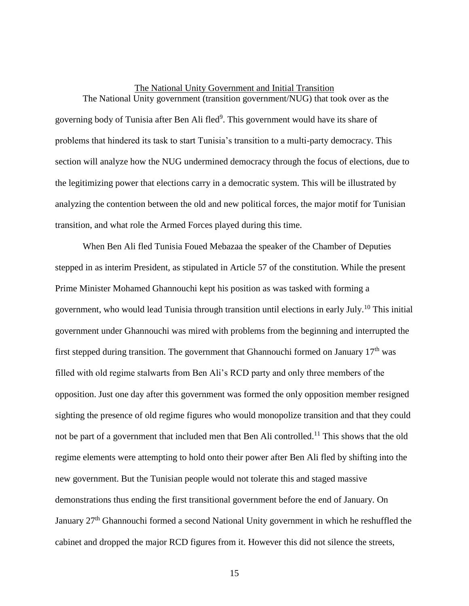## The National Unity Government and Initial Transition The National Unity government (transition government/NUG) that took over as the

<span id="page-23-0"></span>governing body of Tunisia after Ben Ali fled<sup>9</sup>. This government would have its share of problems that hindered its task to start Tunisia's transition to a multi-party democracy. This section will analyze how the NUG undermined democracy through the focus of elections, due to the legitimizing power that elections carry in a democratic system. This will be illustrated by analyzing the contention between the old and new political forces, the major motif for Tunisian transition, and what role the Armed Forces played during this time.

When Ben Ali fled Tunisia Foued Mebazaa the speaker of the Chamber of Deputies stepped in as interim President, as stipulated in Article 57 of the constitution. While the present Prime Minister Mohamed Ghannouchi kept his position as was tasked with forming a government, who would lead Tunisia through transition until elections in early July.<sup>10</sup> This initial government under Ghannouchi was mired with problems from the beginning and interrupted the first stepped during transition. The government that Ghannouchi formed on January  $17<sup>th</sup>$  was filled with old regime stalwarts from Ben Ali's RCD party and only three members of the opposition. Just one day after this government was formed the only opposition member resigned sighting the presence of old regime figures who would monopolize transition and that they could not be part of a government that included men that Ben Ali controlled.<sup>11</sup> This shows that the old regime elements were attempting to hold onto their power after Ben Ali fled by shifting into the new government. But the Tunisian people would not tolerate this and staged massive demonstrations thus ending the first transitional government before the end of January. On January 27th Ghannouchi formed a second National Unity government in which he reshuffled the cabinet and dropped the major RCD figures from it. However this did not silence the streets,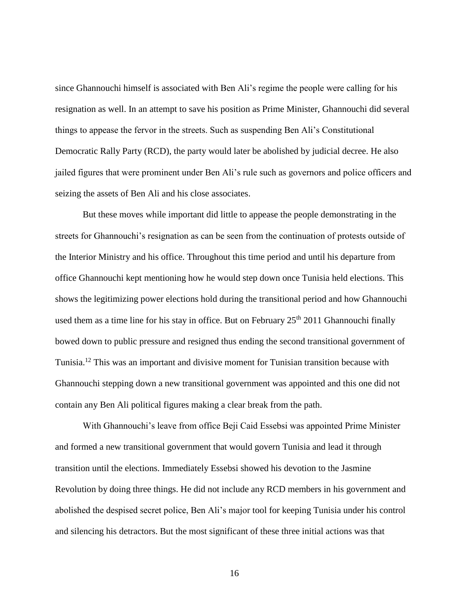since Ghannouchi himself is associated with Ben Ali's regime the people were calling for his resignation as well. In an attempt to save his position as Prime Minister, Ghannouchi did several things to appease the fervor in the streets. Such as suspending Ben Ali's Constitutional Democratic Rally Party (RCD), the party would later be abolished by judicial decree. He also jailed figures that were prominent under Ben Ali's rule such as governors and police officers and seizing the assets of Ben Ali and his close associates.

But these moves while important did little to appease the people demonstrating in the streets for Ghannouchi's resignation as can be seen from the continuation of protests outside of the Interior Ministry and his office. Throughout this time period and until his departure from office Ghannouchi kept mentioning how he would step down once Tunisia held elections. This shows the legitimizing power elections hold during the transitional period and how Ghannouchi used them as a time line for his stay in office. But on February  $25<sup>th</sup> 2011$  Ghannouchi finally bowed down to public pressure and resigned thus ending the second transitional government of Tunisia.<sup>12</sup> This was an important and divisive moment for Tunisian transition because with Ghannouchi stepping down a new transitional government was appointed and this one did not contain any Ben Ali political figures making a clear break from the path.

With Ghannouchi's leave from office Beji Caid Essebsi was appointed Prime Minister and formed a new transitional government that would govern Tunisia and lead it through transition until the elections. Immediately Essebsi showed his devotion to the Jasmine Revolution by doing three things. He did not include any RCD members in his government and abolished the despised secret police, Ben Ali's major tool for keeping Tunisia under his control and silencing his detractors. But the most significant of these three initial actions was that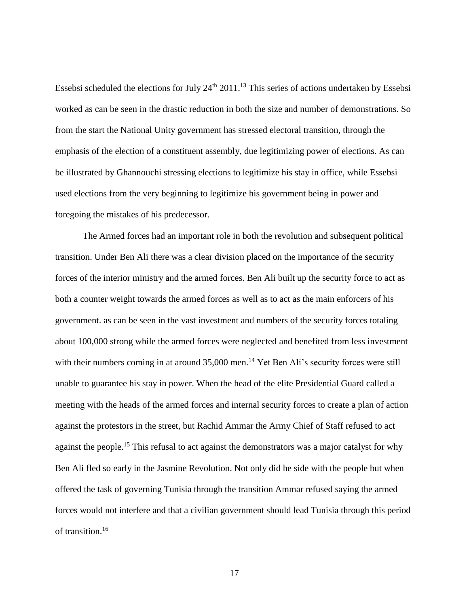Essebsi scheduled the elections for July  $24<sup>th</sup> 2011<sup>13</sup>$  This series of actions undertaken by Essebsi worked as can be seen in the drastic reduction in both the size and number of demonstrations. So from the start the National Unity government has stressed electoral transition, through the emphasis of the election of a constituent assembly, due legitimizing power of elections. As can be illustrated by Ghannouchi stressing elections to legitimize his stay in office, while Essebsi used elections from the very beginning to legitimize his government being in power and foregoing the mistakes of his predecessor.

The Armed forces had an important role in both the revolution and subsequent political transition. Under Ben Ali there was a clear division placed on the importance of the security forces of the interior ministry and the armed forces. Ben Ali built up the security force to act as both a counter weight towards the armed forces as well as to act as the main enforcers of his government. as can be seen in the vast investment and numbers of the security forces totaling about 100,000 strong while the armed forces were neglected and benefited from less investment with their numbers coming in at around 35,000 men.<sup>14</sup> Yet Ben Ali's security forces were still unable to guarantee his stay in power. When the head of the elite Presidential Guard called a meeting with the heads of the armed forces and internal security forces to create a plan of action against the protestors in the street, but Rachid Ammar the Army Chief of Staff refused to act against the people.<sup>15</sup> This refusal to act against the demonstrators was a major catalyst for why Ben Ali fled so early in the Jasmine Revolution. Not only did he side with the people but when offered the task of governing Tunisia through the transition Ammar refused saying the armed forces would not interfere and that a civilian government should lead Tunisia through this period of transition.<sup>16</sup>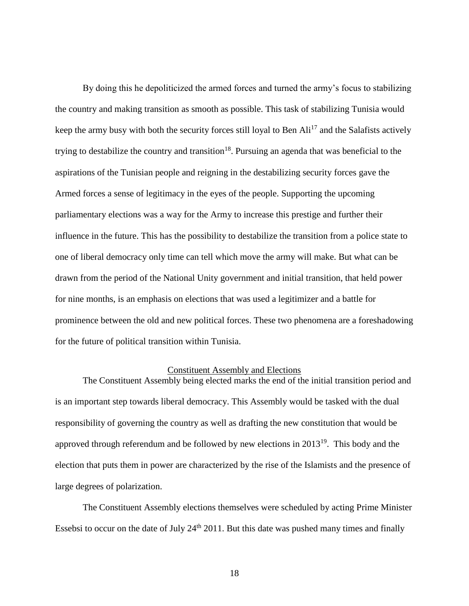By doing this he depoliticized the armed forces and turned the army's focus to stabilizing the country and making transition as smooth as possible. This task of stabilizing Tunisia would keep the army busy with both the security forces still loyal to Ben  $\text{Ali}^{17}$  and the Salafists actively trying to destabilize the country and transition<sup>18</sup>. Pursuing an agenda that was beneficial to the aspirations of the Tunisian people and reigning in the destabilizing security forces gave the Armed forces a sense of legitimacy in the eyes of the people. Supporting the upcoming parliamentary elections was a way for the Army to increase this prestige and further their influence in the future. This has the possibility to destabilize the transition from a police state to one of liberal democracy only time can tell which move the army will make. But what can be drawn from the period of the National Unity government and initial transition, that held power for nine months, is an emphasis on elections that was used a legitimizer and a battle for prominence between the old and new political forces. These two phenomena are a foreshadowing for the future of political transition within Tunisia.

#### Constituent Assembly and Elections

<span id="page-26-0"></span>The Constituent Assembly being elected marks the end of the initial transition period and is an important step towards liberal democracy. This Assembly would be tasked with the dual responsibility of governing the country as well as drafting the new constitution that would be approved through referendum and be followed by new elections in  $2013^{19}$ . This body and the election that puts them in power are characterized by the rise of the Islamists and the presence of large degrees of polarization.

The Constituent Assembly elections themselves were scheduled by acting Prime Minister Essebsi to occur on the date of July  $24<sup>th</sup> 2011$ . But this date was pushed many times and finally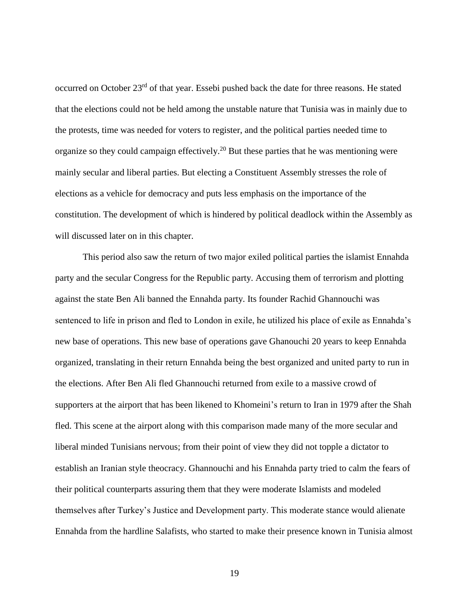occurred on October 23rd of that year. Essebi pushed back the date for three reasons. He stated that the elections could not be held among the unstable nature that Tunisia was in mainly due to the protests, time was needed for voters to register, and the political parties needed time to organize so they could campaign effectively.<sup>20</sup> But these parties that he was mentioning were mainly secular and liberal parties. But electing a Constituent Assembly stresses the role of elections as a vehicle for democracy and puts less emphasis on the importance of the constitution. The development of which is hindered by political deadlock within the Assembly as will discussed later on in this chapter.

This period also saw the return of two major exiled political parties the islamist Ennahda party and the secular Congress for the Republic party. Accusing them of terrorism and plotting against the state Ben Ali banned the Ennahda party. Its founder Rachid Ghannouchi was sentenced to life in prison and fled to London in exile, he utilized his place of exile as Ennahda's new base of operations. This new base of operations gave Ghanouchi 20 years to keep Ennahda organized, translating in their return Ennahda being the best organized and united party to run in the elections. After Ben Ali fled Ghannouchi returned from exile to a massive crowd of supporters at the airport that has been likened to Khomeini's return to Iran in 1979 after the Shah fled. This scene at the airport along with this comparison made many of the more secular and liberal minded Tunisians nervous; from their point of view they did not topple a dictator to establish an Iranian style theocracy. Ghannouchi and his Ennahda party tried to calm the fears of their political counterparts assuring them that they were moderate Islamists and modeled themselves after Turkey's Justice and Development party. This moderate stance would alienate Ennahda from the hardline Salafists, who started to make their presence known in Tunisia almost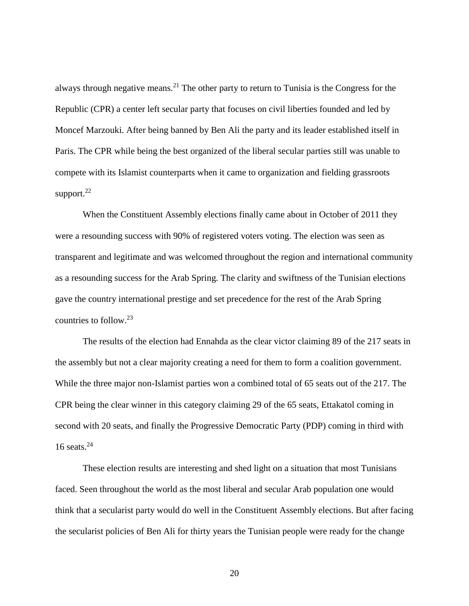always through negative means.<sup>21</sup> The other party to return to Tunisia is the Congress for the Republic (CPR) a center left secular party that focuses on civil liberties founded and led by Moncef Marzouki. After being banned by Ben Ali the party and its leader established itself in Paris. The CPR while being the best organized of the liberal secular parties still was unable to compete with its Islamist counterparts when it came to organization and fielding grassroots support. $^{22}$ 

When the Constituent Assembly elections finally came about in October of 2011 they were a resounding success with 90% of registered voters voting. The election was seen as transparent and legitimate and was welcomed throughout the region and international community as a resounding success for the Arab Spring. The clarity and swiftness of the Tunisian elections gave the country international prestige and set precedence for the rest of the Arab Spring countries to follow.<sup>23</sup>

The results of the election had Ennahda as the clear victor claiming 89 of the 217 seats in the assembly but not a clear majority creating a need for them to form a coalition government. While the three major non-Islamist parties won a combined total of 65 seats out of the 217. The CPR being the clear winner in this category claiming 29 of the 65 seats, Ettakatol coming in second with 20 seats, and finally the Progressive Democratic Party (PDP) coming in third with 16 seats. $24$ 

These election results are interesting and shed light on a situation that most Tunisians faced. Seen throughout the world as the most liberal and secular Arab population one would think that a secularist party would do well in the Constituent Assembly elections. But after facing the secularist policies of Ben Ali for thirty years the Tunisian people were ready for the change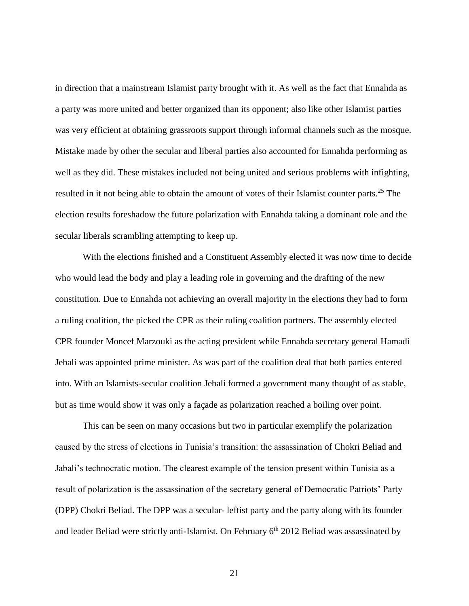in direction that a mainstream Islamist party brought with it. As well as the fact that Ennahda as a party was more united and better organized than its opponent; also like other Islamist parties was very efficient at obtaining grassroots support through informal channels such as the mosque. Mistake made by other the secular and liberal parties also accounted for Ennahda performing as well as they did. These mistakes included not being united and serious problems with infighting, resulted in it not being able to obtain the amount of votes of their Islamist counter parts.<sup>25</sup> The election results foreshadow the future polarization with Ennahda taking a dominant role and the secular liberals scrambling attempting to keep up.

With the elections finished and a Constituent Assembly elected it was now time to decide who would lead the body and play a leading role in governing and the drafting of the new constitution. Due to Ennahda not achieving an overall majority in the elections they had to form a ruling coalition, the picked the CPR as their ruling coalition partners. The assembly elected CPR founder Moncef Marzouki as the acting president while Ennahda secretary general Hamadi Jebali was appointed prime minister. As was part of the coalition deal that both parties entered into. With an Islamists-secular coalition Jebali formed a government many thought of as stable, but as time would show it was only a façade as polarization reached a boiling over point.

This can be seen on many occasions but two in particular exemplify the polarization caused by the stress of elections in Tunisia's transition: the assassination of Chokri Beliad and Jabali's technocratic motion. The clearest example of the tension present within Tunisia as a result of polarization is the assassination of the secretary general of Democratic Patriots' Party (DPP) Chokri Beliad. The DPP was a secular- leftist party and the party along with its founder and leader Beliad were strictly anti-Islamist. On February  $6<sup>th</sup>$  2012 Beliad was assassinated by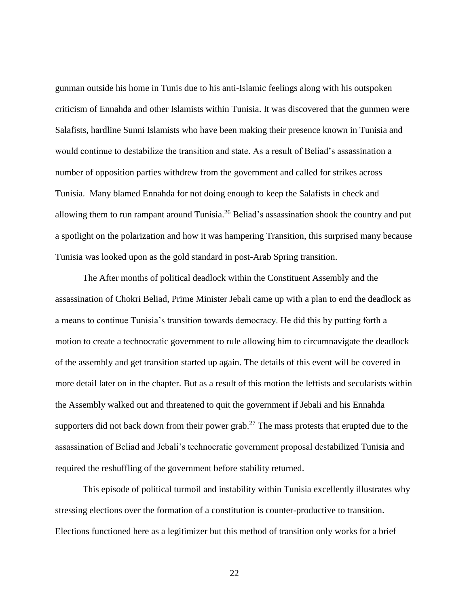gunman outside his home in Tunis due to his anti-Islamic feelings along with his outspoken criticism of Ennahda and other Islamists within Tunisia. It was discovered that the gunmen were Salafists, hardline Sunni Islamists who have been making their presence known in Tunisia and would continue to destabilize the transition and state. As a result of Beliad's assassination a number of opposition parties withdrew from the government and called for strikes across Tunisia. Many blamed Ennahda for not doing enough to keep the Salafists in check and allowing them to run rampant around Tunisia.<sup>26</sup> Beliad's assassination shook the country and put a spotlight on the polarization and how it was hampering Transition, this surprised many because Tunisia was looked upon as the gold standard in post-Arab Spring transition.

The After months of political deadlock within the Constituent Assembly and the assassination of Chokri Beliad, Prime Minister Jebali came up with a plan to end the deadlock as a means to continue Tunisia's transition towards democracy. He did this by putting forth a motion to create a technocratic government to rule allowing him to circumnavigate the deadlock of the assembly and get transition started up again. The details of this event will be covered in more detail later on in the chapter. But as a result of this motion the leftists and secularists within the Assembly walked out and threatened to quit the government if Jebali and his Ennahda supporters did not back down from their power grab.<sup>27</sup> The mass protests that erupted due to the assassination of Beliad and Jebali's technocratic government proposal destabilized Tunisia and required the reshuffling of the government before stability returned.

This episode of political turmoil and instability within Tunisia excellently illustrates why stressing elections over the formation of a constitution is counter-productive to transition. Elections functioned here as a legitimizer but this method of transition only works for a brief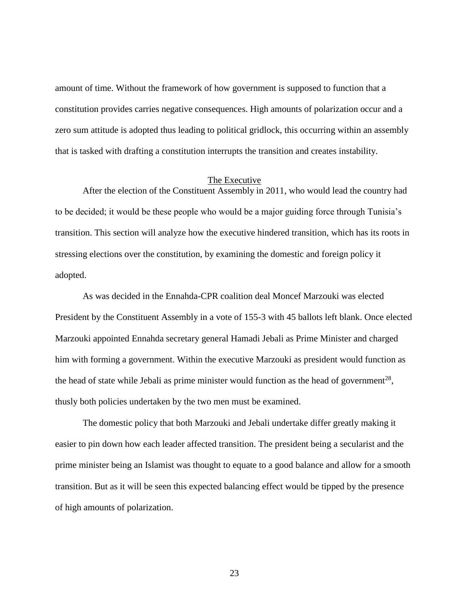amount of time. Without the framework of how government is supposed to function that a constitution provides carries negative consequences. High amounts of polarization occur and a zero sum attitude is adopted thus leading to political gridlock, this occurring within an assembly that is tasked with drafting a constitution interrupts the transition and creates instability.

#### The Executive

<span id="page-31-0"></span>After the election of the Constituent Assembly in 2011, who would lead the country had to be decided; it would be these people who would be a major guiding force through Tunisia's transition. This section will analyze how the executive hindered transition, which has its roots in stressing elections over the constitution, by examining the domestic and foreign policy it adopted.

As was decided in the Ennahda-CPR coalition deal Moncef Marzouki was elected President by the Constituent Assembly in a vote of 155-3 with 45 ballots left blank. Once elected Marzouki appointed Ennahda secretary general Hamadi Jebali as Prime Minister and charged him with forming a government. Within the executive Marzouki as president would function as the head of state while Jebali as prime minister would function as the head of government<sup>28</sup>, thusly both policies undertaken by the two men must be examined.

The domestic policy that both Marzouki and Jebali undertake differ greatly making it easier to pin down how each leader affected transition. The president being a secularist and the prime minister being an Islamist was thought to equate to a good balance and allow for a smooth transition. But as it will be seen this expected balancing effect would be tipped by the presence of high amounts of polarization.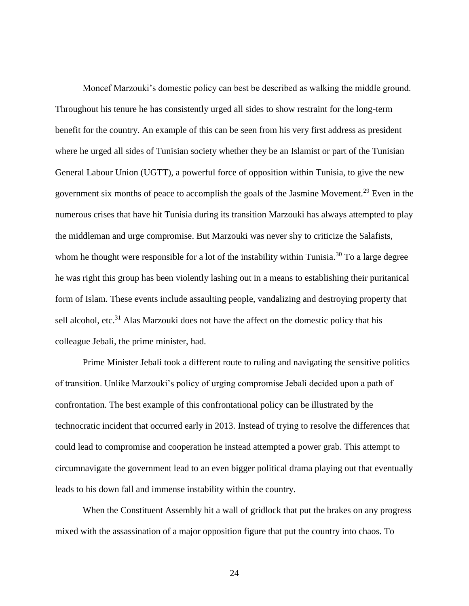Moncef Marzouki's domestic policy can best be described as walking the middle ground. Throughout his tenure he has consistently urged all sides to show restraint for the long-term benefit for the country. An example of this can be seen from his very first address as president where he urged all sides of Tunisian society whether they be an Islamist or part of the Tunisian General Labour Union (UGTT), a powerful force of opposition within Tunisia, to give the new government six months of peace to accomplish the goals of the Jasmine Movement.<sup>29</sup> Even in the numerous crises that have hit Tunisia during its transition Marzouki has always attempted to play the middleman and urge compromise. But Marzouki was never shy to criticize the Salafists, whom he thought were responsible for a lot of the instability within Tunisia.<sup>30</sup> To a large degree he was right this group has been violently lashing out in a means to establishing their puritanical form of Islam. These events include assaulting people, vandalizing and destroying property that sell alcohol, etc.<sup>31</sup> Alas Marzouki does not have the affect on the domestic policy that his colleague Jebali, the prime minister, had.

Prime Minister Jebali took a different route to ruling and navigating the sensitive politics of transition. Unlike Marzouki's policy of urging compromise Jebali decided upon a path of confrontation. The best example of this confrontational policy can be illustrated by the technocratic incident that occurred early in 2013. Instead of trying to resolve the differences that could lead to compromise and cooperation he instead attempted a power grab. This attempt to circumnavigate the government lead to an even bigger political drama playing out that eventually leads to his down fall and immense instability within the country.

When the Constituent Assembly hit a wall of gridlock that put the brakes on any progress mixed with the assassination of a major opposition figure that put the country into chaos. To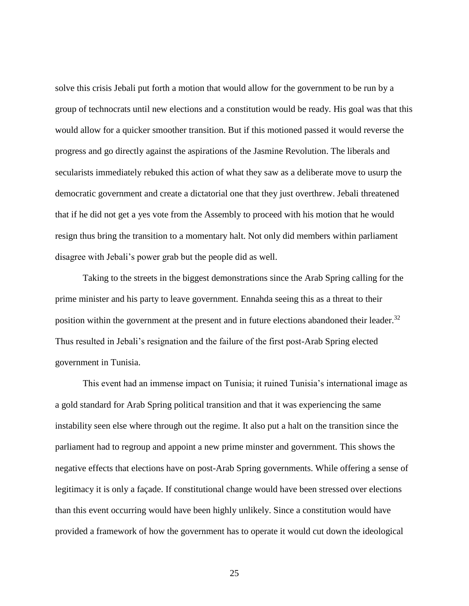solve this crisis Jebali put forth a motion that would allow for the government to be run by a group of technocrats until new elections and a constitution would be ready. His goal was that this would allow for a quicker smoother transition. But if this motioned passed it would reverse the progress and go directly against the aspirations of the Jasmine Revolution. The liberals and secularists immediately rebuked this action of what they saw as a deliberate move to usurp the democratic government and create a dictatorial one that they just overthrew. Jebali threatened that if he did not get a yes vote from the Assembly to proceed with his motion that he would resign thus bring the transition to a momentary halt. Not only did members within parliament disagree with Jebali's power grab but the people did as well.

Taking to the streets in the biggest demonstrations since the Arab Spring calling for the prime minister and his party to leave government. Ennahda seeing this as a threat to their position within the government at the present and in future elections abandoned their leader.<sup>32</sup> Thus resulted in Jebali's resignation and the failure of the first post-Arab Spring elected government in Tunisia.

This event had an immense impact on Tunisia; it ruined Tunisia's international image as a gold standard for Arab Spring political transition and that it was experiencing the same instability seen else where through out the regime. It also put a halt on the transition since the parliament had to regroup and appoint a new prime minster and government. This shows the negative effects that elections have on post-Arab Spring governments. While offering a sense of legitimacy it is only a façade. If constitutional change would have been stressed over elections than this event occurring would have been highly unlikely. Since a constitution would have provided a framework of how the government has to operate it would cut down the ideological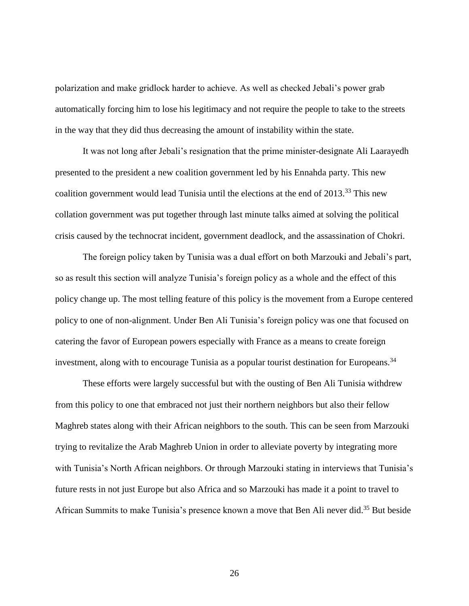polarization and make gridlock harder to achieve. As well as checked Jebali's power grab automatically forcing him to lose his legitimacy and not require the people to take to the streets in the way that they did thus decreasing the amount of instability within the state.

It was not long after Jebali's resignation that the prime minister-designate Ali Laarayedh presented to the president a new coalition government led by his Ennahda party. This new coalition government would lead Tunisia until the elections at the end of  $2013<sup>33</sup>$ . This new collation government was put together through last minute talks aimed at solving the political crisis caused by the technocrat incident, government deadlock, and the assassination of Chokri.

The foreign policy taken by Tunisia was a dual effort on both Marzouki and Jebali's part, so as result this section will analyze Tunisia's foreign policy as a whole and the effect of this policy change up. The most telling feature of this policy is the movement from a Europe centered policy to one of non-alignment. Under Ben Ali Tunisia's foreign policy was one that focused on catering the favor of European powers especially with France as a means to create foreign investment, along with to encourage Tunisia as a popular tourist destination for Europeans.<sup>34</sup>

These efforts were largely successful but with the ousting of Ben Ali Tunisia withdrew from this policy to one that embraced not just their northern neighbors but also their fellow Maghreb states along with their African neighbors to the south. This can be seen from Marzouki trying to revitalize the Arab Maghreb Union in order to alleviate poverty by integrating more with Tunisia's North African neighbors. Or through Marzouki stating in interviews that Tunisia's future rests in not just Europe but also Africa and so Marzouki has made it a point to travel to African Summits to make Tunisia's presence known a move that Ben Ali never did.<sup>35</sup> But beside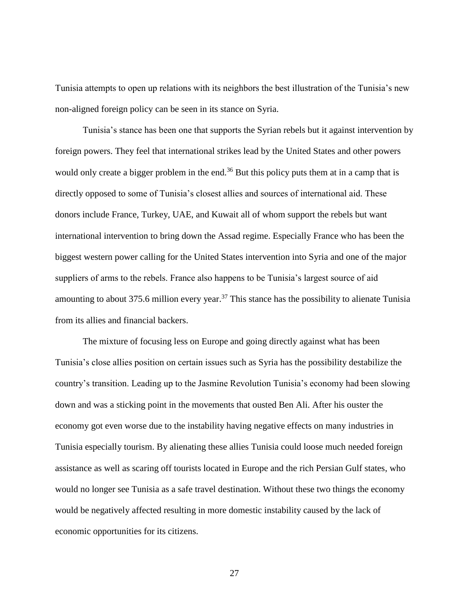Tunisia attempts to open up relations with its neighbors the best illustration of the Tunisia's new non-aligned foreign policy can be seen in its stance on Syria.

Tunisia's stance has been one that supports the Syrian rebels but it against intervention by foreign powers. They feel that international strikes lead by the United States and other powers would only create a bigger problem in the end.<sup>36</sup> But this policy puts them at in a camp that is directly opposed to some of Tunisia's closest allies and sources of international aid. These donors include France, Turkey, UAE, and Kuwait all of whom support the rebels but want international intervention to bring down the Assad regime. Especially France who has been the biggest western power calling for the United States intervention into Syria and one of the major suppliers of arms to the rebels. France also happens to be Tunisia's largest source of aid amounting to about 375.6 million every year.<sup>37</sup> This stance has the possibility to alienate Tunisia from its allies and financial backers.

The mixture of focusing less on Europe and going directly against what has been Tunisia's close allies position on certain issues such as Syria has the possibility destabilize the country's transition. Leading up to the Jasmine Revolution Tunisia's economy had been slowing down and was a sticking point in the movements that ousted Ben Ali. After his ouster the economy got even worse due to the instability having negative effects on many industries in Tunisia especially tourism. By alienating these allies Tunisia could loose much needed foreign assistance as well as scaring off tourists located in Europe and the rich Persian Gulf states, who would no longer see Tunisia as a safe travel destination. Without these two things the economy would be negatively affected resulting in more domestic instability caused by the lack of economic opportunities for its citizens.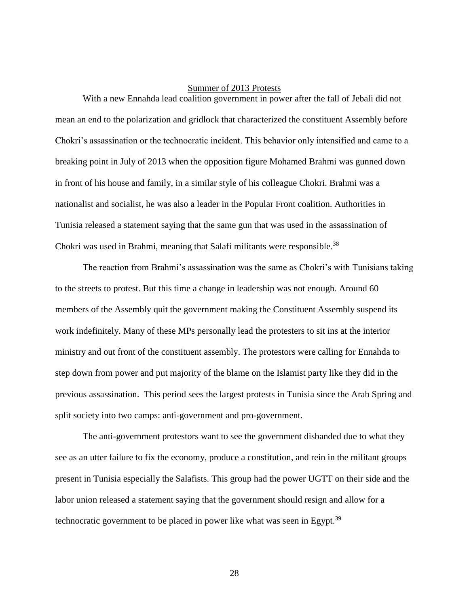### Summer of 2013 Protests

With a new Ennahda lead coalition government in power after the fall of Jebali did not mean an end to the polarization and gridlock that characterized the constituent Assembly before Chokri's assassination or the technocratic incident. This behavior only intensified and came to a breaking point in July of 2013 when the opposition figure Mohamed Brahmi was gunned down in front of his house and family, in a similar style of his colleague Chokri. Brahmi was a nationalist and socialist, he was also a leader in the Popular Front coalition. Authorities in Tunisia released a statement saying that the same gun that was used in the assassination of Chokri was used in Brahmi, meaning that Salafi militants were responsible.<sup>38</sup>

The reaction from Brahmi's assassination was the same as Chokri's with Tunisians taking to the streets to protest. But this time a change in leadership was not enough. Around 60 members of the Assembly quit the government making the Constituent Assembly suspend its work indefinitely. Many of these MPs personally lead the protesters to sit ins at the interior ministry and out front of the constituent assembly. The protestors were calling for Ennahda to step down from power and put majority of the blame on the Islamist party like they did in the previous assassination. This period sees the largest protests in Tunisia since the Arab Spring and split society into two camps: anti-government and pro-government.

The anti-government protestors want to see the government disbanded due to what they see as an utter failure to fix the economy, produce a constitution, and rein in the militant groups present in Tunisia especially the Salafists. This group had the power UGTT on their side and the labor union released a statement saying that the government should resign and allow for a technocratic government to be placed in power like what was seen in Egypt.<sup>39</sup>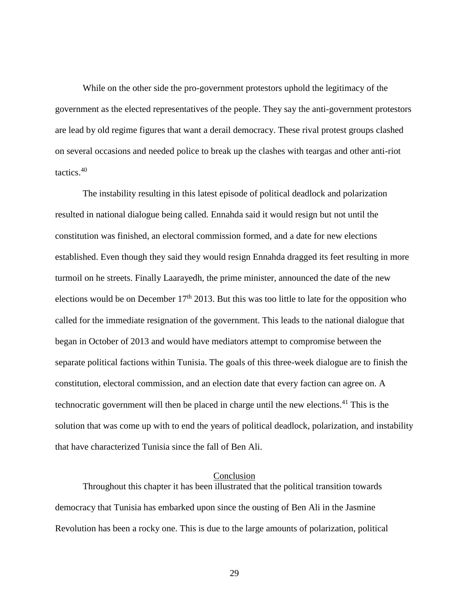While on the other side the pro-government protestors uphold the legitimacy of the government as the elected representatives of the people. They say the anti-government protestors are lead by old regime figures that want a derail democracy. These rival protest groups clashed on several occasions and needed police to break up the clashes with teargas and other anti-riot tactics.<sup>40</sup>

The instability resulting in this latest episode of political deadlock and polarization resulted in national dialogue being called. Ennahda said it would resign but not until the constitution was finished, an electoral commission formed, and a date for new elections established. Even though they said they would resign Ennahda dragged its feet resulting in more turmoil on he streets. Finally Laarayedh, the prime minister, announced the date of the new elections would be on December  $17<sup>th</sup>$  2013. But this was too little to late for the opposition who called for the immediate resignation of the government. This leads to the national dialogue that began in October of 2013 and would have mediators attempt to compromise between the separate political factions within Tunisia. The goals of this three-week dialogue are to finish the constitution, electoral commission, and an election date that every faction can agree on. A technocratic government will then be placed in charge until the new elections.<sup>41</sup> This is the solution that was come up with to end the years of political deadlock, polarization, and instability that have characterized Tunisia since the fall of Ben Ali.

#### Conclusion

Throughout this chapter it has been illustrated that the political transition towards democracy that Tunisia has embarked upon since the ousting of Ben Ali in the Jasmine Revolution has been a rocky one. This is due to the large amounts of polarization, political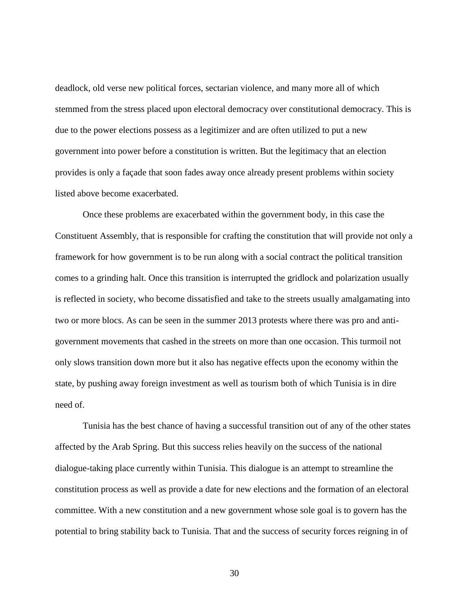deadlock, old verse new political forces, sectarian violence, and many more all of which stemmed from the stress placed upon electoral democracy over constitutional democracy. This is due to the power elections possess as a legitimizer and are often utilized to put a new government into power before a constitution is written. But the legitimacy that an election provides is only a façade that soon fades away once already present problems within society listed above become exacerbated.

Once these problems are exacerbated within the government body, in this case the Constituent Assembly, that is responsible for crafting the constitution that will provide not only a framework for how government is to be run along with a social contract the political transition comes to a grinding halt. Once this transition is interrupted the gridlock and polarization usually is reflected in society, who become dissatisfied and take to the streets usually amalgamating into two or more blocs. As can be seen in the summer 2013 protests where there was pro and antigovernment movements that cashed in the streets on more than one occasion. This turmoil not only slows transition down more but it also has negative effects upon the economy within the state, by pushing away foreign investment as well as tourism both of which Tunisia is in dire need of.

Tunisia has the best chance of having a successful transition out of any of the other states affected by the Arab Spring. But this success relies heavily on the success of the national dialogue-taking place currently within Tunisia. This dialogue is an attempt to streamline the constitution process as well as provide a date for new elections and the formation of an electoral committee. With a new constitution and a new government whose sole goal is to govern has the potential to bring stability back to Tunisia. That and the success of security forces reigning in of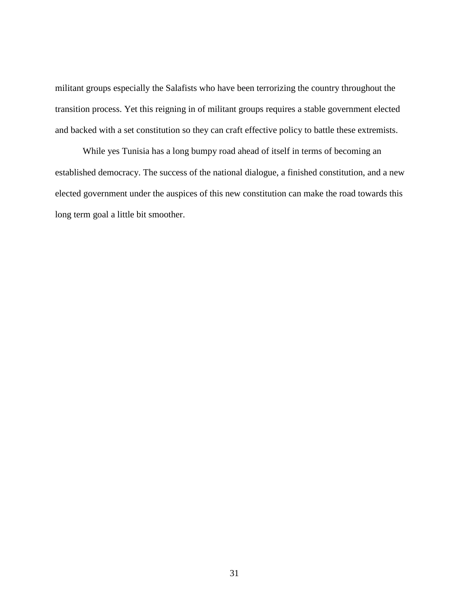militant groups especially the Salafists who have been terrorizing the country throughout the transition process. Yet this reigning in of militant groups requires a stable government elected and backed with a set constitution so they can craft effective policy to battle these extremists.

While yes Tunisia has a long bumpy road ahead of itself in terms of becoming an established democracy. The success of the national dialogue, a finished constitution, and a new elected government under the auspices of this new constitution can make the road towards this long term goal a little bit smoother.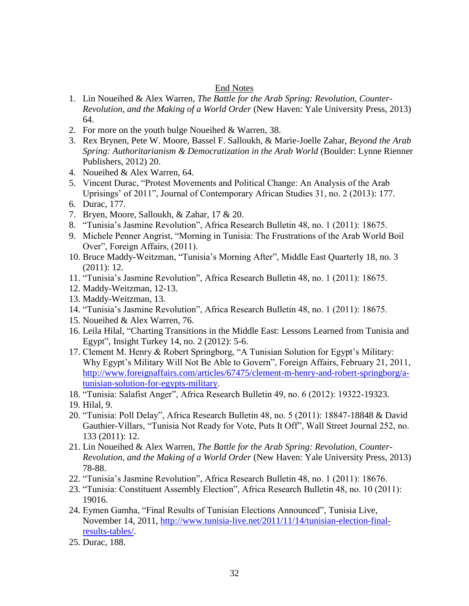# End Notes

- 1. Lin Noueihed & Alex Warren, *The Battle for the Arab Spring: Revolution, Counter-Revolution, and the Making of a World Order* (New Haven: Yale University Press, 2013) 64.
- 2. For more on the youth bulge Noueihed & Warren, 38.
- 3. Rex Brynen, Pete W. Moore, Bassel F. Salloukh, & Marie-Joelle Zahar, *Beyond the Arab Spring: Authoritarianism & Democratization in the Arab World* (Boulder: Lynne Rienner Publishers, 2012) 20.
- 4. Noueihed & Alex Warren, 64.
- 5. Vincent Durac, "Protest Movements and Political Change: An Analysis of the Arab Uprisings' of 2011", Journal of Contemporary African Studies 31, no. 2 (2013): 177.
- 6. Durac, 177.
- 7. Bryen, Moore, Salloukh, & Zahar, 17 & 20.
- 8. "Tunisia's Jasmine Revolution", Africa Research Bulletin 48, no. 1 (2011): 18675.
- 9. Michele Penner Angrist, "Morning in Tunisia: The Frustrations of the Arab World Boil Over", Foreign Affairs, (2011).
- 10. Bruce Maddy-Weitzman, "Tunisia's Morning After", Middle East Quarterly 18, no. 3 (2011): 12.
- 11. "Tunisia's Jasmine Revolution", Africa Research Bulletin 48, no. 1 (2011): 18675.
- 12. Maddy-Weitzman, 12-13.
- 13. Maddy-Weitzman, 13.
- 14. "Tunisia's Jasmine Revolution", Africa Research Bulletin 48, no. 1 (2011): 18675.
- 15. Noueihed & Alex Warren, 76.
- 16. Leila Hilal, "Charting Transitions in the Middle East: Lessons Learned from Tunisia and Egypt", Insight Turkey 14, no. 2 (2012): 5-6.
- 17. Clement M. Henry & Robert Springborg, "A Tunisian Solution for Egypt's Military: Why Egypt's Military Will Not Be Able to Govern", Foreign Affairs, February 21, 2011, [http://www.foreignaffairs.com/articles/67475/clement-m-henry-and-robert-springborg/a](http://www.foreignaffairs.com/articles/67475/clement-m-henry-and-robert-springborg/a-tunisian-solution-for-egypts-military)[tunisian-solution-for-egypts-military.](http://www.foreignaffairs.com/articles/67475/clement-m-henry-and-robert-springborg/a-tunisian-solution-for-egypts-military)
- 18. "Tunisia: Salafist Anger", Africa Research Bulletin 49, no. 6 (2012): 19322-19323.
- 19. Hilal, 9.
- 20. "Tunisia: Poll Delay", Africa Research Bulletin 48, no. 5 (2011): 18847-18848 & David Gauthier-Villars, "Tunisia Not Ready for Vote, Puts It Off", Wall Street Journal 252, no. 133 (2011): 12.
- 21. Lin Noueihed & Alex Warren, *The Battle for the Arab Spring: Revolution, Counter-Revolution, and the Making of a World Order* (New Haven: Yale University Press, 2013) 78-88.
- 22. "Tunisia's Jasmine Revolution", Africa Research Bulletin 48, no. 1 (2011): 18676.
- 23. "Tunisia: Constituent Assembly Election", Africa Research Bulletin 48, no. 10 (2011): 19016.
- 24. Eymen Gamha, "Final Results of Tunisian Elections Announced", Tunisia Live, November 14, 2011, [http://www.tunisia-live.net/2011/11/14/tunisian-election-final](http://www.tunisia-live.net/2011/11/14/tunisian-election-final-results-tables/)[results-tables/.](http://www.tunisia-live.net/2011/11/14/tunisian-election-final-results-tables/)
- 25. Durac, 188.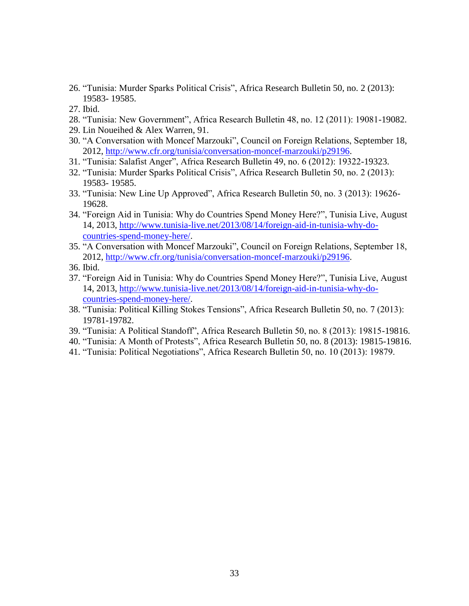- 26. "Tunisia: Murder Sparks Political Crisis", Africa Research Bulletin 50, no. 2 (2013): 19583- 19585.
- 27. Ibid.
- 28. "Tunisia: New Government", Africa Research Bulletin 48, no. 12 (2011): 19081-19082.
- 29. Lin Noueihed & Alex Warren, 91.
- 30. "A Conversation with Moncef Marzouki", Council on Foreign Relations, September 18, 2012, [http://www.cfr.org/tunisia/conversation-moncef-marzouki/p29196.](http://www.cfr.org/tunisia/conversation-moncef-marzouki/p29196)
- 31. "Tunisia: Salafist Anger", Africa Research Bulletin 49, no. 6 (2012): 19322-19323.
- 32. "Tunisia: Murder Sparks Political Crisis", Africa Research Bulletin 50, no. 2 (2013): 19583- 19585.
- 33. "Tunisia: New Line Up Approved", Africa Research Bulletin 50, no. 3 (2013): 19626- 19628.
- 34. "Foreign Aid in Tunisia: Why do Countries Spend Money Here?", Tunisia Live, August 14, 2013, [http://www.tunisia-live.net/2013/08/14/foreign-aid-in-tunisia-why-do](http://www.tunisia-live.net/2013/08/14/foreign-aid-in-tunisia-why-do-countries-spend-money-here/)[countries-spend-money-here/.](http://www.tunisia-live.net/2013/08/14/foreign-aid-in-tunisia-why-do-countries-spend-money-here/)
- 35. "A Conversation with Moncef Marzouki", Council on Foreign Relations, September 18, 2012, [http://www.cfr.org/tunisia/conversation-moncef-marzouki/p29196.](http://www.cfr.org/tunisia/conversation-moncef-marzouki/p29196)
- 36. Ibid.
- 37. "Foreign Aid in Tunisia: Why do Countries Spend Money Here?", Tunisia Live, August 14, 2013, [http://www.tunisia-live.net/2013/08/14/foreign-aid-in-tunisia-why-do](http://www.tunisia-live.net/2013/08/14/foreign-aid-in-tunisia-why-do-countries-spend-money-here/)[countries-spend-money-here/.](http://www.tunisia-live.net/2013/08/14/foreign-aid-in-tunisia-why-do-countries-spend-money-here/)
- 38. "Tunisia: Political Killing Stokes Tensions", Africa Research Bulletin 50, no. 7 (2013): 19781-19782.
- 39. "Tunisia: A Political Standoff", Africa Research Bulletin 50, no. 8 (2013): 19815-19816.
- 40. "Tunisia: A Month of Protests", Africa Research Bulletin 50, no. 8 (2013): 19815-19816.
- 41. "Tunisia: Political Negotiations", Africa Research Bulletin 50, no. 10 (2013): 19879.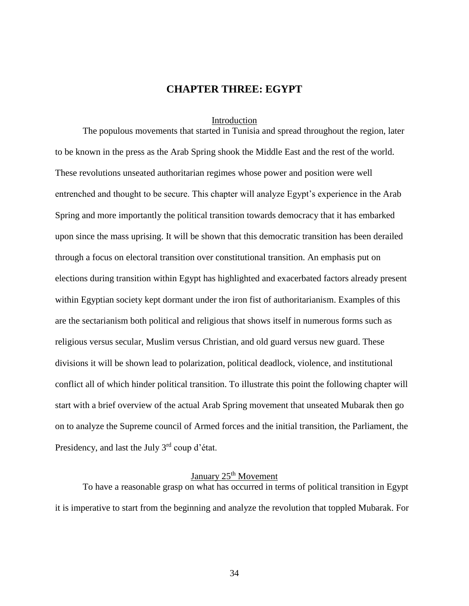# **CHAPTER THREE: EGYPT**

#### Introduction

The populous movements that started in Tunisia and spread throughout the region, later to be known in the press as the Arab Spring shook the Middle East and the rest of the world. These revolutions unseated authoritarian regimes whose power and position were well entrenched and thought to be secure. This chapter will analyze Egypt's experience in the Arab Spring and more importantly the political transition towards democracy that it has embarked upon since the mass uprising. It will be shown that this democratic transition has been derailed through a focus on electoral transition over constitutional transition. An emphasis put on elections during transition within Egypt has highlighted and exacerbated factors already present within Egyptian society kept dormant under the iron fist of authoritarianism. Examples of this are the sectarianism both political and religious that shows itself in numerous forms such as religious versus secular, Muslim versus Christian, and old guard versus new guard. These divisions it will be shown lead to polarization, political deadlock, violence, and institutional conflict all of which hinder political transition. To illustrate this point the following chapter will start with a brief overview of the actual Arab Spring movement that unseated Mubarak then go on to analyze the Supreme council of Armed forces and the initial transition, the Parliament, the Presidency, and last the July 3<sup>rd</sup> coup d'état.

# January 25<sup>th</sup> Movement

To have a reasonable grasp on what has occurred in terms of political transition in Egypt it is imperative to start from the beginning and analyze the revolution that toppled Mubarak. For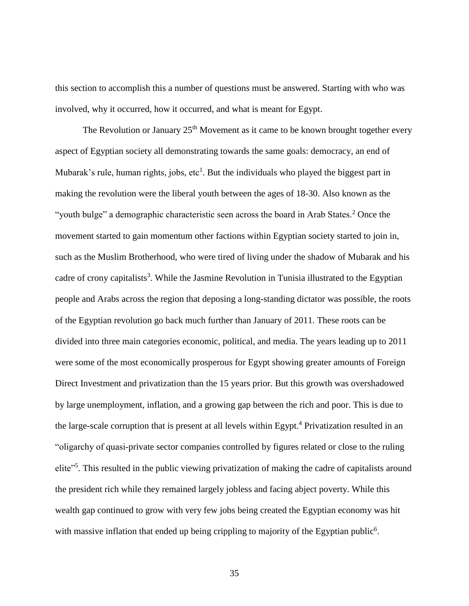this section to accomplish this a number of questions must be answered. Starting with who was involved, why it occurred, how it occurred, and what is meant for Egypt.

The Revolution or January  $25<sup>th</sup>$  Movement as it came to be known brought together every aspect of Egyptian society all demonstrating towards the same goals: democracy, an end of Mubarak's rule, human rights, jobs, etc<sup>1</sup>. But the individuals who played the biggest part in making the revolution were the liberal youth between the ages of 18-30. Also known as the "youth bulge" a demographic characteristic seen across the board in Arab States.<sup>2</sup> Once the movement started to gain momentum other factions within Egyptian society started to join in, such as the Muslim Brotherhood, who were tired of living under the shadow of Mubarak and his cadre of crony capitalists<sup>3</sup>. While the Jasmine Revolution in Tunisia illustrated to the Egyptian people and Arabs across the region that deposing a long-standing dictator was possible, the roots of the Egyptian revolution go back much further than January of 2011. These roots can be divided into three main categories economic, political, and media. The years leading up to 2011 were some of the most economically prosperous for Egypt showing greater amounts of Foreign Direct Investment and privatization than the 15 years prior. But this growth was overshadowed by large unemployment, inflation, and a growing gap between the rich and poor. This is due to the large-scale corruption that is present at all levels within Egypt.<sup>4</sup> Privatization resulted in an "oligarchy of quasi-private sector companies controlled by figures related or close to the ruling elite"<sup>5</sup>. This resulted in the public viewing privatization of making the cadre of capitalists around the president rich while they remained largely jobless and facing abject poverty. While this wealth gap continued to grow with very few jobs being created the Egyptian economy was hit with massive inflation that ended up being crippling to majority of the Egyptian public<sup>6</sup>.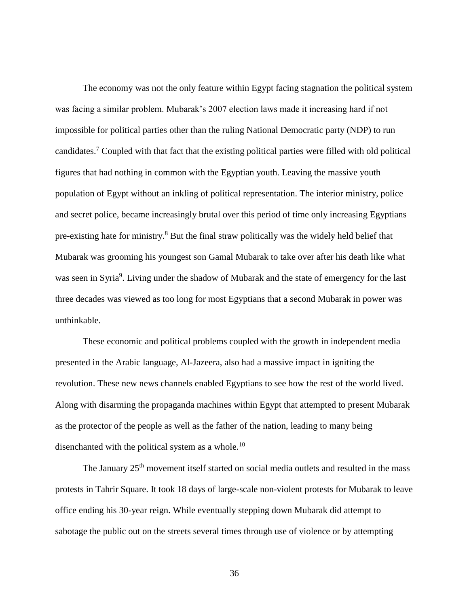The economy was not the only feature within Egypt facing stagnation the political system was facing a similar problem. Mubarak's 2007 election laws made it increasing hard if not impossible for political parties other than the ruling National Democratic party (NDP) to run candidates.<sup>7</sup> Coupled with that fact that the existing political parties were filled with old political figures that had nothing in common with the Egyptian youth. Leaving the massive youth population of Egypt without an inkling of political representation. The interior ministry, police and secret police, became increasingly brutal over this period of time only increasing Egyptians pre-existing hate for ministry.<sup>8</sup> But the final straw politically was the widely held belief that Mubarak was grooming his youngest son Gamal Mubarak to take over after his death like what was seen in Syria<sup>9</sup>. Living under the shadow of Mubarak and the state of emergency for the last three decades was viewed as too long for most Egyptians that a second Mubarak in power was unthinkable.

These economic and political problems coupled with the growth in independent media presented in the Arabic language, Al-Jazeera, also had a massive impact in igniting the revolution. These new news channels enabled Egyptians to see how the rest of the world lived. Along with disarming the propaganda machines within Egypt that attempted to present Mubarak as the protector of the people as well as the father of the nation, leading to many being disenchanted with the political system as a whole.<sup>10</sup>

The January  $25<sup>th</sup>$  movement itself started on social media outlets and resulted in the mass protests in Tahrir Square. It took 18 days of large-scale non-violent protests for Mubarak to leave office ending his 30-year reign. While eventually stepping down Mubarak did attempt to sabotage the public out on the streets several times through use of violence or by attempting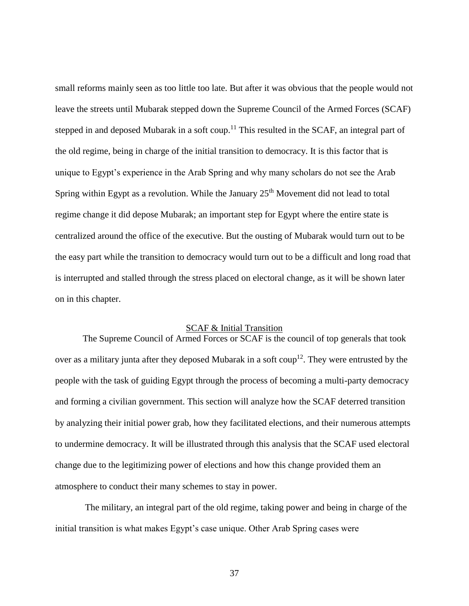small reforms mainly seen as too little too late. But after it was obvious that the people would not leave the streets until Mubarak stepped down the Supreme Council of the Armed Forces (SCAF) stepped in and deposed Mubarak in a soft coup.<sup>11</sup> This resulted in the SCAF, an integral part of the old regime, being in charge of the initial transition to democracy. It is this factor that is unique to Egypt's experience in the Arab Spring and why many scholars do not see the Arab Spring within Egypt as a revolution. While the January  $25<sup>th</sup>$  Movement did not lead to total regime change it did depose Mubarak; an important step for Egypt where the entire state is centralized around the office of the executive. But the ousting of Mubarak would turn out to be the easy part while the transition to democracy would turn out to be a difficult and long road that is interrupted and stalled through the stress placed on electoral change, as it will be shown later on in this chapter.

# SCAF & Initial Transition

The Supreme Council of Armed Forces or SCAF is the council of top generals that took over as a military junta after they deposed Mubarak in a soft  $\text{coup}^{12}$ . They were entrusted by the people with the task of guiding Egypt through the process of becoming a multi-party democracy and forming a civilian government. This section will analyze how the SCAF deterred transition by analyzing their initial power grab, how they facilitated elections, and their numerous attempts to undermine democracy. It will be illustrated through this analysis that the SCAF used electoral change due to the legitimizing power of elections and how this change provided them an atmosphere to conduct their many schemes to stay in power.

The military, an integral part of the old regime, taking power and being in charge of the initial transition is what makes Egypt's case unique. Other Arab Spring cases were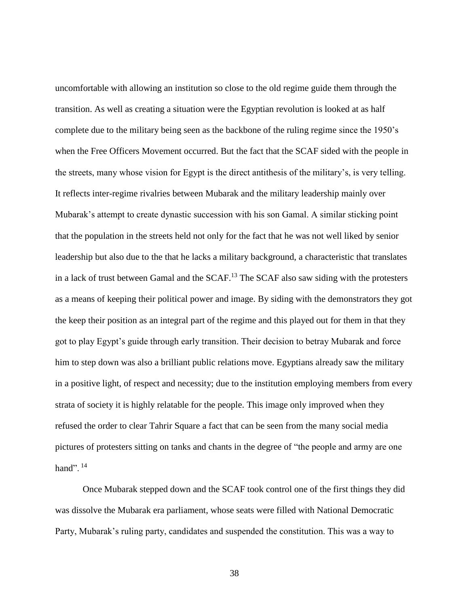uncomfortable with allowing an institution so close to the old regime guide them through the transition. As well as creating a situation were the Egyptian revolution is looked at as half complete due to the military being seen as the backbone of the ruling regime since the 1950's when the Free Officers Movement occurred. But the fact that the SCAF sided with the people in the streets, many whose vision for Egypt is the direct antithesis of the military's, is very telling. It reflects inter-regime rivalries between Mubarak and the military leadership mainly over Mubarak's attempt to create dynastic succession with his son Gamal. A similar sticking point that the population in the streets held not only for the fact that he was not well liked by senior leadership but also due to the that he lacks a military background, a characteristic that translates in a lack of trust between Gamal and the SCAF.<sup>13</sup> The SCAF also saw siding with the protesters as a means of keeping their political power and image. By siding with the demonstrators they got the keep their position as an integral part of the regime and this played out for them in that they got to play Egypt's guide through early transition. Their decision to betray Mubarak and force him to step down was also a brilliant public relations move. Egyptians already saw the military in a positive light, of respect and necessity; due to the institution employing members from every strata of society it is highly relatable for the people. This image only improved when they refused the order to clear Tahrir Square a fact that can be seen from the many social media pictures of protesters sitting on tanks and chants in the degree of "the people and army are one hand".  $14$ 

Once Mubarak stepped down and the SCAF took control one of the first things they did was dissolve the Mubarak era parliament, whose seats were filled with National Democratic Party, Mubarak's ruling party, candidates and suspended the constitution. This was a way to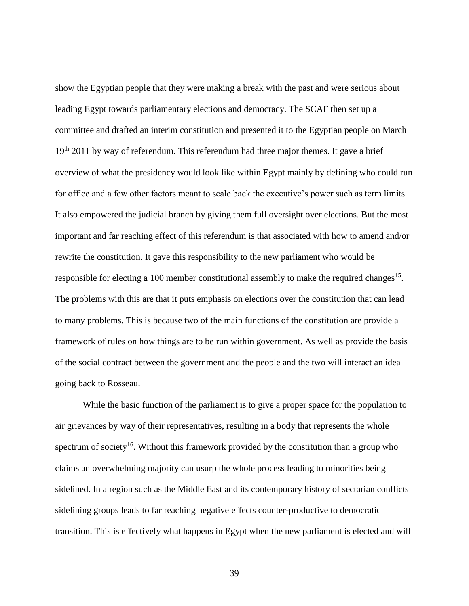show the Egyptian people that they were making a break with the past and were serious about leading Egypt towards parliamentary elections and democracy. The SCAF then set up a committee and drafted an interim constitution and presented it to the Egyptian people on March  $19<sup>th</sup>$  2011 by way of referendum. This referendum had three major themes. It gave a brief overview of what the presidency would look like within Egypt mainly by defining who could run for office and a few other factors meant to scale back the executive's power such as term limits. It also empowered the judicial branch by giving them full oversight over elections. But the most important and far reaching effect of this referendum is that associated with how to amend and/or rewrite the constitution. It gave this responsibility to the new parliament who would be responsible for electing a 100 member constitutional assembly to make the required changes<sup>15</sup>. The problems with this are that it puts emphasis on elections over the constitution that can lead to many problems. This is because two of the main functions of the constitution are provide a framework of rules on how things are to be run within government. As well as provide the basis of the social contract between the government and the people and the two will interact an idea going back to Rosseau.

While the basic function of the parliament is to give a proper space for the population to air grievances by way of their representatives, resulting in a body that represents the whole spectrum of society<sup>16</sup>. Without this framework provided by the constitution than a group who claims an overwhelming majority can usurp the whole process leading to minorities being sidelined. In a region such as the Middle East and its contemporary history of sectarian conflicts sidelining groups leads to far reaching negative effects counter-productive to democratic transition. This is effectively what happens in Egypt when the new parliament is elected and will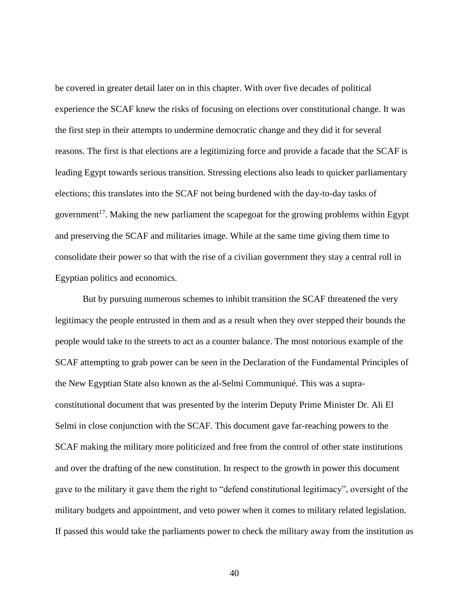be covered in greater detail later on in this chapter. With over five decades of political experience the SCAF knew the risks of focusing on elections over constitutional change. It was the first step in their attempts to undermine democratic change and they did it for several reasons. The first is that elections are a legitimizing force and provide a facade that the SCAF is leading Egypt towards serious transition. Stressing elections also leads to quicker parliamentary elections; this translates into the SCAF not being burdened with the day-to-day tasks of government<sup>17</sup>. Making the new parliament the scapegoat for the growing problems within Egypt and preserving the SCAF and militaries image. While at the same time giving them time to consolidate their power so that with the rise of a civilian government they stay a central roll in Egyptian politics and economics.

But by pursuing numerous schemes to inhibit transition the SCAF threatened the very legitimacy the people entrusted in them and as a result when they over stepped their bounds the people would take to the streets to act as a counter balance. The most notorious example of the SCAF attempting to grab power can be seen in the Declaration of the Fundamental Principles of the New Egyptian State also known as the al-Selmi Communiqué. This was a supraconstitutional document that was presented by the interim Deputy Prime Minister Dr. Ali El Selmi in close conjunction with the SCAF. This document gave far-reaching powers to the SCAF making the military more politicized and free from the control of other state institutions and over the drafting of the new constitution. In respect to the growth in power this document gave to the military it gave them the right to "defend constitutional legitimacy", oversight of the military budgets and appointment, and veto power when it comes to military related legislation. If passed this would take the parliaments power to check the military away from the institution as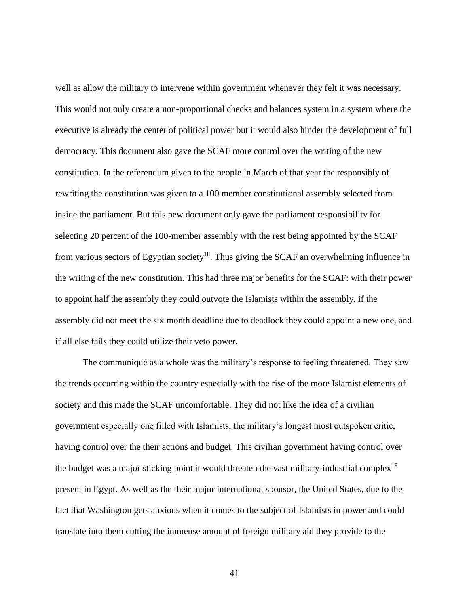well as allow the military to intervene within government whenever they felt it was necessary. This would not only create a non-proportional checks and balances system in a system where the executive is already the center of political power but it would also hinder the development of full democracy. This document also gave the SCAF more control over the writing of the new constitution. In the referendum given to the people in March of that year the responsibly of rewriting the constitution was given to a 100 member constitutional assembly selected from inside the parliament. But this new document only gave the parliament responsibility for selecting 20 percent of the 100-member assembly with the rest being appointed by the SCAF from various sectors of Egyptian society<sup>18</sup>. Thus giving the SCAF an overwhelming influence in the writing of the new constitution. This had three major benefits for the SCAF: with their power to appoint half the assembly they could outvote the Islamists within the assembly, if the assembly did not meet the six month deadline due to deadlock they could appoint a new one, and if all else fails they could utilize their veto power.

The communiqué as a whole was the military's response to feeling threatened. They saw the trends occurring within the country especially with the rise of the more Islamist elements of society and this made the SCAF uncomfortable. They did not like the idea of a civilian government especially one filled with Islamists, the military's longest most outspoken critic, having control over the their actions and budget. This civilian government having control over the budget was a major sticking point it would threaten the vast military-industrial complex<sup>19</sup> present in Egypt. As well as the their major international sponsor, the United States, due to the fact that Washington gets anxious when it comes to the subject of Islamists in power and could translate into them cutting the immense amount of foreign military aid they provide to the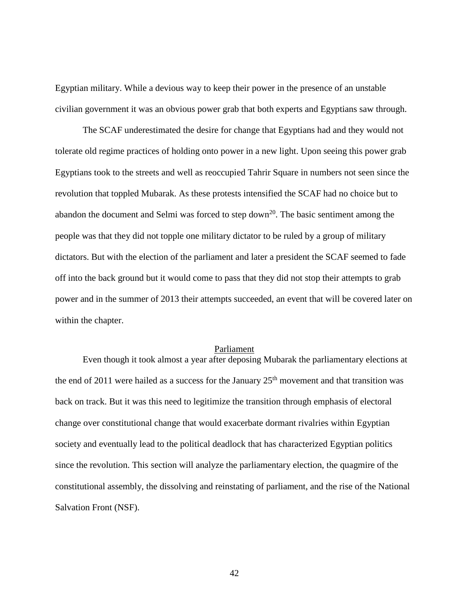Egyptian military. While a devious way to keep their power in the presence of an unstable civilian government it was an obvious power grab that both experts and Egyptians saw through.

The SCAF underestimated the desire for change that Egyptians had and they would not tolerate old regime practices of holding onto power in a new light. Upon seeing this power grab Egyptians took to the streets and well as reoccupied Tahrir Square in numbers not seen since the revolution that toppled Mubarak. As these protests intensified the SCAF had no choice but to abandon the document and Selmi was forced to step down<sup>20</sup>. The basic sentiment among the people was that they did not topple one military dictator to be ruled by a group of military dictators. But with the election of the parliament and later a president the SCAF seemed to fade off into the back ground but it would come to pass that they did not stop their attempts to grab power and in the summer of 2013 their attempts succeeded, an event that will be covered later on within the chapter.

### Parliament

Even though it took almost a year after deposing Mubarak the parliamentary elections at the end of 2011 were hailed as a success for the January  $25<sup>th</sup>$  movement and that transition was back on track. But it was this need to legitimize the transition through emphasis of electoral change over constitutional change that would exacerbate dormant rivalries within Egyptian society and eventually lead to the political deadlock that has characterized Egyptian politics since the revolution. This section will analyze the parliamentary election, the quagmire of the constitutional assembly, the dissolving and reinstating of parliament, and the rise of the National Salvation Front (NSF).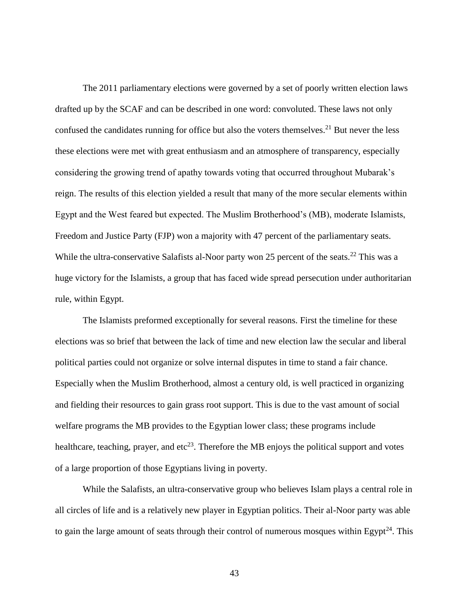The 2011 parliamentary elections were governed by a set of poorly written election laws drafted up by the SCAF and can be described in one word: convoluted. These laws not only confused the candidates running for office but also the voters themselves.<sup>21</sup> But never the less these elections were met with great enthusiasm and an atmosphere of transparency, especially considering the growing trend of apathy towards voting that occurred throughout Mubarak's reign. The results of this election yielded a result that many of the more secular elements within Egypt and the West feared but expected. The Muslim Brotherhood's (MB), moderate Islamists, Freedom and Justice Party (FJP) won a majority with 47 percent of the parliamentary seats. While the ultra-conservative Salafists al-Noor party won 25 percent of the seats.<sup>22</sup> This was a huge victory for the Islamists, a group that has faced wide spread persecution under authoritarian rule, within Egypt.

The Islamists preformed exceptionally for several reasons. First the timeline for these elections was so brief that between the lack of time and new election law the secular and liberal political parties could not organize or solve internal disputes in time to stand a fair chance. Especially when the Muslim Brotherhood, almost a century old, is well practiced in organizing and fielding their resources to gain grass root support. This is due to the vast amount of social welfare programs the MB provides to the Egyptian lower class; these programs include healthcare, teaching, prayer, and  $\text{etc}^{23}$ . Therefore the MB enjoys the political support and votes of a large proportion of those Egyptians living in poverty.

While the Salafists, an ultra-conservative group who believes Islam plays a central role in all circles of life and is a relatively new player in Egyptian politics. Their al-Noor party was able to gain the large amount of seats through their control of numerous mosques within Egypt<sup>24</sup>. This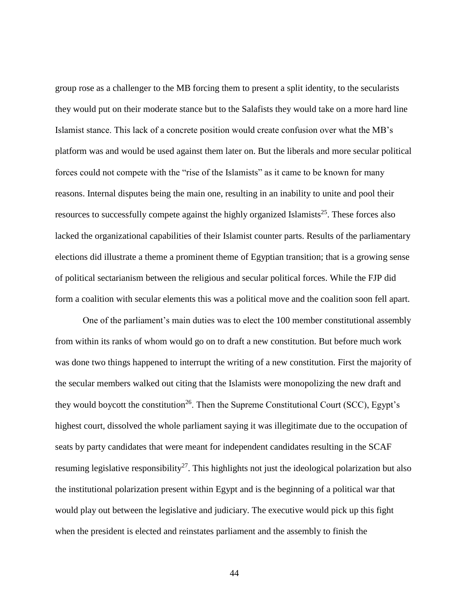group rose as a challenger to the MB forcing them to present a split identity, to the secularists they would put on their moderate stance but to the Salafists they would take on a more hard line Islamist stance. This lack of a concrete position would create confusion over what the MB's platform was and would be used against them later on. But the liberals and more secular political forces could not compete with the "rise of the Islamists" as it came to be known for many reasons. Internal disputes being the main one, resulting in an inability to unite and pool their resources to successfully compete against the highly organized Islamists<sup>25</sup>. These forces also lacked the organizational capabilities of their Islamist counter parts. Results of the parliamentary elections did illustrate a theme a prominent theme of Egyptian transition; that is a growing sense of political sectarianism between the religious and secular political forces. While the FJP did form a coalition with secular elements this was a political move and the coalition soon fell apart.

One of the parliament's main duties was to elect the 100 member constitutional assembly from within its ranks of whom would go on to draft a new constitution. But before much work was done two things happened to interrupt the writing of a new constitution. First the majority of the secular members walked out citing that the Islamists were monopolizing the new draft and they would boycott the constitution<sup>26</sup>. Then the Supreme Constitutional Court (SCC), Egypt's highest court, dissolved the whole parliament saying it was illegitimate due to the occupation of seats by party candidates that were meant for independent candidates resulting in the SCAF resuming legislative responsibility<sup>27</sup>. This highlights not just the ideological polarization but also the institutional polarization present within Egypt and is the beginning of a political war that would play out between the legislative and judiciary. The executive would pick up this fight when the president is elected and reinstates parliament and the assembly to finish the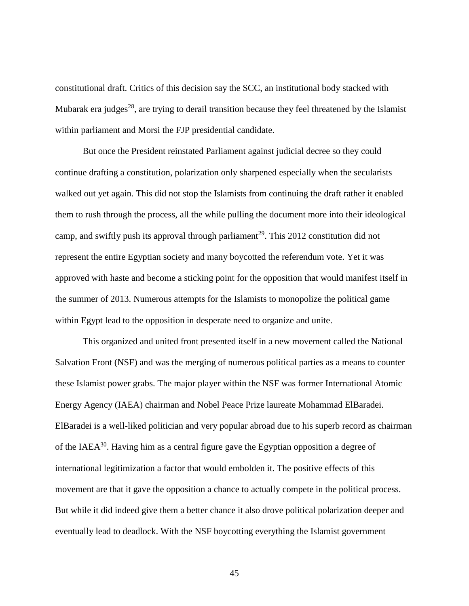constitutional draft. Critics of this decision say the SCC, an institutional body stacked with Mubarak era judges<sup>28</sup>, are trying to derail transition because they feel threatened by the Islamist within parliament and Morsi the FJP presidential candidate.

But once the President reinstated Parliament against judicial decree so they could continue drafting a constitution, polarization only sharpened especially when the secularists walked out yet again. This did not stop the Islamists from continuing the draft rather it enabled them to rush through the process, all the while pulling the document more into their ideological camp, and swiftly push its approval through parliament<sup>29</sup>. This 2012 constitution did not represent the entire Egyptian society and many boycotted the referendum vote. Yet it was approved with haste and become a sticking point for the opposition that would manifest itself in the summer of 2013. Numerous attempts for the Islamists to monopolize the political game within Egypt lead to the opposition in desperate need to organize and unite.

This organized and united front presented itself in a new movement called the National Salvation Front (NSF) and was the merging of numerous political parties as a means to counter these Islamist power grabs. The major player within the NSF was former International Atomic Energy Agency (IAEA) chairman and Nobel Peace Prize laureate Mohammad ElBaradei. ElBaradei is a well-liked politician and very popular abroad due to his superb record as chairman of the IAEA<sup>30</sup>. Having him as a central figure gave the Egyptian opposition a degree of international legitimization a factor that would embolden it. The positive effects of this movement are that it gave the opposition a chance to actually compete in the political process. But while it did indeed give them a better chance it also drove political polarization deeper and eventually lead to deadlock. With the NSF boycotting everything the Islamist government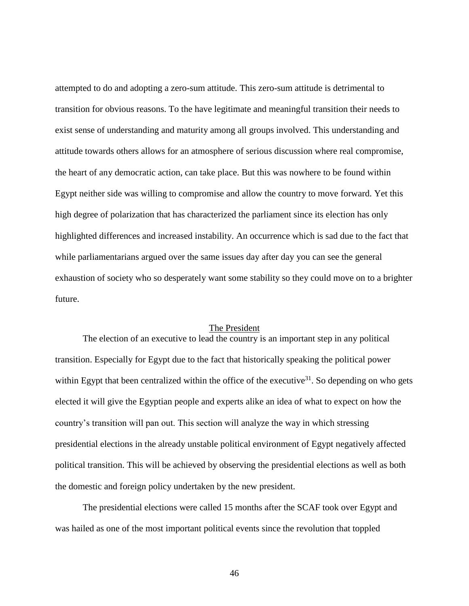attempted to do and adopting a zero-sum attitude. This zero-sum attitude is detrimental to transition for obvious reasons. To the have legitimate and meaningful transition their needs to exist sense of understanding and maturity among all groups involved. This understanding and attitude towards others allows for an atmosphere of serious discussion where real compromise, the heart of any democratic action, can take place. But this was nowhere to be found within Egypt neither side was willing to compromise and allow the country to move forward. Yet this high degree of polarization that has characterized the parliament since its election has only highlighted differences and increased instability. An occurrence which is sad due to the fact that while parliamentarians argued over the same issues day after day you can see the general exhaustion of society who so desperately want some stability so they could move on to a brighter future.

## The President

The election of an executive to lead the country is an important step in any political transition. Especially for Egypt due to the fact that historically speaking the political power within Egypt that been centralized within the office of the executive<sup>31</sup>. So depending on who gets elected it will give the Egyptian people and experts alike an idea of what to expect on how the country's transition will pan out. This section will analyze the way in which stressing presidential elections in the already unstable political environment of Egypt negatively affected political transition. This will be achieved by observing the presidential elections as well as both the domestic and foreign policy undertaken by the new president.

The presidential elections were called 15 months after the SCAF took over Egypt and was hailed as one of the most important political events since the revolution that toppled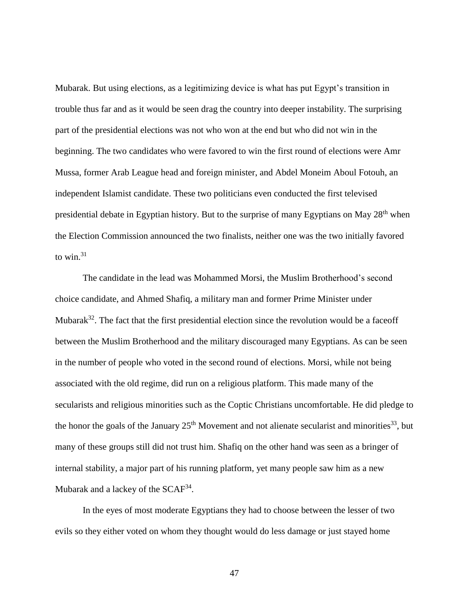Mubarak. But using elections, as a legitimizing device is what has put Egypt's transition in trouble thus far and as it would be seen drag the country into deeper instability. The surprising part of the presidential elections was not who won at the end but who did not win in the beginning. The two candidates who were favored to win the first round of elections were Amr Mussa, former Arab League head and foreign minister, and Abdel Moneim Aboul Fotouh, an independent Islamist candidate. These two politicians even conducted the first televised presidential debate in Egyptian history. But to the surprise of many Egyptians on May 28<sup>th</sup> when the Election Commission announced the two finalists, neither one was the two initially favored to win. $31$ 

The candidate in the lead was Mohammed Morsi, the Muslim Brotherhood's second choice candidate, and Ahmed Shafiq, a military man and former Prime Minister under Mubarak<sup>32</sup>. The fact that the first presidential election since the revolution would be a faceoff between the Muslim Brotherhood and the military discouraged many Egyptians. As can be seen in the number of people who voted in the second round of elections. Morsi, while not being associated with the old regime, did run on a religious platform. This made many of the secularists and religious minorities such as the Coptic Christians uncomfortable. He did pledge to the honor the goals of the January  $25<sup>th</sup>$  Movement and not alienate secularist and minorities<sup>33</sup>, but many of these groups still did not trust him. Shafiq on the other hand was seen as a bringer of internal stability, a major part of his running platform, yet many people saw him as a new Mubarak and a lackey of the  $SCAF^{34}$ .

In the eyes of most moderate Egyptians they had to choose between the lesser of two evils so they either voted on whom they thought would do less damage or just stayed home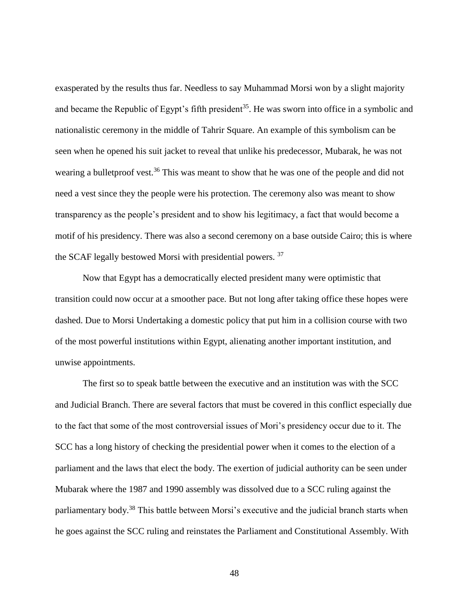exasperated by the results thus far. Needless to say Muhammad Morsi won by a slight majority and became the Republic of Egypt's fifth president<sup>35</sup>. He was sworn into office in a symbolic and nationalistic ceremony in the middle of Tahrir Square. An example of this symbolism can be seen when he opened his suit jacket to reveal that unlike his predecessor, Mubarak, he was not wearing a bulletproof vest.<sup>36</sup> This was meant to show that he was one of the people and did not need a vest since they the people were his protection. The ceremony also was meant to show transparency as the people's president and to show his legitimacy, a fact that would become a motif of his presidency. There was also a second ceremony on a base outside Cairo; this is where the SCAF legally bestowed Morsi with presidential powers. <sup>37</sup>

Now that Egypt has a democratically elected president many were optimistic that transition could now occur at a smoother pace. But not long after taking office these hopes were dashed. Due to Morsi Undertaking a domestic policy that put him in a collision course with two of the most powerful institutions within Egypt, alienating another important institution, and unwise appointments.

The first so to speak battle between the executive and an institution was with the SCC and Judicial Branch. There are several factors that must be covered in this conflict especially due to the fact that some of the most controversial issues of Mori's presidency occur due to it. The SCC has a long history of checking the presidential power when it comes to the election of a parliament and the laws that elect the body. The exertion of judicial authority can be seen under Mubarak where the 1987 and 1990 assembly was dissolved due to a SCC ruling against the parliamentary body.<sup>38</sup> This battle between Morsi's executive and the judicial branch starts when he goes against the SCC ruling and reinstates the Parliament and Constitutional Assembly. With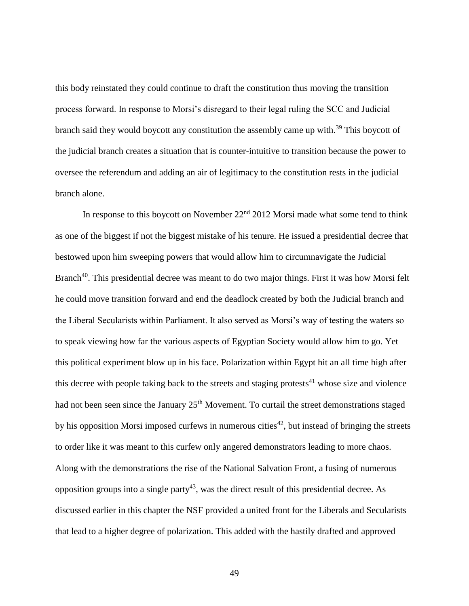this body reinstated they could continue to draft the constitution thus moving the transition process forward. In response to Morsi's disregard to their legal ruling the SCC and Judicial branch said they would boycott any constitution the assembly came up with.<sup>39</sup> This boycott of the judicial branch creates a situation that is counter-intuitive to transition because the power to oversee the referendum and adding an air of legitimacy to the constitution rests in the judicial branch alone.

In response to this boycott on November  $22<sup>nd</sup>$  2012 Morsi made what some tend to think as one of the biggest if not the biggest mistake of his tenure. He issued a presidential decree that bestowed upon him sweeping powers that would allow him to circumnavigate the Judicial Branch<sup>40</sup>. This presidential decree was meant to do two major things. First it was how Morsi felt he could move transition forward and end the deadlock created by both the Judicial branch and the Liberal Secularists within Parliament. It also served as Morsi's way of testing the waters so to speak viewing how far the various aspects of Egyptian Society would allow him to go. Yet this political experiment blow up in his face. Polarization within Egypt hit an all time high after this decree with people taking back to the streets and staging protests<sup>41</sup> whose size and violence had not been seen since the January 25<sup>th</sup> Movement. To curtail the street demonstrations staged by his opposition Morsi imposed curfews in numerous cities<sup>42</sup>, but instead of bringing the streets to order like it was meant to this curfew only angered demonstrators leading to more chaos. Along with the demonstrations the rise of the National Salvation Front, a fusing of numerous opposition groups into a single party<sup>43</sup>, was the direct result of this presidential decree. As discussed earlier in this chapter the NSF provided a united front for the Liberals and Secularists that lead to a higher degree of polarization. This added with the hastily drafted and approved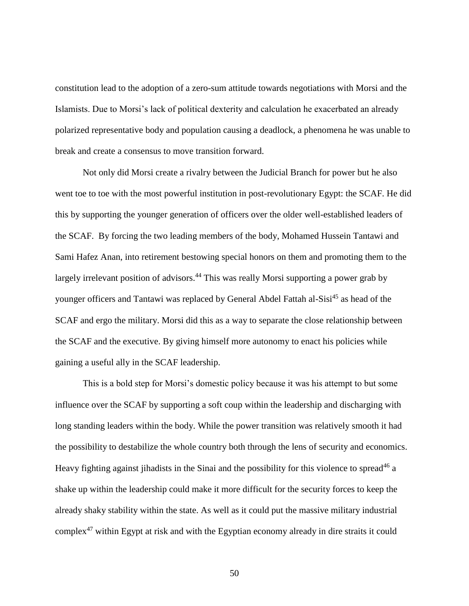constitution lead to the adoption of a zero-sum attitude towards negotiations with Morsi and the Islamists. Due to Morsi's lack of political dexterity and calculation he exacerbated an already polarized representative body and population causing a deadlock, a phenomena he was unable to break and create a consensus to move transition forward.

Not only did Morsi create a rivalry between the Judicial Branch for power but he also went toe to toe with the most powerful institution in post-revolutionary Egypt: the SCAF. He did this by supporting the younger generation of officers over the older well-established leaders of the SCAF. By forcing the two leading members of the body, Mohamed Hussein Tantawi and Sami Hafez Anan, into retirement bestowing special honors on them and promoting them to the largely irrelevant position of advisors.<sup>44</sup> This was really Morsi supporting a power grab by younger officers and Tantawi was replaced by General Abdel Fattah al-Sisi<sup>45</sup> as head of the SCAF and ergo the military. Morsi did this as a way to separate the close relationship between the SCAF and the executive. By giving himself more autonomy to enact his policies while gaining a useful ally in the SCAF leadership.

This is a bold step for Morsi's domestic policy because it was his attempt to but some influence over the SCAF by supporting a soft coup within the leadership and discharging with long standing leaders within the body. While the power transition was relatively smooth it had the possibility to destabilize the whole country both through the lens of security and economics. Heavy fighting against jihadists in the Sinai and the possibility for this violence to spread<sup>46</sup> a shake up within the leadership could make it more difficult for the security forces to keep the already shaky stability within the state. As well as it could put the massive military industrial complex<sup>47</sup> within Egypt at risk and with the Egyptian economy already in dire straits it could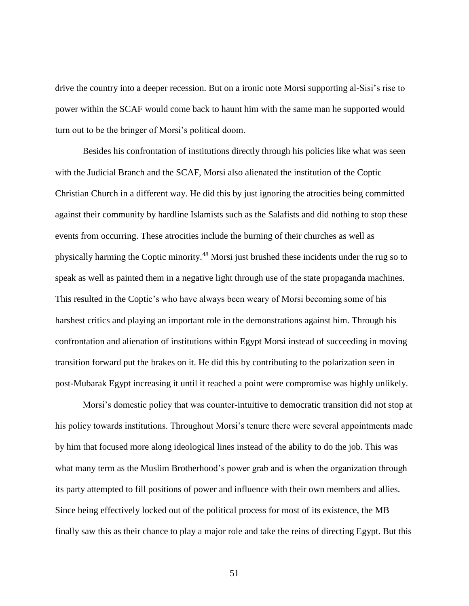drive the country into a deeper recession. But on a ironic note Morsi supporting al-Sisi's rise to power within the SCAF would come back to haunt him with the same man he supported would turn out to be the bringer of Morsi's political doom.

Besides his confrontation of institutions directly through his policies like what was seen with the Judicial Branch and the SCAF, Morsi also alienated the institution of the Coptic Christian Church in a different way. He did this by just ignoring the atrocities being committed against their community by hardline Islamists such as the Salafists and did nothing to stop these events from occurring. These atrocities include the burning of their churches as well as physically harming the Coptic minority.<sup>48</sup> Morsi just brushed these incidents under the rug so to speak as well as painted them in a negative light through use of the state propaganda machines. This resulted in the Coptic's who have always been weary of Morsi becoming some of his harshest critics and playing an important role in the demonstrations against him. Through his confrontation and alienation of institutions within Egypt Morsi instead of succeeding in moving transition forward put the brakes on it. He did this by contributing to the polarization seen in post-Mubarak Egypt increasing it until it reached a point were compromise was highly unlikely.

Morsi's domestic policy that was counter-intuitive to democratic transition did not stop at his policy towards institutions. Throughout Morsi's tenure there were several appointments made by him that focused more along ideological lines instead of the ability to do the job. This was what many term as the Muslim Brotherhood's power grab and is when the organization through its party attempted to fill positions of power and influence with their own members and allies. Since being effectively locked out of the political process for most of its existence, the MB finally saw this as their chance to play a major role and take the reins of directing Egypt. But this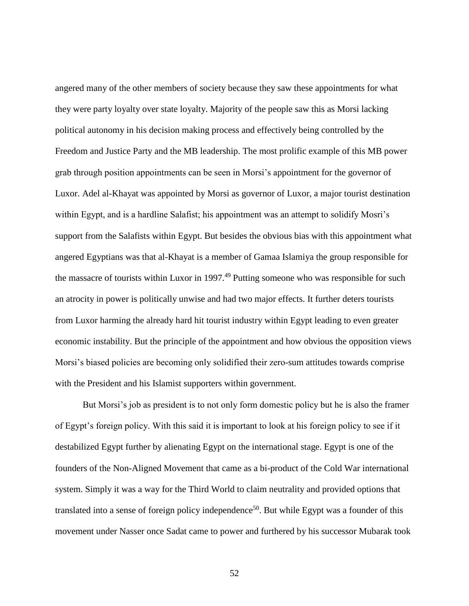angered many of the other members of society because they saw these appointments for what they were party loyalty over state loyalty. Majority of the people saw this as Morsi lacking political autonomy in his decision making process and effectively being controlled by the Freedom and Justice Party and the MB leadership. The most prolific example of this MB power grab through position appointments can be seen in Morsi's appointment for the governor of Luxor. Adel al-Khayat was appointed by Morsi as governor of Luxor, a major tourist destination within Egypt, and is a hardline Salafist; his appointment was an attempt to solidify Mosri's support from the Salafists within Egypt. But besides the obvious bias with this appointment what angered Egyptians was that al-Khayat is a member of Gamaa Islamiya the group responsible for the massacre of tourists within Luxor in 1997.<sup>49</sup> Putting someone who was responsible for such an atrocity in power is politically unwise and had two major effects. It further deters tourists from Luxor harming the already hard hit tourist industry within Egypt leading to even greater economic instability. But the principle of the appointment and how obvious the opposition views Morsi's biased policies are becoming only solidified their zero-sum attitudes towards comprise with the President and his Islamist supporters within government.

But Morsi's job as president is to not only form domestic policy but he is also the framer of Egypt's foreign policy. With this said it is important to look at his foreign policy to see if it destabilized Egypt further by alienating Egypt on the international stage. Egypt is one of the founders of the Non-Aligned Movement that came as a bi-product of the Cold War international system. Simply it was a way for the Third World to claim neutrality and provided options that translated into a sense of foreign policy independence<sup>50</sup>. But while Egypt was a founder of this movement under Nasser once Sadat came to power and furthered by his successor Mubarak took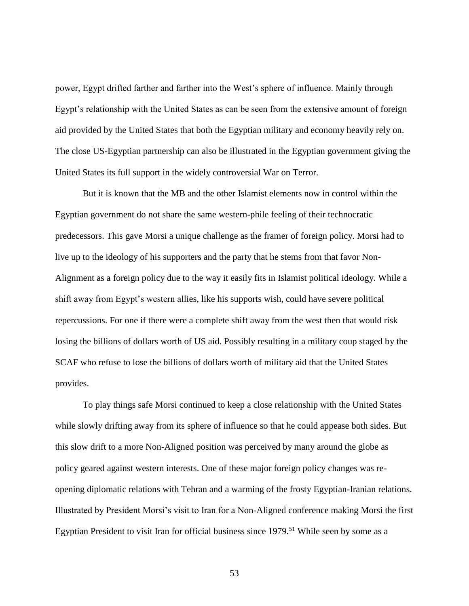power, Egypt drifted farther and farther into the West's sphere of influence. Mainly through Egypt's relationship with the United States as can be seen from the extensive amount of foreign aid provided by the United States that both the Egyptian military and economy heavily rely on. The close US-Egyptian partnership can also be illustrated in the Egyptian government giving the United States its full support in the widely controversial War on Terror.

But it is known that the MB and the other Islamist elements now in control within the Egyptian government do not share the same western-phile feeling of their technocratic predecessors. This gave Morsi a unique challenge as the framer of foreign policy. Morsi had to live up to the ideology of his supporters and the party that he stems from that favor Non-Alignment as a foreign policy due to the way it easily fits in Islamist political ideology. While a shift away from Egypt's western allies, like his supports wish, could have severe political repercussions. For one if there were a complete shift away from the west then that would risk losing the billions of dollars worth of US aid. Possibly resulting in a military coup staged by the SCAF who refuse to lose the billions of dollars worth of military aid that the United States provides.

To play things safe Morsi continued to keep a close relationship with the United States while slowly drifting away from its sphere of influence so that he could appease both sides. But this slow drift to a more Non-Aligned position was perceived by many around the globe as policy geared against western interests. One of these major foreign policy changes was reopening diplomatic relations with Tehran and a warming of the frosty Egyptian-Iranian relations. Illustrated by President Morsi's visit to Iran for a Non-Aligned conference making Morsi the first Egyptian President to visit Iran for official business since  $1979$ .<sup>51</sup> While seen by some as a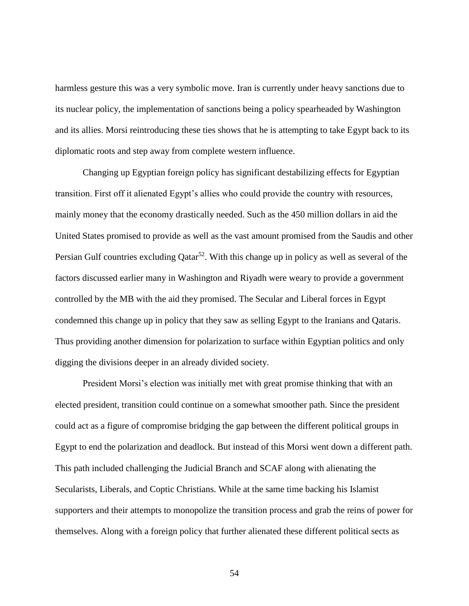harmless gesture this was a very symbolic move. Iran is currently under heavy sanctions due to its nuclear policy, the implementation of sanctions being a policy spearheaded by Washington and its allies. Morsi reintroducing these ties shows that he is attempting to take Egypt back to its diplomatic roots and step away from complete western influence.

Changing up Egyptian foreign policy has significant destabilizing effects for Egyptian transition. First off it alienated Egypt's allies who could provide the country with resources, mainly money that the economy drastically needed. Such as the 450 million dollars in aid the United States promised to provide as well as the vast amount promised from the Saudis and other Persian Gulf countries excluding  $Q_{\text{atar}}^{52}$ . With this change up in policy as well as several of the factors discussed earlier many in Washington and Riyadh were weary to provide a government controlled by the MB with the aid they promised. The Secular and Liberal forces in Egypt condemned this change up in policy that they saw as selling Egypt to the Iranians and Qataris. Thus providing another dimension for polarization to surface within Egyptian politics and only digging the divisions deeper in an already divided society.

President Morsi's election was initially met with great promise thinking that with an elected president, transition could continue on a somewhat smoother path. Since the president could act as a figure of compromise bridging the gap between the different political groups in Egypt to end the polarization and deadlock. But instead of this Morsi went down a different path. This path included challenging the Judicial Branch and SCAF along with alienating the Secularists, Liberals, and Coptic Christians. While at the same time backing his Islamist supporters and their attempts to monopolize the transition process and grab the reins of power for themselves. Along with a foreign policy that further alienated these different political sects as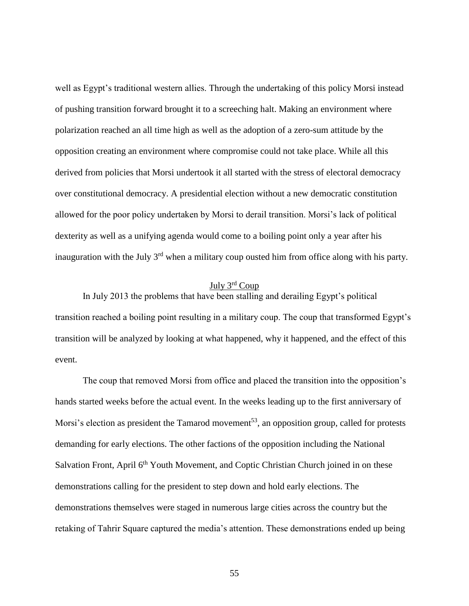well as Egypt's traditional western allies. Through the undertaking of this policy Morsi instead of pushing transition forward brought it to a screeching halt. Making an environment where polarization reached an all time high as well as the adoption of a zero-sum attitude by the opposition creating an environment where compromise could not take place. While all this derived from policies that Morsi undertook it all started with the stress of electoral democracy over constitutional democracy. A presidential election without a new democratic constitution allowed for the poor policy undertaken by Morsi to derail transition. Morsi's lack of political dexterity as well as a unifying agenda would come to a boiling point only a year after his inauguration with the July  $3<sup>rd</sup>$  when a military coup ousted him from office along with his party.

# July 3rd Coup

In July 2013 the problems that have been stalling and derailing Egypt's political transition reached a boiling point resulting in a military coup. The coup that transformed Egypt's transition will be analyzed by looking at what happened, why it happened, and the effect of this event.

The coup that removed Morsi from office and placed the transition into the opposition's hands started weeks before the actual event. In the weeks leading up to the first anniversary of Morsi's election as president the Tamarod movement<sup>53</sup>, an opposition group, called for protests demanding for early elections. The other factions of the opposition including the National Salvation Front, April 6<sup>th</sup> Youth Movement, and Coptic Christian Church joined in on these demonstrations calling for the president to step down and hold early elections. The demonstrations themselves were staged in numerous large cities across the country but the retaking of Tahrir Square captured the media's attention. These demonstrations ended up being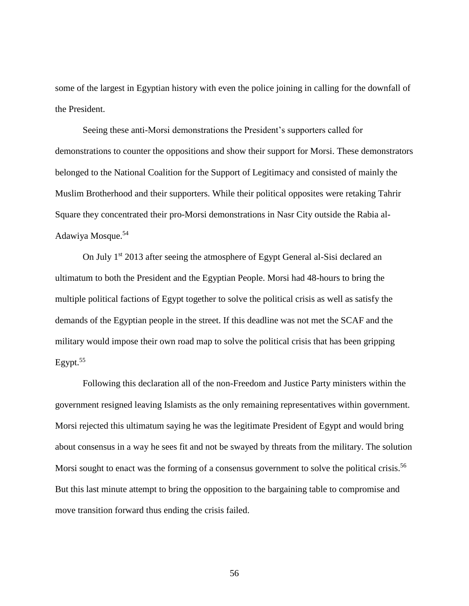some of the largest in Egyptian history with even the police joining in calling for the downfall of the President.

Seeing these anti-Morsi demonstrations the President's supporters called for demonstrations to counter the oppositions and show their support for Morsi. These demonstrators belonged to the National Coalition for the Support of Legitimacy and consisted of mainly the Muslim Brotherhood and their supporters. While their political opposites were retaking Tahrir Square they concentrated their pro-Morsi demonstrations in Nasr City outside the Rabia al-Adawiya Mosque.<sup>54</sup>

On July  $1<sup>st</sup>$  2013 after seeing the atmosphere of Egypt General al-Sisi declared an ultimatum to both the President and the Egyptian People. Morsi had 48-hours to bring the multiple political factions of Egypt together to solve the political crisis as well as satisfy the demands of the Egyptian people in the street. If this deadline was not met the SCAF and the military would impose their own road map to solve the political crisis that has been gripping Egypt. $55$ 

Following this declaration all of the non-Freedom and Justice Party ministers within the government resigned leaving Islamists as the only remaining representatives within government. Morsi rejected this ultimatum saying he was the legitimate President of Egypt and would bring about consensus in a way he sees fit and not be swayed by threats from the military. The solution Morsi sought to enact was the forming of a consensus government to solve the political crisis.<sup>56</sup> But this last minute attempt to bring the opposition to the bargaining table to compromise and move transition forward thus ending the crisis failed.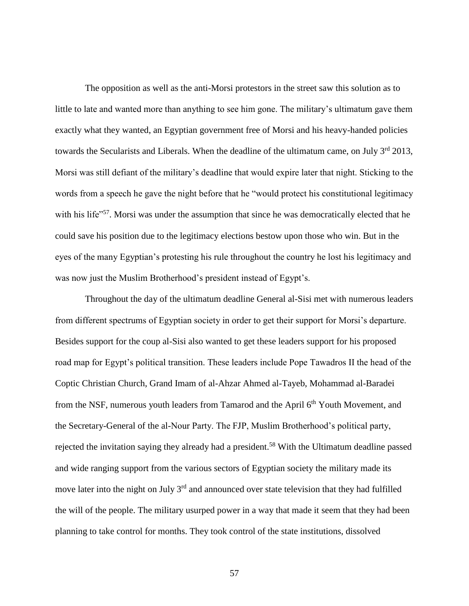The opposition as well as the anti-Morsi protestors in the street saw this solution as to little to late and wanted more than anything to see him gone. The military's ultimatum gave them exactly what they wanted, an Egyptian government free of Morsi and his heavy-handed policies towards the Secularists and Liberals. When the deadline of the ultimatum came, on July  $3<sup>rd</sup> 2013$ , Morsi was still defiant of the military's deadline that would expire later that night. Sticking to the words from a speech he gave the night before that he "would protect his constitutional legitimacy with his life<sup>"57</sup>. Morsi was under the assumption that since he was democratically elected that he could save his position due to the legitimacy elections bestow upon those who win. But in the eyes of the many Egyptian's protesting his rule throughout the country he lost his legitimacy and was now just the Muslim Brotherhood's president instead of Egypt's.

Throughout the day of the ultimatum deadline General al-Sisi met with numerous leaders from different spectrums of Egyptian society in order to get their support for Morsi's departure. Besides support for the coup al-Sisi also wanted to get these leaders support for his proposed road map for Egypt's political transition. These leaders include Pope Tawadros II the head of the Coptic Christian Church, Grand Imam of al-Ahzar Ahmed al-Tayeb, Mohammad al-Baradei from the NSF, numerous youth leaders from Tamarod and the April 6<sup>th</sup> Youth Movement, and the Secretary-General of the al-Nour Party. The FJP, Muslim Brotherhood's political party, rejected the invitation saying they already had a president.<sup>58</sup> With the Ultimatum deadline passed and wide ranging support from the various sectors of Egyptian society the military made its move later into the night on July 3<sup>rd</sup> and announced over state television that they had fulfilled the will of the people. The military usurped power in a way that made it seem that they had been planning to take control for months. They took control of the state institutions, dissolved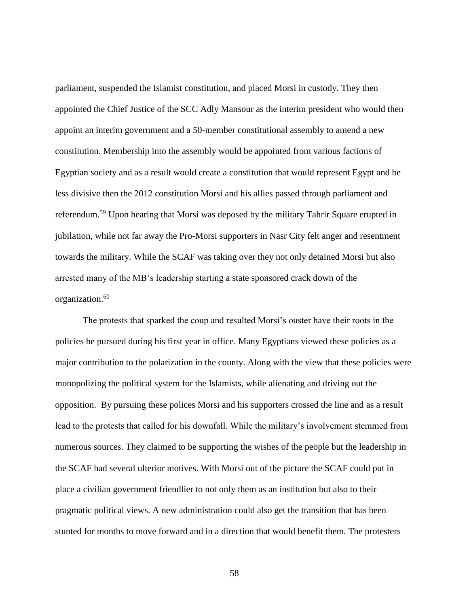parliament, suspended the Islamist constitution, and placed Morsi in custody. They then appointed the Chief Justice of the SCC Adly Mansour as the interim president who would then appoint an interim government and a 50-member constitutional assembly to amend a new constitution. Membership into the assembly would be appointed from various factions of Egyptian society and as a result would create a constitution that would represent Egypt and be less divisive then the 2012 constitution Morsi and his allies passed through parliament and referendum.<sup>59</sup> Upon hearing that Morsi was deposed by the military Tahrir Square erupted in jubilation, while not far away the Pro-Morsi supporters in Nasr City felt anger and resentment towards the military. While the SCAF was taking over they not only detained Morsi but also arrested many of the MB's leadership starting a state sponsored crack down of the organization.<sup>60</sup>

The protests that sparked the coup and resulted Morsi's ouster have their roots in the policies he pursued during his first year in office. Many Egyptians viewed these policies as a major contribution to the polarization in the county. Along with the view that these policies were monopolizing the political system for the Islamists, while alienating and driving out the opposition. By pursuing these polices Morsi and his supporters crossed the line and as a result lead to the protests that called for his downfall. While the military's involvement stemmed from numerous sources. They claimed to be supporting the wishes of the people but the leadership in the SCAF had several ulterior motives. With Morsi out of the picture the SCAF could put in place a civilian government friendlier to not only them as an institution but also to their pragmatic political views. A new administration could also get the transition that has been stunted for months to move forward and in a direction that would benefit them. The protesters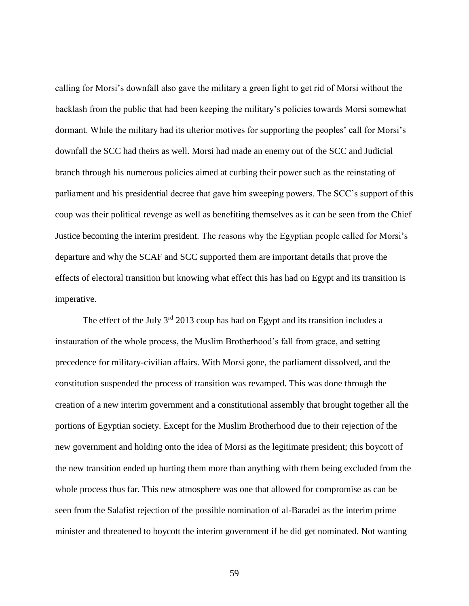calling for Morsi's downfall also gave the military a green light to get rid of Morsi without the backlash from the public that had been keeping the military's policies towards Morsi somewhat dormant. While the military had its ulterior motives for supporting the peoples' call for Morsi's downfall the SCC had theirs as well. Morsi had made an enemy out of the SCC and Judicial branch through his numerous policies aimed at curbing their power such as the reinstating of parliament and his presidential decree that gave him sweeping powers. The SCC's support of this coup was their political revenge as well as benefiting themselves as it can be seen from the Chief Justice becoming the interim president. The reasons why the Egyptian people called for Morsi's departure and why the SCAF and SCC supported them are important details that prove the effects of electoral transition but knowing what effect this has had on Egypt and its transition is imperative.

The effect of the July  $3<sup>rd</sup>$  2013 coup has had on Egypt and its transition includes a instauration of the whole process, the Muslim Brotherhood's fall from grace, and setting precedence for military-civilian affairs. With Morsi gone, the parliament dissolved, and the constitution suspended the process of transition was revamped. This was done through the creation of a new interim government and a constitutional assembly that brought together all the portions of Egyptian society. Except for the Muslim Brotherhood due to their rejection of the new government and holding onto the idea of Morsi as the legitimate president; this boycott of the new transition ended up hurting them more than anything with them being excluded from the whole process thus far. This new atmosphere was one that allowed for compromise as can be seen from the Salafist rejection of the possible nomination of al-Baradei as the interim prime minister and threatened to boycott the interim government if he did get nominated. Not wanting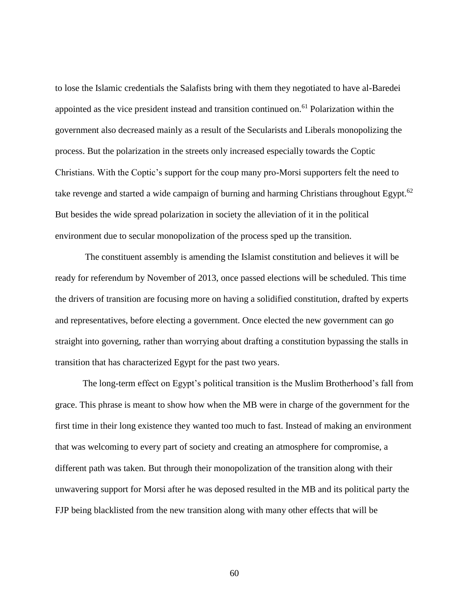to lose the Islamic credentials the Salafists bring with them they negotiated to have al-Baredei appointed as the vice president instead and transition continued on.<sup>61</sup> Polarization within the government also decreased mainly as a result of the Secularists and Liberals monopolizing the process. But the polarization in the streets only increased especially towards the Coptic Christians. With the Coptic's support for the coup many pro-Morsi supporters felt the need to take revenge and started a wide campaign of burning and harming Christians throughout Egypt.<sup>62</sup> But besides the wide spread polarization in society the alleviation of it in the political environment due to secular monopolization of the process sped up the transition.

The constituent assembly is amending the Islamist constitution and believes it will be ready for referendum by November of 2013, once passed elections will be scheduled. This time the drivers of transition are focusing more on having a solidified constitution, drafted by experts and representatives, before electing a government. Once elected the new government can go straight into governing, rather than worrying about drafting a constitution bypassing the stalls in transition that has characterized Egypt for the past two years.

The long-term effect on Egypt's political transition is the Muslim Brotherhood's fall from grace. This phrase is meant to show how when the MB were in charge of the government for the first time in their long existence they wanted too much to fast. Instead of making an environment that was welcoming to every part of society and creating an atmosphere for compromise, a different path was taken. But through their monopolization of the transition along with their unwavering support for Morsi after he was deposed resulted in the MB and its political party the FJP being blacklisted from the new transition along with many other effects that will be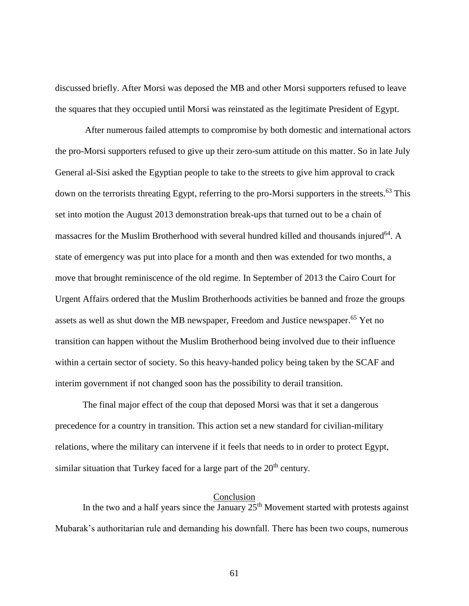discussed briefly. After Morsi was deposed the MB and other Morsi supporters refused to leave the squares that they occupied until Morsi was reinstated as the legitimate President of Egypt.

After numerous failed attempts to compromise by both domestic and international actors the pro-Morsi supporters refused to give up their zero-sum attitude on this matter. So in late July General al-Sisi asked the Egyptian people to take to the streets to give him approval to crack down on the terrorists threating Egypt, referring to the pro-Morsi supporters in the streets.<sup>63</sup> This set into motion the August 2013 demonstration break-ups that turned out to be a chain of massacres for the Muslim Brotherhood with several hundred killed and thousands injured<sup>64</sup>. A state of emergency was put into place for a month and then was extended for two months, a move that brought reminiscence of the old regime. In September of 2013 the Cairo Court for Urgent Affairs ordered that the Muslim Brotherhoods activities be banned and froze the groups assets as well as shut down the MB newspaper, Freedom and Justice newspaper.<sup>65</sup> Yet no transition can happen without the Muslim Brotherhood being involved due to their influence within a certain sector of society. So this heavy-handed policy being taken by the SCAF and interim government if not changed soon has the possibility to derail transition.

The final major effect of the coup that deposed Morsi was that it set a dangerous precedence for a country in transition. This action set a new standard for civilian-military relations, where the military can intervene if it feels that needs to in order to protect Egypt, similar situation that Turkey faced for a large part of the  $20<sup>th</sup>$  century.

#### Conclusion

In the two and a half years since the January  $25<sup>th</sup>$  Movement started with protests against Mubarak's authoritarian rule and demanding his downfall. There has been two coups, numerous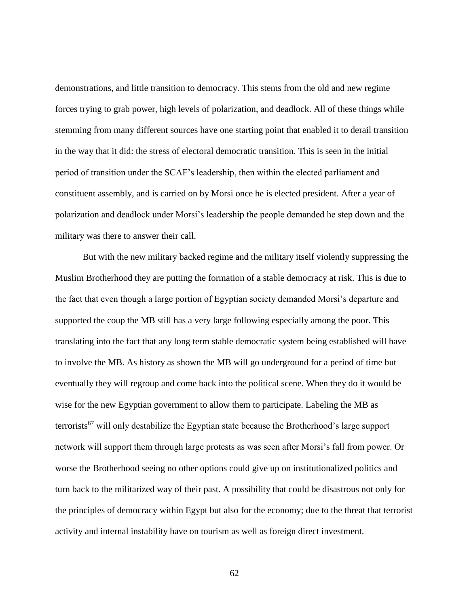demonstrations, and little transition to democracy. This stems from the old and new regime forces trying to grab power, high levels of polarization, and deadlock. All of these things while stemming from many different sources have one starting point that enabled it to derail transition in the way that it did: the stress of electoral democratic transition. This is seen in the initial period of transition under the SCAF's leadership, then within the elected parliament and constituent assembly, and is carried on by Morsi once he is elected president. After a year of polarization and deadlock under Morsi's leadership the people demanded he step down and the military was there to answer their call.

But with the new military backed regime and the military itself violently suppressing the Muslim Brotherhood they are putting the formation of a stable democracy at risk. This is due to the fact that even though a large portion of Egyptian society demanded Morsi's departure and supported the coup the MB still has a very large following especially among the poor. This translating into the fact that any long term stable democratic system being established will have to involve the MB. As history as shown the MB will go underground for a period of time but eventually they will regroup and come back into the political scene. When they do it would be wise for the new Egyptian government to allow them to participate. Labeling the MB as terrorists<sup>67</sup> will only destabilize the Egyptian state because the Brotherhood's large support network will support them through large protests as was seen after Morsi's fall from power. Or worse the Brotherhood seeing no other options could give up on institutionalized politics and turn back to the militarized way of their past. A possibility that could be disastrous not only for the principles of democracy within Egypt but also for the economy; due to the threat that terrorist activity and internal instability have on tourism as well as foreign direct investment.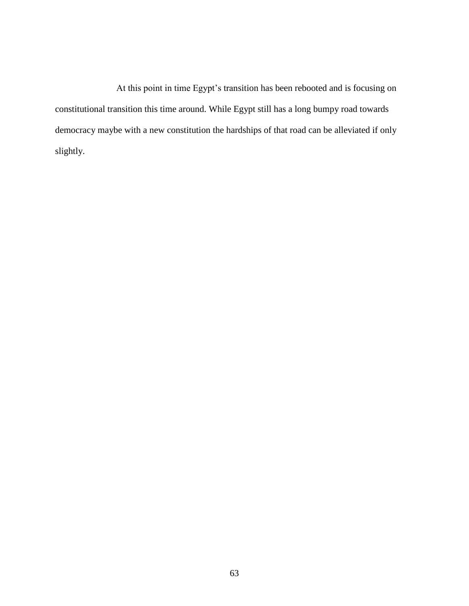At this point in time Egypt's transition has been rebooted and is focusing on constitutional transition this time around. While Egypt still has a long bumpy road towards democracy maybe with a new constitution the hardships of that road can be alleviated if only slightly.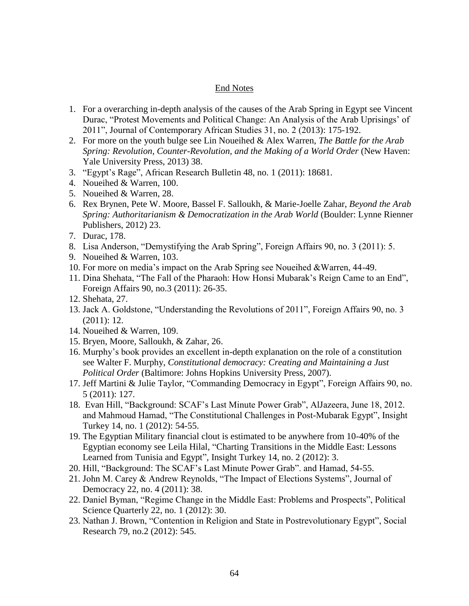## End Notes

- 1. For a overarching in-depth analysis of the causes of the Arab Spring in Egypt see Vincent Durac, "Protest Movements and Political Change: An Analysis of the Arab Uprisings' of 2011", Journal of Contemporary African Studies 31, no. 2 (2013): 175-192.
- 2. For more on the youth bulge see Lin Noueihed & Alex Warren, *The Battle for the Arab Spring: Revolution, Counter-Revolution, and the Making of a World Order* (New Haven: Yale University Press, 2013) 38.
- 3. "Egypt's Rage", African Research Bulletin 48, no. 1 (2011): 18681.
- 4. Noueihed & Warren, 100.
- 5. Noueihed & Warren, 28.
- 6. Rex Brynen, Pete W. Moore, Bassel F. Salloukh, & Marie-Joelle Zahar, *Beyond the Arab Spring: Authoritarianism & Democratization in the Arab World* (Boulder: Lynne Rienner Publishers, 2012) 23.
- 7. Durac, 178.
- 8. Lisa Anderson, "Demystifying the Arab Spring", Foreign Affairs 90, no. 3 (2011): 5.
- 9. Noueihed & Warren, 103.
- 10. For more on media's impact on the Arab Spring see Noueihed &Warren, 44-49.
- 11. Dina Shehata, "The Fall of the Pharaoh: How Honsi Mubarak's Reign Came to an End", Foreign Affairs 90, no.3 (2011): 26-35.
- 12. Shehata, 27.
- 13. Jack A. Goldstone, "Understanding the Revolutions of 2011", Foreign Affairs 90, no. 3 (2011): 12.
- 14. Noueihed & Warren, 109.
- 15. Bryen, Moore, Salloukh, & Zahar, 26.
- 16. Murphy's book provides an excellent in-depth explanation on the role of a constitution see Walter F. Murphy, *Constitutional democracy: Creating and Maintaining a Just Political Order* (Baltimore: Johns Hopkins University Press, 2007).
- 17. Jeff Martini & Julie Taylor, "Commanding Democracy in Egypt", Foreign Affairs 90, no. 5 (2011): 127.
- 18. Evan Hill, "Background: SCAF's Last Minute Power Grab", AlJazeera, June 18, 2012. and Mahmoud Hamad, "The Constitutional Challenges in Post-Mubarak Egypt", Insight Turkey 14, no. 1 (2012): 54-55.
- 19. The Egyptian Military financial clout is estimated to be anywhere from 10-40% of the Egyptian economy see Leila Hilal, "Charting Transitions in the Middle East: Lessons Learned from Tunisia and Egypt", Insight Turkey 14, no. 2 (2012): 3.
- 20. Hill, "Background: The SCAF's Last Minute Power Grab". and Hamad, 54-55.
- 21. John M. Carey & Andrew Reynolds, "The Impact of Elections Systems", Journal of Democracy 22, no. 4 (2011): 38.
- 22. Daniel Byman, "Regime Change in the Middle East: Problems and Prospects", Political Science Quarterly 22, no. 1 (2012): 30.
- 23. Nathan J. Brown, "Contention in Religion and State in Postrevolutionary Egypt", Social Research 79, no.2 (2012): 545.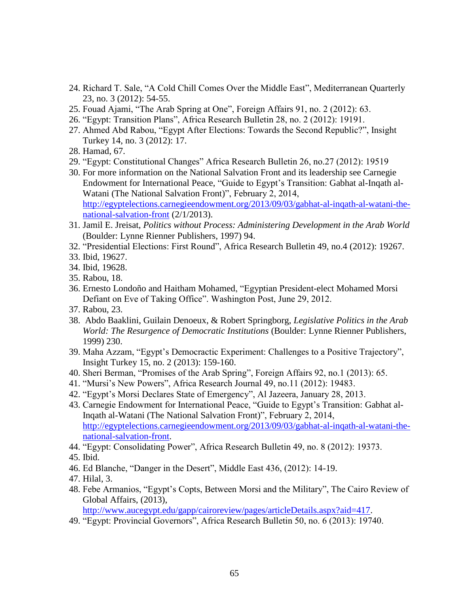- 24. Richard T. Sale, "A Cold Chill Comes Over the Middle East", Mediterranean Quarterly 23, no. 3 (2012): 54-55.
- 25. Fouad Ajami, "The Arab Spring at One", Foreign Affairs 91, no. 2 (2012): 63.
- 26. "Egypt: Transition Plans", Africa Research Bulletin 28, no. 2 (2012): 19191.
- 27. Ahmed Abd Rabou, "Egypt After Elections: Towards the Second Republic?", Insight Turkey 14, no. 3 (2012): 17.
- 28. Hamad, 67.
- 29. "Egypt: Constitutional Changes" Africa Research Bulletin 26, no.27 (2012): 19519
- 30. For more information on the National Salvation Front and its leadership see Carnegie Endowment for International Peace, "Guide to Egypt's Transition: Gabhat al-Inqath al-Watani (The National Salvation Front)", February 2, 2014, [http://egyptelections.carnegieendowment.org/2013/09/03/gabhat-al-inqath-al-watani-the](http://egyptelections.carnegieendowment.org/2013/09/03/gabhat-al-inqath-al-watani-the-national-salvation-front)[national-salvation-front](http://egyptelections.carnegieendowment.org/2013/09/03/gabhat-al-inqath-al-watani-the-national-salvation-front) (2/1/2013).
- 31. Jamil E. Jreisat, *Politics without Process: Administering Development in the Arab World*  (Boulder: Lynne Rienner Publishers, 1997) 94.
- 32. "Presidential Elections: First Round", Africa Research Bulletin 49, no.4 (2012): 19267.
- 33. Ibid, 19627.
- 34. Ibid, 19628.
- 35. Rabou, 18.
- 36. Ernesto Londoño and Haitham Mohamed, "Egyptian President-elect Mohamed Morsi Defiant on Eve of Taking Office". Washington Post, June 29, 2012.
- 37. Rabou, 23.
- 38. Abdo Baaklini, Guilain Denoeux, & Robert Springborg, *Legislative Politics in the Arab World: The Resurgence of Democratic Institutions* (Boulder: Lynne Rienner Publishers, 1999) 230.
- 39. Maha Azzam, "Egypt's Democractic Experiment: Challenges to a Positive Trajectory", Insight Turkey 15, no. 2 (2013): 159-160.
- 40. Sheri Berman, "Promises of the Arab Spring", Foreign Affairs 92, no.1 (2013): 65.
- 41. "Mursi's New Powers", Africa Research Journal 49, no.11 (2012): 19483.
- 42. "Egypt's Morsi Declares State of Emergency", Al Jazeera, January 28, 2013.
- 43. Carnegie Endowment for International Peace, "Guide to Egypt's Transition: Gabhat al-Inqath al-Watani (The National Salvation Front)", February 2, 2014, [http://egyptelections.carnegieendowment.org/2013/09/03/gabhat-al-inqath-al-watani-the](http://egyptelections.carnegieendowment.org/2013/09/03/gabhat-al-inqath-al-watani-the-national-salvation-front)[national-salvation-front.](http://egyptelections.carnegieendowment.org/2013/09/03/gabhat-al-inqath-al-watani-the-national-salvation-front)
- 44. "Egypt: Consolidating Power", Africa Research Bulletin 49, no. 8 (2012): 19373.
- 45. Ibid.
- 46. Ed Blanche, "Danger in the Desert", Middle East 436, (2012): 14-19.
- 47. Hilal, 3.
- 48. Febe Armanios, "Egypt's Copts, Between Morsi and the Military", The Cairo Review of Global Affairs, (2013),

[http://www.aucegypt.edu/gapp/cairoreview/pages/articleDetails.aspx?aid=417.](http://www.aucegypt.edu/gapp/cairoreview/pages/articleDetails.aspx?aid=417)

49. "Egypt: Provincial Governors", Africa Research Bulletin 50, no. 6 (2013): 19740.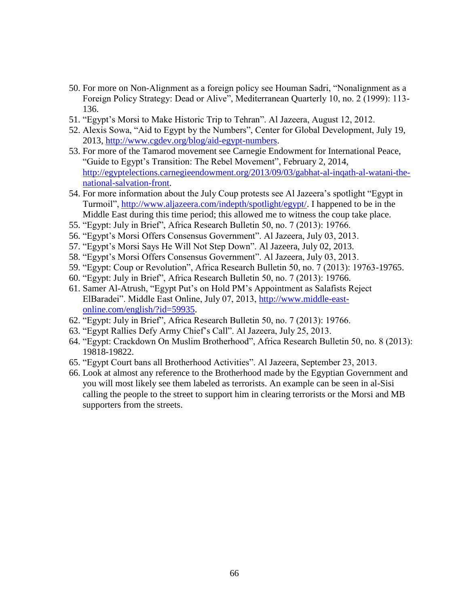- 50. For more on Non-Alignment as a foreign policy see Houman Sadri, "Nonalignment as a Foreign Policy Strategy: Dead or Alive", Mediterranean Quarterly 10, no. 2 (1999): 113- 136.
- 51. "Egypt's Morsi to Make Historic Trip to Tehran". Al Jazeera, August 12, 2012.
- 52. Alexis Sowa, "Aid to Egypt by the Numbers", Center for Global Development, July 19, 2013, [http://www.cgdev.org/blog/aid-egypt-numbers.](http://www.cgdev.org/blog/aid-egypt-numbers)
- 53. For more of the Tamarod movement see Carnegie Endowment for International Peace, "Guide to Egypt's Transition: The Rebel Movement", February 2, 2014, [http://egyptelections.carnegieendowment.org/2013/09/03/gabhat-al-inqath-al-watani-the](http://egyptelections.carnegieendowment.org/2013/09/03/gabhat-al-inqath-al-watani-the-national-salvation-front)[national-salvation-front.](http://egyptelections.carnegieendowment.org/2013/09/03/gabhat-al-inqath-al-watani-the-national-salvation-front)
- 54. For more information about the July Coup protests see Al Jazeera's spotlight "Egypt in Turmoil", [http://www.aljazeera.com/indepth/spotlight/egypt/.](http://www.aljazeera.com/indepth/spotlight/egypt/) I happened to be in the Middle East during this time period; this allowed me to witness the coup take place.
- 55. "Egypt: July in Brief", Africa Research Bulletin 50, no. 7 (2013): 19766.
- 56. "Egypt's Morsi Offers Consensus Government". Al Jazeera, July 03, 2013.
- 57. "Egypt's Morsi Says He Will Not Step Down". Al Jazeera, July 02, 2013.
- 58. "Egypt's Morsi Offers Consensus Government". Al Jazeera, July 03, 2013.
- 59. "Egypt: Coup or Revolution", Africa Research Bulletin 50, no. 7 (2013): 19763-19765.
- 60. "Egypt: July in Brief", Africa Research Bulletin 50, no. 7 (2013): 19766.
- 61. Samer Al-Atrush, "Egypt Put's on Hold PM's Appointment as Salafists Reject ElBaradei". Middle East Online, July 07, 2013, [http://www.middle-east](http://www.middle-east-online.com/english/?id=59935)[online.com/english/?id=59935.](http://www.middle-east-online.com/english/?id=59935)
- 62. "Egypt: July in Brief", Africa Research Bulletin 50, no. 7 (2013): 19766.
- 63. "Egypt Rallies Defy Army Chief's Call". Al Jazeera, July 25, 2013.
- 64. "Egypt: Crackdown On Muslim Brotherhood", Africa Research Bulletin 50, no. 8 (2013): 19818-19822.
- 65. "Egypt Court bans all Brotherhood Activities". Al Jazeera, September 23, 2013.
- 66. Look at almost any reference to the Brotherhood made by the Egyptian Government and you will most likely see them labeled as terrorists. An example can be seen in al-Sisi calling the people to the street to support him in clearing terrorists or the Morsi and MB supporters from the streets.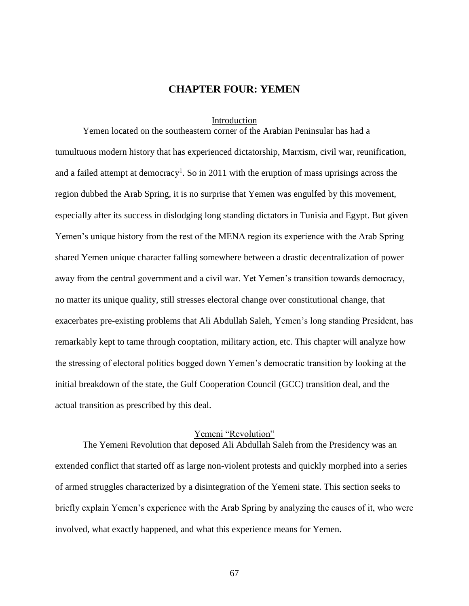## **CHAPTER FOUR: YEMEN**

#### Introduction

Yemen located on the southeastern corner of the Arabian Peninsular has had a tumultuous modern history that has experienced dictatorship, Marxism, civil war, reunification, and a failed attempt at democracy<sup>1</sup>. So in 2011 with the eruption of mass uprisings across the region dubbed the Arab Spring, it is no surprise that Yemen was engulfed by this movement, especially after its success in dislodging long standing dictators in Tunisia and Egypt. But given Yemen's unique history from the rest of the MENA region its experience with the Arab Spring shared Yemen unique character falling somewhere between a drastic decentralization of power away from the central government and a civil war. Yet Yemen's transition towards democracy, no matter its unique quality, still stresses electoral change over constitutional change, that exacerbates pre-existing problems that Ali Abdullah Saleh, Yemen's long standing President, has remarkably kept to tame through cooptation, military action, etc. This chapter will analyze how the stressing of electoral politics bogged down Yemen's democratic transition by looking at the initial breakdown of the state, the Gulf Cooperation Council (GCC) transition deal, and the actual transition as prescribed by this deal.

### Yemeni "Revolution"

The Yemeni Revolution that deposed Ali Abdullah Saleh from the Presidency was an extended conflict that started off as large non-violent protests and quickly morphed into a series of armed struggles characterized by a disintegration of the Yemeni state. This section seeks to briefly explain Yemen's experience with the Arab Spring by analyzing the causes of it, who were involved, what exactly happened, and what this experience means for Yemen.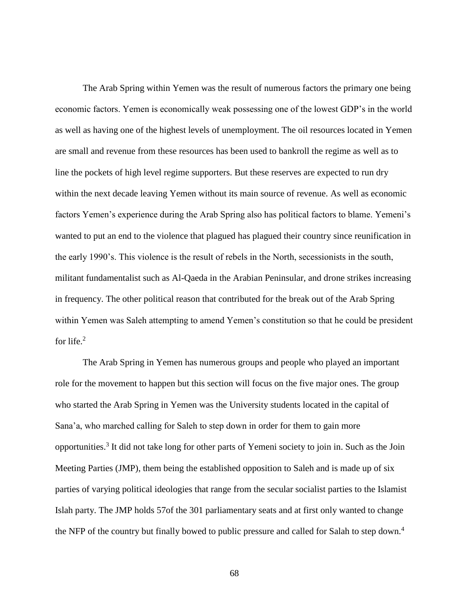The Arab Spring within Yemen was the result of numerous factors the primary one being economic factors. Yemen is economically weak possessing one of the lowest GDP's in the world as well as having one of the highest levels of unemployment. The oil resources located in Yemen are small and revenue from these resources has been used to bankroll the regime as well as to line the pockets of high level regime supporters. But these reserves are expected to run dry within the next decade leaving Yemen without its main source of revenue. As well as economic factors Yemen's experience during the Arab Spring also has political factors to blame. Yemeni's wanted to put an end to the violence that plagued has plagued their country since reunification in the early 1990's. This violence is the result of rebels in the North, secessionists in the south, militant fundamentalist such as Al-Qaeda in the Arabian Peninsular, and drone strikes increasing in frequency. The other political reason that contributed for the break out of the Arab Spring within Yemen was Saleh attempting to amend Yemen's constitution so that he could be president for life. $2$ 

The Arab Spring in Yemen has numerous groups and people who played an important role for the movement to happen but this section will focus on the five major ones. The group who started the Arab Spring in Yemen was the University students located in the capital of Sana'a, who marched calling for Saleh to step down in order for them to gain more opportunities.<sup>3</sup> It did not take long for other parts of Yemeni society to join in. Such as the Join Meeting Parties (JMP), them being the established opposition to Saleh and is made up of six parties of varying political ideologies that range from the secular socialist parties to the Islamist Islah party. The JMP holds 57of the 301 parliamentary seats and at first only wanted to change the NFP of the country but finally bowed to public pressure and called for Salah to step down.<sup>4</sup>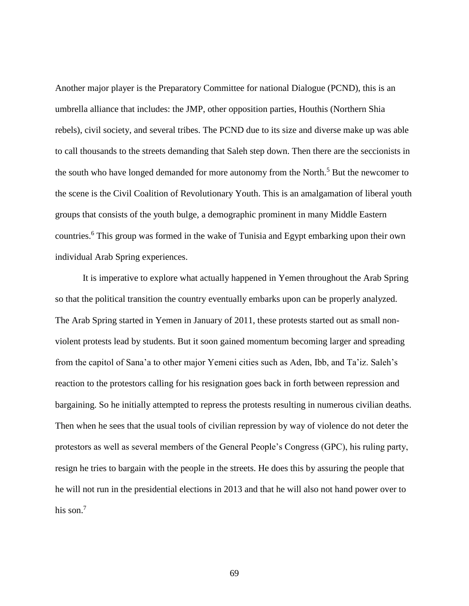Another major player is the Preparatory Committee for national Dialogue (PCND), this is an umbrella alliance that includes: the JMP, other opposition parties, Houthis (Northern Shia rebels), civil society, and several tribes. The PCND due to its size and diverse make up was able to call thousands to the streets demanding that Saleh step down. Then there are the seccionists in the south who have longed demanded for more autonomy from the North.<sup>5</sup> But the newcomer to the scene is the Civil Coalition of Revolutionary Youth. This is an amalgamation of liberal youth groups that consists of the youth bulge, a demographic prominent in many Middle Eastern countries.<sup>6</sup> This group was formed in the wake of Tunisia and Egypt embarking upon their own individual Arab Spring experiences.

It is imperative to explore what actually happened in Yemen throughout the Arab Spring so that the political transition the country eventually embarks upon can be properly analyzed. The Arab Spring started in Yemen in January of 2011, these protests started out as small nonviolent protests lead by students. But it soon gained momentum becoming larger and spreading from the capitol of Sana'a to other major Yemeni cities such as Aden, Ibb, and Ta'iz. Saleh's reaction to the protestors calling for his resignation goes back in forth between repression and bargaining. So he initially attempted to repress the protests resulting in numerous civilian deaths. Then when he sees that the usual tools of civilian repression by way of violence do not deter the protestors as well as several members of the General People's Congress (GPC), his ruling party, resign he tries to bargain with the people in the streets. He does this by assuring the people that he will not run in the presidential elections in 2013 and that he will also not hand power over to his son.<sup>7</sup>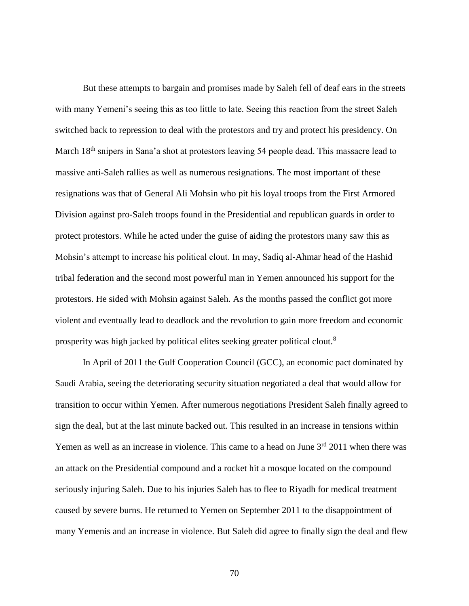But these attempts to bargain and promises made by Saleh fell of deaf ears in the streets with many Yemeni's seeing this as too little to late. Seeing this reaction from the street Saleh switched back to repression to deal with the protestors and try and protect his presidency. On March 18<sup>th</sup> snipers in Sana'a shot at protestors leaving 54 people dead. This massacre lead to massive anti-Saleh rallies as well as numerous resignations. The most important of these resignations was that of General Ali Mohsin who pit his loyal troops from the First Armored Division against pro-Saleh troops found in the Presidential and republican guards in order to protect protestors. While he acted under the guise of aiding the protestors many saw this as Mohsin's attempt to increase his political clout. In may, Sadiq al-Ahmar head of the Hashid tribal federation and the second most powerful man in Yemen announced his support for the protestors. He sided with Mohsin against Saleh. As the months passed the conflict got more violent and eventually lead to deadlock and the revolution to gain more freedom and economic prosperity was high jacked by political elites seeking greater political clout.<sup>8</sup>

In April of 2011 the Gulf Cooperation Council (GCC), an economic pact dominated by Saudi Arabia, seeing the deteriorating security situation negotiated a deal that would allow for transition to occur within Yemen. After numerous negotiations President Saleh finally agreed to sign the deal, but at the last minute backed out. This resulted in an increase in tensions within Yemen as well as an increase in violence. This came to a head on June  $3<sup>rd</sup>$  2011 when there was an attack on the Presidential compound and a rocket hit a mosque located on the compound seriously injuring Saleh. Due to his injuries Saleh has to flee to Riyadh for medical treatment caused by severe burns. He returned to Yemen on September 2011 to the disappointment of many Yemenis and an increase in violence. But Saleh did agree to finally sign the deal and flew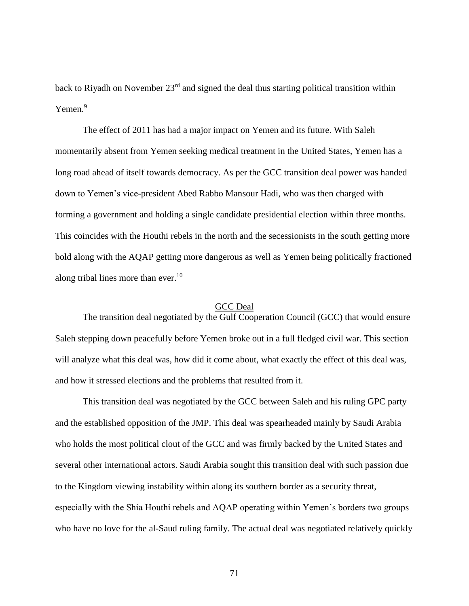back to Riyadh on November 23<sup>rd</sup> and signed the deal thus starting political transition within Yemen.<sup>9</sup>

The effect of 2011 has had a major impact on Yemen and its future. With Saleh momentarily absent from Yemen seeking medical treatment in the United States, Yemen has a long road ahead of itself towards democracy. As per the GCC transition deal power was handed down to Yemen's vice-president Abed Rabbo Mansour Hadi, who was then charged with forming a government and holding a single candidate presidential election within three months. This coincides with the Houthi rebels in the north and the secessionists in the south getting more bold along with the AQAP getting more dangerous as well as Yemen being politically fractioned along tribal lines more than ever.<sup>10</sup>

#### GCC Deal

The transition deal negotiated by the Gulf Cooperation Council (GCC) that would ensure Saleh stepping down peacefully before Yemen broke out in a full fledged civil war. This section will analyze what this deal was, how did it come about, what exactly the effect of this deal was, and how it stressed elections and the problems that resulted from it.

This transition deal was negotiated by the GCC between Saleh and his ruling GPC party and the established opposition of the JMP. This deal was spearheaded mainly by Saudi Arabia who holds the most political clout of the GCC and was firmly backed by the United States and several other international actors. Saudi Arabia sought this transition deal with such passion due to the Kingdom viewing instability within along its southern border as a security threat, especially with the Shia Houthi rebels and AQAP operating within Yemen's borders two groups who have no love for the al-Saud ruling family. The actual deal was negotiated relatively quickly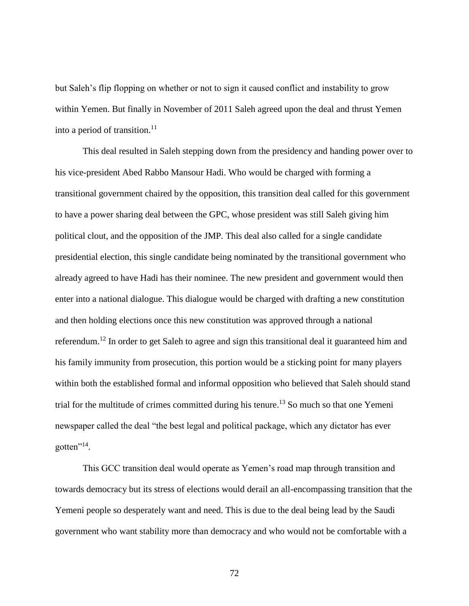but Saleh's flip flopping on whether or not to sign it caused conflict and instability to grow within Yemen. But finally in November of 2011 Saleh agreed upon the deal and thrust Yemen into a period of transition. $11$ 

This deal resulted in Saleh stepping down from the presidency and handing power over to his vice-president Abed Rabbo Mansour Hadi. Who would be charged with forming a transitional government chaired by the opposition, this transition deal called for this government to have a power sharing deal between the GPC, whose president was still Saleh giving him political clout, and the opposition of the JMP. This deal also called for a single candidate presidential election, this single candidate being nominated by the transitional government who already agreed to have Hadi has their nominee. The new president and government would then enter into a national dialogue. This dialogue would be charged with drafting a new constitution and then holding elections once this new constitution was approved through a national referendum.<sup>12</sup> In order to get Saleh to agree and sign this transitional deal it guaranteed him and his family immunity from prosecution, this portion would be a sticking point for many players within both the established formal and informal opposition who believed that Saleh should stand trial for the multitude of crimes committed during his tenure. <sup>13</sup> So much so that one Yemeni newspaper called the deal "the best legal and political package, which any dictator has ever gotten"<sup>14</sup>.

This GCC transition deal would operate as Yemen's road map through transition and towards democracy but its stress of elections would derail an all-encompassing transition that the Yemeni people so desperately want and need. This is due to the deal being lead by the Saudi government who want stability more than democracy and who would not be comfortable with a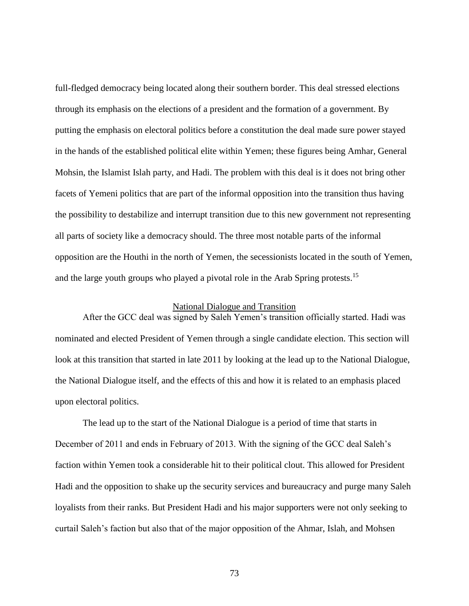full-fledged democracy being located along their southern border. This deal stressed elections through its emphasis on the elections of a president and the formation of a government. By putting the emphasis on electoral politics before a constitution the deal made sure power stayed in the hands of the established political elite within Yemen; these figures being Amhar, General Mohsin, the Islamist Islah party, and Hadi. The problem with this deal is it does not bring other facets of Yemeni politics that are part of the informal opposition into the transition thus having the possibility to destabilize and interrupt transition due to this new government not representing all parts of society like a democracy should. The three most notable parts of the informal opposition are the Houthi in the north of Yemen, the secessionists located in the south of Yemen, and the large youth groups who played a pivotal role in the Arab Spring protests.<sup>15</sup>

#### National Dialogue and Transition

After the GCC deal was signed by Saleh Yemen's transition officially started. Hadi was nominated and elected President of Yemen through a single candidate election. This section will look at this transition that started in late 2011 by looking at the lead up to the National Dialogue, the National Dialogue itself, and the effects of this and how it is related to an emphasis placed upon electoral politics.

The lead up to the start of the National Dialogue is a period of time that starts in December of 2011 and ends in February of 2013. With the signing of the GCC deal Saleh's faction within Yemen took a considerable hit to their political clout. This allowed for President Hadi and the opposition to shake up the security services and bureaucracy and purge many Saleh loyalists from their ranks. But President Hadi and his major supporters were not only seeking to curtail Saleh's faction but also that of the major opposition of the Ahmar, Islah, and Mohsen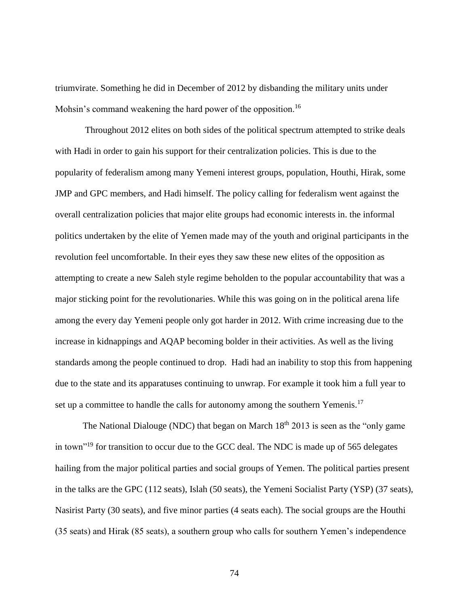triumvirate. Something he did in December of 2012 by disbanding the military units under Mohsin's command weakening the hard power of the opposition.<sup>16</sup>

Throughout 2012 elites on both sides of the political spectrum attempted to strike deals with Hadi in order to gain his support for their centralization policies. This is due to the popularity of federalism among many Yemeni interest groups, population, Houthi, Hirak, some JMP and GPC members, and Hadi himself. The policy calling for federalism went against the overall centralization policies that major elite groups had economic interests in. the informal politics undertaken by the elite of Yemen made may of the youth and original participants in the revolution feel uncomfortable. In their eyes they saw these new elites of the opposition as attempting to create a new Saleh style regime beholden to the popular accountability that was a major sticking point for the revolutionaries. While this was going on in the political arena life among the every day Yemeni people only got harder in 2012. With crime increasing due to the increase in kidnappings and AQAP becoming bolder in their activities. As well as the living standards among the people continued to drop. Hadi had an inability to stop this from happening due to the state and its apparatuses continuing to unwrap. For example it took him a full year to set up a committee to handle the calls for autonomy among the southern Yemenis.<sup>17</sup>

The National Dialouge (NDC) that began on March  $18<sup>th</sup> 2013$  is seen as the "only game" in town"<sup>19</sup> for transition to occur due to the GCC deal. The NDC is made up of 565 delegates hailing from the major political parties and social groups of Yemen. The political parties present in the talks are the GPC (112 seats), Islah (50 seats), the Yemeni Socialist Party (YSP) (37 seats), Nasirist Party (30 seats), and five minor parties (4 seats each). The social groups are the Houthi (35 seats) and Hirak (85 seats), a southern group who calls for southern Yemen's independence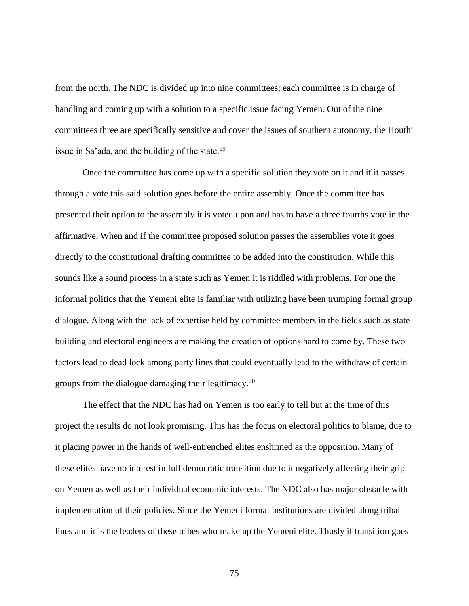from the north. The NDC is divided up into nine committees; each committee is in charge of handling and coming up with a solution to a specific issue facing Yemen. Out of the nine committees three are specifically sensitive and cover the issues of southern autonomy, the Houthi issue in Sa'ada, and the building of the state.<sup>19</sup>

Once the committee has come up with a specific solution they vote on it and if it passes through a vote this said solution goes before the entire assembly. Once the committee has presented their option to the assembly it is voted upon and has to have a three fourths vote in the affirmative. When and if the committee proposed solution passes the assemblies vote it goes directly to the constitutional drafting committee to be added into the constitution. While this sounds like a sound process in a state such as Yemen it is riddled with problems. For one the informal politics that the Yemeni elite is familiar with utilizing have been trumping formal group dialogue. Along with the lack of expertise held by committee members in the fields such as state building and electoral engineers are making the creation of options hard to come by. These two factors lead to dead lock among party lines that could eventually lead to the withdraw of certain groups from the dialogue damaging their legitimacy.<sup>20</sup>

The effect that the NDC has had on Yemen is too early to tell but at the time of this project the results do not look promising. This has the focus on electoral politics to blame, due to it placing power in the hands of well-entrenched elites enshrined as the opposition. Many of these elites have no interest in full democratic transition due to it negatively affecting their grip on Yemen as well as their individual economic interests. The NDC also has major obstacle with implementation of their policies. Since the Yemeni formal institutions are divided along tribal lines and it is the leaders of these tribes who make up the Yemeni elite. Thusly if transition goes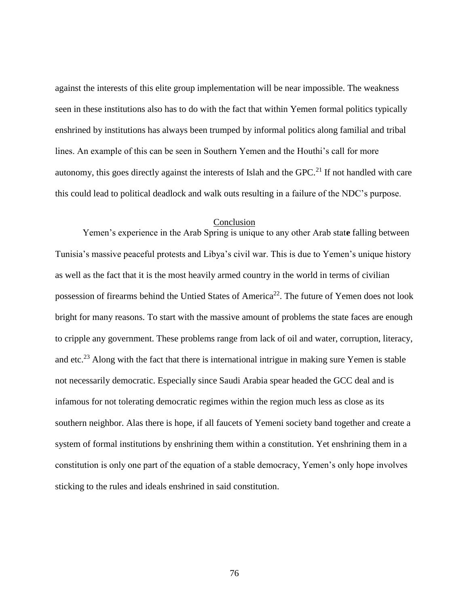against the interests of this elite group implementation will be near impossible. The weakness seen in these institutions also has to do with the fact that within Yemen formal politics typically enshrined by institutions has always been trumped by informal politics along familial and tribal lines. An example of this can be seen in Southern Yemen and the Houthi's call for more autonomy, this goes directly against the interests of Islah and the GPC.<sup>21</sup> If not handled with care this could lead to political deadlock and walk outs resulting in a failure of the NDC's purpose.

### Conclusion

Yemen's experience in the Arab Spring is unique to any other Arab stat**e** falling between Tunisia's massive peaceful protests and Libya's civil war. This is due to Yemen's unique history as well as the fact that it is the most heavily armed country in the world in terms of civilian possession of firearms behind the Untied States of America<sup>22</sup>. The future of Yemen does not look bright for many reasons. To start with the massive amount of problems the state faces are enough to cripple any government. These problems range from lack of oil and water, corruption, literacy, and etc.<sup>23</sup> Along with the fact that there is international intrigue in making sure Yemen is stable not necessarily democratic. Especially since Saudi Arabia spear headed the GCC deal and is infamous for not tolerating democratic regimes within the region much less as close as its southern neighbor. Alas there is hope, if all faucets of Yemeni society band together and create a system of formal institutions by enshrining them within a constitution. Yet enshrining them in a constitution is only one part of the equation of a stable democracy, Yemen's only hope involves sticking to the rules and ideals enshrined in said constitution.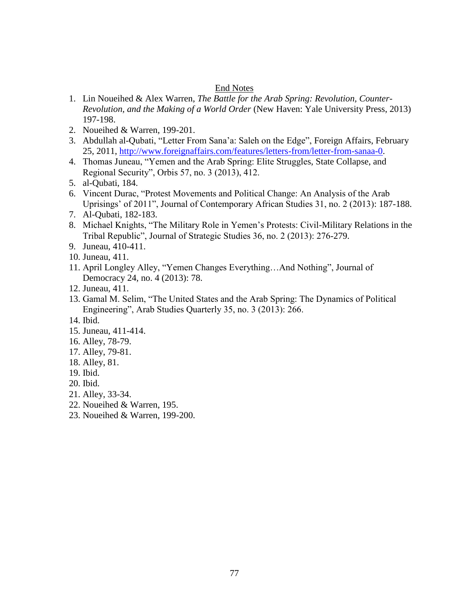## End Notes

- 1. Lin Noueihed & Alex Warren, *The Battle for the Arab Spring: Revolution, Counter-Revolution, and the Making of a World Order* (New Haven: Yale University Press, 2013) 197-198.
- 2. Noueihed & Warren, 199-201.
- 3. Abdullah al-Qubati, "Letter From Sana'a: Saleh on the Edge", Foreign Affairs, February 25, 2011, [http://www.foreignaffairs.com/features/letters-from/letter-from-sanaa-0.](http://www.foreignaffairs.com/features/letters-from/letter-from-sanaa-0)
- 4. Thomas Juneau, "Yemen and the Arab Spring: Elite Struggles, State Collapse, and Regional Security", Orbis 57, no. 3 (2013), 412.
- 5. al-Qubati, 184.
- 6. Vincent Durac, "Protest Movements and Political Change: An Analysis of the Arab Uprisings' of 2011", Journal of Contemporary African Studies 31, no. 2 (2013): 187-188.
- 7. Al-Qubati, 182-183.
- 8. Michael Knights, "The Military Role in Yemen's Protests: Civil-Military Relations in the Tribal Republic", Journal of Strategic Studies 36, no. 2 (2013): 276-279.
- 9. Juneau, 410-411.
- 10. Juneau, 411.
- 11. April Longley Alley, "Yemen Changes Everything…And Nothing", Journal of Democracy 24, no. 4 (2013): 78.
- 12. Juneau, 411.
- 13. Gamal M. Selim, "The United States and the Arab Spring: The Dynamics of Political Engineering", Arab Studies Quarterly 35, no. 3 (2013): 266.
- 14. Ibid.
- 15. Juneau, 411-414.
- 16. Alley, 78-79.
- 17. Alley, 79-81.
- 18. Alley, 81.
- 19. Ibid.
- 20. Ibid.
- 21. Alley, 33-34.
- 22. Noueihed & Warren, 195.
- 23. Noueihed & Warren, 199-200.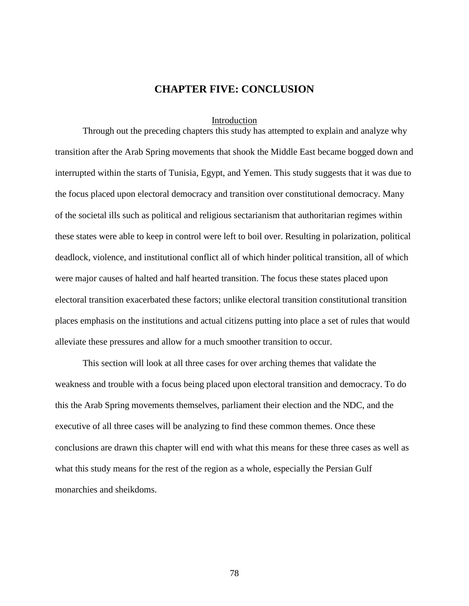# **CHAPTER FIVE: CONCLUSION**

#### Introduction

Through out the preceding chapters this study has attempted to explain and analyze why transition after the Arab Spring movements that shook the Middle East became bogged down and interrupted within the starts of Tunisia, Egypt, and Yemen. This study suggests that it was due to the focus placed upon electoral democracy and transition over constitutional democracy. Many of the societal ills such as political and religious sectarianism that authoritarian regimes within these states were able to keep in control were left to boil over. Resulting in polarization, political deadlock, violence, and institutional conflict all of which hinder political transition, all of which were major causes of halted and half hearted transition. The focus these states placed upon electoral transition exacerbated these factors; unlike electoral transition constitutional transition places emphasis on the institutions and actual citizens putting into place a set of rules that would alleviate these pressures and allow for a much smoother transition to occur.

This section will look at all three cases for over arching themes that validate the weakness and trouble with a focus being placed upon electoral transition and democracy. To do this the Arab Spring movements themselves, parliament their election and the NDC, and the executive of all three cases will be analyzing to find these common themes. Once these conclusions are drawn this chapter will end with what this means for these three cases as well as what this study means for the rest of the region as a whole, especially the Persian Gulf monarchies and sheikdoms.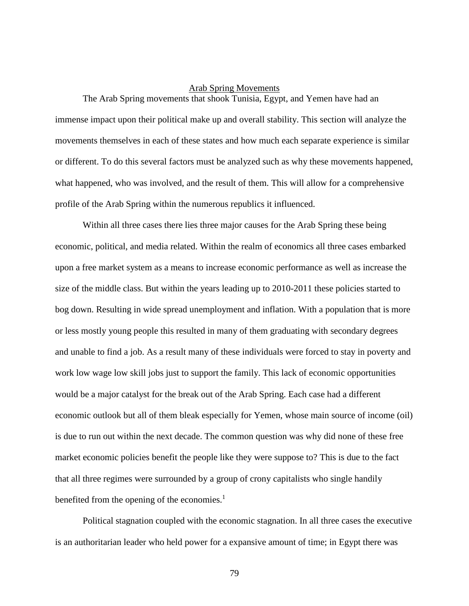## Arab Spring Movements

The Arab Spring movements that shook Tunisia, Egypt, and Yemen have had an immense impact upon their political make up and overall stability. This section will analyze the movements themselves in each of these states and how much each separate experience is similar or different. To do this several factors must be analyzed such as why these movements happened, what happened, who was involved, and the result of them. This will allow for a comprehensive profile of the Arab Spring within the numerous republics it influenced.

Within all three cases there lies three major causes for the Arab Spring these being economic, political, and media related. Within the realm of economics all three cases embarked upon a free market system as a means to increase economic performance as well as increase the size of the middle class. But within the years leading up to 2010-2011 these policies started to bog down. Resulting in wide spread unemployment and inflation. With a population that is more or less mostly young people this resulted in many of them graduating with secondary degrees and unable to find a job. As a result many of these individuals were forced to stay in poverty and work low wage low skill jobs just to support the family. This lack of economic opportunities would be a major catalyst for the break out of the Arab Spring. Each case had a different economic outlook but all of them bleak especially for Yemen, whose main source of income (oil) is due to run out within the next decade. The common question was why did none of these free market economic policies benefit the people like they were suppose to? This is due to the fact that all three regimes were surrounded by a group of crony capitalists who single handily benefited from the opening of the economies. $<sup>1</sup>$ </sup>

Political stagnation coupled with the economic stagnation. In all three cases the executive is an authoritarian leader who held power for a expansive amount of time; in Egypt there was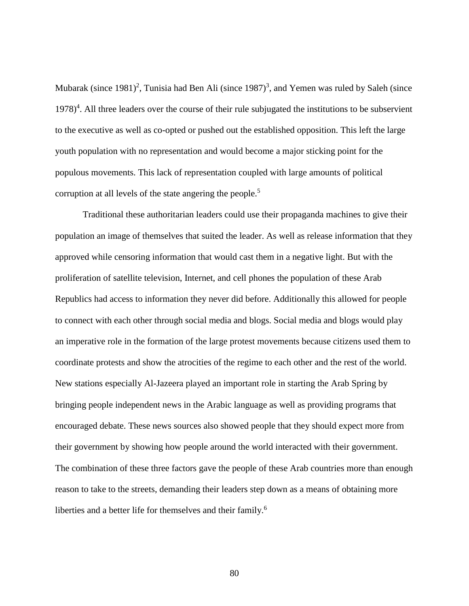Mubarak (since 1981)<sup>2</sup>, Tunisia had Ben Ali (since 1987)<sup>3</sup>, and Yemen was ruled by Saleh (since 1978)<sup>4</sup>. All three leaders over the course of their rule subjugated the institutions to be subservient to the executive as well as co-opted or pushed out the established opposition. This left the large youth population with no representation and would become a major sticking point for the populous movements. This lack of representation coupled with large amounts of political corruption at all levels of the state angering the people.<sup>5</sup>

Traditional these authoritarian leaders could use their propaganda machines to give their population an image of themselves that suited the leader. As well as release information that they approved while censoring information that would cast them in a negative light. But with the proliferation of satellite television, Internet, and cell phones the population of these Arab Republics had access to information they never did before. Additionally this allowed for people to connect with each other through social media and blogs. Social media and blogs would play an imperative role in the formation of the large protest movements because citizens used them to coordinate protests and show the atrocities of the regime to each other and the rest of the world. New stations especially Al-Jazeera played an important role in starting the Arab Spring by bringing people independent news in the Arabic language as well as providing programs that encouraged debate. These news sources also showed people that they should expect more from their government by showing how people around the world interacted with their government. The combination of these three factors gave the people of these Arab countries more than enough reason to take to the streets, demanding their leaders step down as a means of obtaining more liberties and a better life for themselves and their family.<sup>6</sup>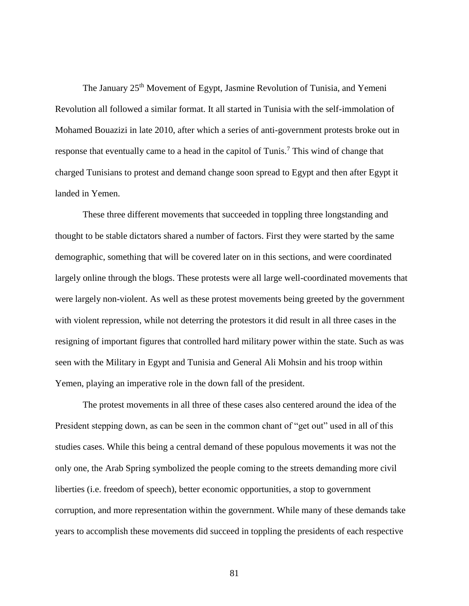The January 25<sup>th</sup> Movement of Egypt, Jasmine Revolution of Tunisia, and Yemeni Revolution all followed a similar format. It all started in Tunisia with the self-immolation of Mohamed Bouazizi in late 2010, after which a series of anti-government protests broke out in response that eventually came to a head in the capitol of Tunis.<sup>7</sup> This wind of change that charged Tunisians to protest and demand change soon spread to Egypt and then after Egypt it landed in Yemen.

These three different movements that succeeded in toppling three longstanding and thought to be stable dictators shared a number of factors. First they were started by the same demographic, something that will be covered later on in this sections, and were coordinated largely online through the blogs. These protests were all large well-coordinated movements that were largely non-violent. As well as these protest movements being greeted by the government with violent repression, while not deterring the protestors it did result in all three cases in the resigning of important figures that controlled hard military power within the state. Such as was seen with the Military in Egypt and Tunisia and General Ali Mohsin and his troop within Yemen, playing an imperative role in the down fall of the president.

The protest movements in all three of these cases also centered around the idea of the President stepping down, as can be seen in the common chant of "get out" used in all of this studies cases. While this being a central demand of these populous movements it was not the only one, the Arab Spring symbolized the people coming to the streets demanding more civil liberties (i.e. freedom of speech), better economic opportunities, a stop to government corruption, and more representation within the government. While many of these demands take years to accomplish these movements did succeed in toppling the presidents of each respective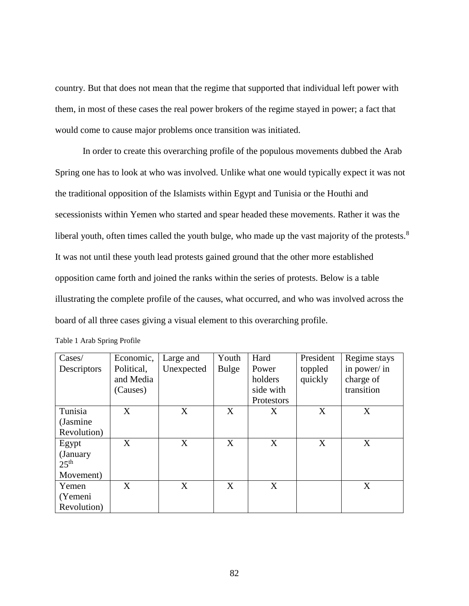country. But that does not mean that the regime that supported that individual left power with them, in most of these cases the real power brokers of the regime stayed in power; a fact that would come to cause major problems once transition was initiated.

In order to create this overarching profile of the populous movements dubbed the Arab Spring one has to look at who was involved. Unlike what one would typically expect it was not the traditional opposition of the Islamists within Egypt and Tunisia or the Houthi and secessionists within Yemen who started and spear headed these movements. Rather it was the liberal youth, often times called the youth bulge, who made up the vast majority of the protests.<sup>8</sup> It was not until these youth lead protests gained ground that the other more established opposition came forth and joined the ranks within the series of protests. Below is a table illustrating the complete profile of the causes, what occurred, and who was involved across the board of all three cases giving a visual element to this overarching profile.

| Cases/           | Economic,  | Large and  | Youth        | Hard       | President | Regime stays |
|------------------|------------|------------|--------------|------------|-----------|--------------|
| Descriptors      | Political, | Unexpected | <b>Bulge</b> | Power      | toppled   | in power/ in |
|                  | and Media  |            |              | holders    | quickly   | charge of    |
|                  | (Causes)   |            |              | side with  |           | transition   |
|                  |            |            |              | Protestors |           |              |
| Tunisia          | X          | X          | X            | X          | X         | X            |
| (Jasmine)        |            |            |              |            |           |              |
| Revolution)      |            |            |              |            |           |              |
| Egypt            | X          | X          | X            | X          | X         | X            |
| (January)        |            |            |              |            |           |              |
| 25 <sup>th</sup> |            |            |              |            |           |              |
| Movement)        |            |            |              |            |           |              |
| Yemen            | X          | X          | X            | X          |           | X            |
| (Yemeni          |            |            |              |            |           |              |
| Revolution)      |            |            |              |            |           |              |

Table 1 Arab Spring Profile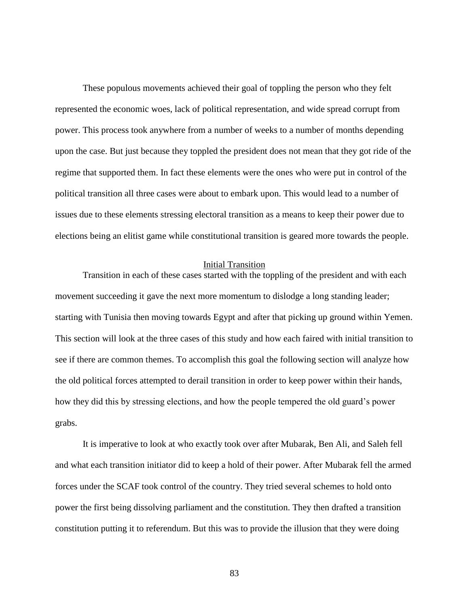These populous movements achieved their goal of toppling the person who they felt represented the economic woes, lack of political representation, and wide spread corrupt from power. This process took anywhere from a number of weeks to a number of months depending upon the case. But just because they toppled the president does not mean that they got ride of the regime that supported them. In fact these elements were the ones who were put in control of the political transition all three cases were about to embark upon. This would lead to a number of issues due to these elements stressing electoral transition as a means to keep their power due to elections being an elitist game while constitutional transition is geared more towards the people.

### Initial Transition

Transition in each of these cases started with the toppling of the president and with each movement succeeding it gave the next more momentum to dislodge a long standing leader; starting with Tunisia then moving towards Egypt and after that picking up ground within Yemen. This section will look at the three cases of this study and how each faired with initial transition to see if there are common themes. To accomplish this goal the following section will analyze how the old political forces attempted to derail transition in order to keep power within their hands, how they did this by stressing elections, and how the people tempered the old guard's power grabs.

It is imperative to look at who exactly took over after Mubarak, Ben Ali, and Saleh fell and what each transition initiator did to keep a hold of their power. After Mubarak fell the armed forces under the SCAF took control of the country. They tried several schemes to hold onto power the first being dissolving parliament and the constitution. They then drafted a transition constitution putting it to referendum. But this was to provide the illusion that they were doing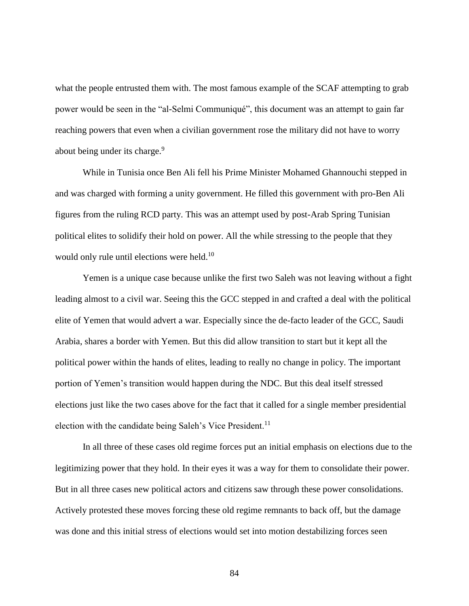what the people entrusted them with. The most famous example of the SCAF attempting to grab power would be seen in the "al-Selmi Communiqué", this document was an attempt to gain far reaching powers that even when a civilian government rose the military did not have to worry about being under its charge.<sup>9</sup>

While in Tunisia once Ben Ali fell his Prime Minister Mohamed Ghannouchi stepped in and was charged with forming a unity government. He filled this government with pro-Ben Ali figures from the ruling RCD party. This was an attempt used by post-Arab Spring Tunisian political elites to solidify their hold on power. All the while stressing to the people that they would only rule until elections were held.<sup>10</sup>

Yemen is a unique case because unlike the first two Saleh was not leaving without a fight leading almost to a civil war. Seeing this the GCC stepped in and crafted a deal with the political elite of Yemen that would advert a war. Especially since the de-facto leader of the GCC, Saudi Arabia, shares a border with Yemen. But this did allow transition to start but it kept all the political power within the hands of elites, leading to really no change in policy. The important portion of Yemen's transition would happen during the NDC. But this deal itself stressed elections just like the two cases above for the fact that it called for a single member presidential election with the candidate being Saleh's Vice President.<sup>11</sup>

In all three of these cases old regime forces put an initial emphasis on elections due to the legitimizing power that they hold. In their eyes it was a way for them to consolidate their power. But in all three cases new political actors and citizens saw through these power consolidations. Actively protested these moves forcing these old regime remnants to back off, but the damage was done and this initial stress of elections would set into motion destabilizing forces seen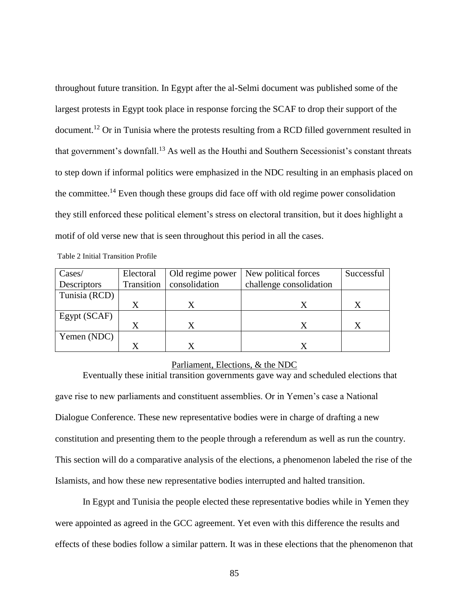throughout future transition. In Egypt after the al-Selmi document was published some of the largest protests in Egypt took place in response forcing the SCAF to drop their support of the document.<sup>12</sup> Or in Tunisia where the protests resulting from a RCD filled government resulted in that government's downfall.<sup>13</sup> As well as the Houthi and Southern Secessionist's constant threats to step down if informal politics were emphasized in the NDC resulting in an emphasis placed on the committee.<sup>14</sup> Even though these groups did face off with old regime power consolidation they still enforced these political element's stress on electoral transition, but it does highlight a motif of old verse new that is seen throughout this period in all the cases.

| Cases/        | Electoral  | Old regime power | New political forces    | Successful |
|---------------|------------|------------------|-------------------------|------------|
| Descriptors   | Transition | consolidation    | challenge consolidation |            |
| Tunisia (RCD) |            |                  |                         |            |
|               | $\rm X$    |                  |                         | X          |
| Egypt (SCAF)  |            |                  |                         |            |
|               | X          | X                |                         | X          |
| Yemen (NDC)   |            |                  |                         |            |
|               |            |                  |                         |            |

#### Parliament, Elections, & the NDC

Eventually these initial transition governments gave way and scheduled elections that gave rise to new parliaments and constituent assemblies. Or in Yemen's case a National Dialogue Conference. These new representative bodies were in charge of drafting a new constitution and presenting them to the people through a referendum as well as run the country. This section will do a comparative analysis of the elections, a phenomenon labeled the rise of the Islamists, and how these new representative bodies interrupted and halted transition.

In Egypt and Tunisia the people elected these representative bodies while in Yemen they were appointed as agreed in the GCC agreement. Yet even with this difference the results and effects of these bodies follow a similar pattern. It was in these elections that the phenomenon that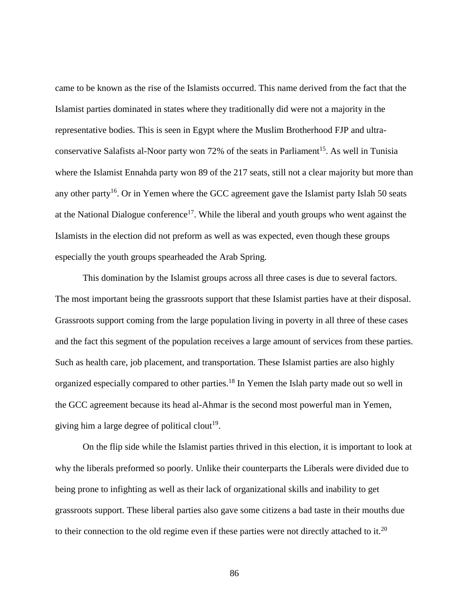came to be known as the rise of the Islamists occurred. This name derived from the fact that the Islamist parties dominated in states where they traditionally did were not a majority in the representative bodies. This is seen in Egypt where the Muslim Brotherhood FJP and ultraconservative Salafists al-Noor party won 72% of the seats in Parliament<sup>15</sup>. As well in Tunisia where the Islamist Ennahda party won 89 of the 217 seats, still not a clear majority but more than any other party<sup>16</sup>. Or in Yemen where the GCC agreement gave the Islamist party Islah 50 seats at the National Dialogue conference<sup>17</sup>. While the liberal and youth groups who went against the Islamists in the election did not preform as well as was expected, even though these groups especially the youth groups spearheaded the Arab Spring.

This domination by the Islamist groups across all three cases is due to several factors. The most important being the grassroots support that these Islamist parties have at their disposal. Grassroots support coming from the large population living in poverty in all three of these cases and the fact this segment of the population receives a large amount of services from these parties. Such as health care, job placement, and transportation. These Islamist parties are also highly organized especially compared to other parties.<sup>18</sup> In Yemen the Islah party made out so well in the GCC agreement because its head al-Ahmar is the second most powerful man in Yemen, giving him a large degree of political clout<sup>19</sup>.

On the flip side while the Islamist parties thrived in this election, it is important to look at why the liberals preformed so poorly. Unlike their counterparts the Liberals were divided due to being prone to infighting as well as their lack of organizational skills and inability to get grassroots support. These liberal parties also gave some citizens a bad taste in their mouths due to their connection to the old regime even if these parties were not directly attached to it.<sup>20</sup>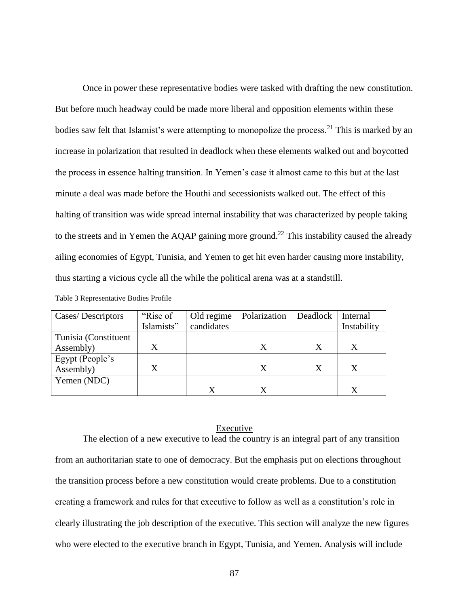Once in power these representative bodies were tasked with drafting the new constitution. But before much headway could be made more liberal and opposition elements within these bodies saw felt that Islamist's were attempting to monopolize the process.<sup>21</sup> This is marked by an increase in polarization that resulted in deadlock when these elements walked out and boycotted the process in essence halting transition. In Yemen's case it almost came to this but at the last minute a deal was made before the Houthi and secessionists walked out. The effect of this halting of transition was wide spread internal instability that was characterized by people taking to the streets and in Yemen the AQAP gaining more ground.<sup>22</sup> This instability caused the already ailing economies of Egypt, Tunisia, and Yemen to get hit even harder causing more instability, thus starting a vicious cycle all the while the political arena was at a standstill.

|  | Table 3 Representative Bodies Profile |  |  |  |
|--|---------------------------------------|--|--|--|
|--|---------------------------------------|--|--|--|

| Cases/Descriptors    | "Rise of   | Old regime | Polarization | Deadlock | Internal         |
|----------------------|------------|------------|--------------|----------|------------------|
|                      | Islamists" | candidates |              |          | Instability      |
| Tunisia (Constituent |            |            |              |          |                  |
| Assembly)            |            |            | X            | X        | X                |
| Egypt (People's      |            |            |              |          |                  |
| Assembly)            |            |            | X            | X        | $\boldsymbol{X}$ |
| Yemen (NDC)          |            |            |              |          |                  |
|                      |            | X          |              |          | X                |

#### Executive

The election of a new executive to lead the country is an integral part of any transition from an authoritarian state to one of democracy. But the emphasis put on elections throughout the transition process before a new constitution would create problems. Due to a constitution creating a framework and rules for that executive to follow as well as a constitution's role in clearly illustrating the job description of the executive. This section will analyze the new figures who were elected to the executive branch in Egypt, Tunisia, and Yemen. Analysis will include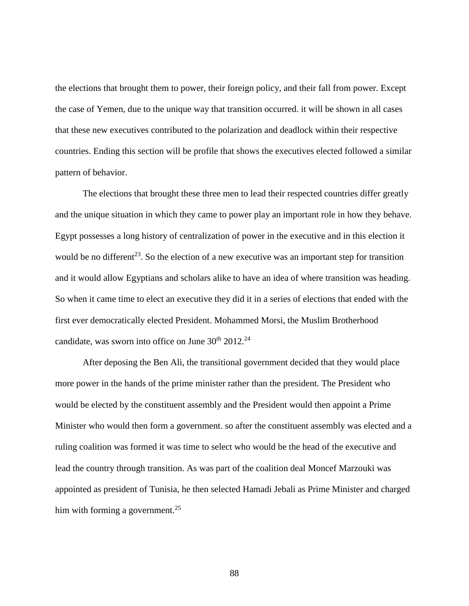the elections that brought them to power, their foreign policy, and their fall from power. Except the case of Yemen, due to the unique way that transition occurred. it will be shown in all cases that these new executives contributed to the polarization and deadlock within their respective countries. Ending this section will be profile that shows the executives elected followed a similar pattern of behavior.

The elections that brought these three men to lead their respected countries differ greatly and the unique situation in which they came to power play an important role in how they behave. Egypt possesses a long history of centralization of power in the executive and in this election it would be no different<sup>23</sup>. So the election of a new executive was an important step for transition and it would allow Egyptians and scholars alike to have an idea of where transition was heading. So when it came time to elect an executive they did it in a series of elections that ended with the first ever democratically elected President. Mohammed Morsi, the Muslim Brotherhood candidate, was sworn into office on June  $30<sup>th</sup> 2012.<sup>24</sup>$ 

After deposing the Ben Ali, the transitional government decided that they would place more power in the hands of the prime minister rather than the president. The President who would be elected by the constituent assembly and the President would then appoint a Prime Minister who would then form a government. so after the constituent assembly was elected and a ruling coalition was formed it was time to select who would be the head of the executive and lead the country through transition. As was part of the coalition deal Moncef Marzouki was appointed as president of Tunisia, he then selected Hamadi Jebali as Prime Minister and charged him with forming a government.<sup>25</sup>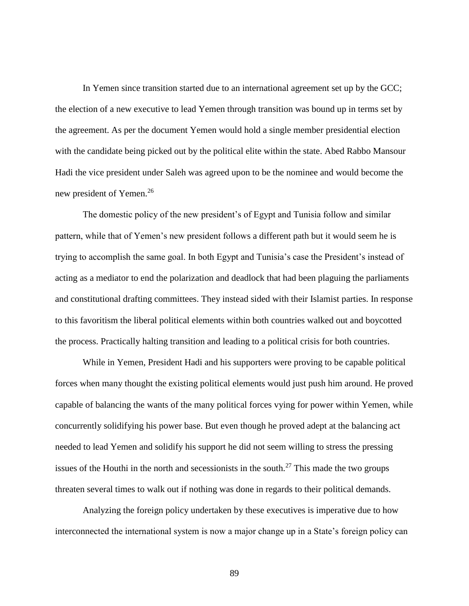In Yemen since transition started due to an international agreement set up by the GCC; the election of a new executive to lead Yemen through transition was bound up in terms set by the agreement. As per the document Yemen would hold a single member presidential election with the candidate being picked out by the political elite within the state. Abed Rabbo Mansour Hadi the vice president under Saleh was agreed upon to be the nominee and would become the new president of Yemen.<sup>26</sup>

The domestic policy of the new president's of Egypt and Tunisia follow and similar pattern, while that of Yemen's new president follows a different path but it would seem he is trying to accomplish the same goal. In both Egypt and Tunisia's case the President's instead of acting as a mediator to end the polarization and deadlock that had been plaguing the parliaments and constitutional drafting committees. They instead sided with their Islamist parties. In response to this favoritism the liberal political elements within both countries walked out and boycotted the process. Practically halting transition and leading to a political crisis for both countries.

While in Yemen, President Hadi and his supporters were proving to be capable political forces when many thought the existing political elements would just push him around. He proved capable of balancing the wants of the many political forces vying for power within Yemen, while concurrently solidifying his power base. But even though he proved adept at the balancing act needed to lead Yemen and solidify his support he did not seem willing to stress the pressing issues of the Houthi in the north and secessionists in the south.<sup>27</sup> This made the two groups threaten several times to walk out if nothing was done in regards to their political demands.

Analyzing the foreign policy undertaken by these executives is imperative due to how interconnected the international system is now a major change up in a State's foreign policy can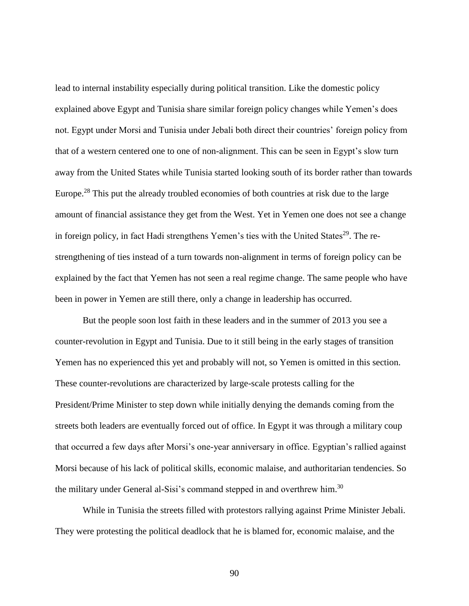lead to internal instability especially during political transition. Like the domestic policy explained above Egypt and Tunisia share similar foreign policy changes while Yemen's does not. Egypt under Morsi and Tunisia under Jebali both direct their countries' foreign policy from that of a western centered one to one of non-alignment. This can be seen in Egypt's slow turn away from the United States while Tunisia started looking south of its border rather than towards Europe.<sup>28</sup> This put the already troubled economies of both countries at risk due to the large amount of financial assistance they get from the West. Yet in Yemen one does not see a change in foreign policy, in fact Hadi strengthens Yemen's ties with the United States<sup>29</sup>. The restrengthening of ties instead of a turn towards non-alignment in terms of foreign policy can be explained by the fact that Yemen has not seen a real regime change. The same people who have been in power in Yemen are still there, only a change in leadership has occurred.

But the people soon lost faith in these leaders and in the summer of 2013 you see a counter-revolution in Egypt and Tunisia. Due to it still being in the early stages of transition Yemen has no experienced this yet and probably will not, so Yemen is omitted in this section. These counter-revolutions are characterized by large-scale protests calling for the President/Prime Minister to step down while initially denying the demands coming from the streets both leaders are eventually forced out of office. In Egypt it was through a military coup that occurred a few days after Morsi's one-year anniversary in office. Egyptian's rallied against Morsi because of his lack of political skills, economic malaise, and authoritarian tendencies. So the military under General al-Sisi's command stepped in and overthrew him.<sup>30</sup>

While in Tunisia the streets filled with protestors rallying against Prime Minister Jebali. They were protesting the political deadlock that he is blamed for, economic malaise, and the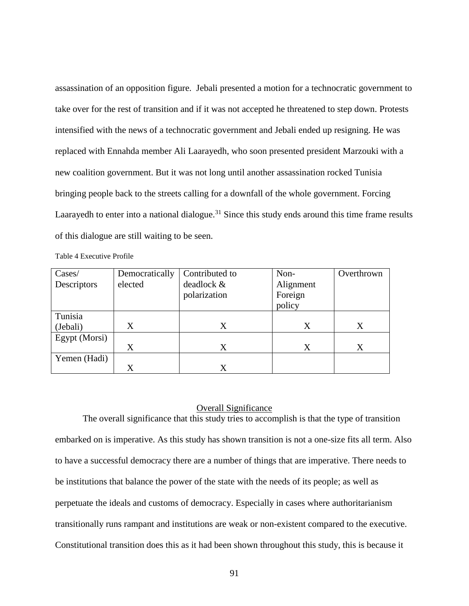assassination of an opposition figure. Jebali presented a motion for a technocratic government to take over for the rest of transition and if it was not accepted he threatened to step down. Protests intensified with the news of a technocratic government and Jebali ended up resigning. He was replaced with Ennahda member Ali Laarayedh, who soon presented president Marzouki with a new coalition government. But it was not long until another assassination rocked Tunisia bringing people back to the streets calling for a downfall of the whole government. Forcing Laarayedh to enter into a national dialogue.<sup>31</sup> Since this study ends around this time frame results of this dialogue are still waiting to be seen.

| Cases/        | Democratically | Contributed to | Non-      | Overthrown |
|---------------|----------------|----------------|-----------|------------|
| Descriptors   | elected        | deadlock &     | Alignment |            |
|               |                | polarization   | Foreign   |            |
|               |                |                | policy    |            |
| Tunisia       |                |                |           |            |
| (Jebali)      | X              | X              | X         | X          |
| Egypt (Morsi) |                |                |           |            |
|               | X              | X              | X         | X          |
| Yemen (Hadi)  |                |                |           |            |
|               | X              | X              |           |            |

#### Overall Significance

The overall significance that this study tries to accomplish is that the type of transition embarked on is imperative. As this study has shown transition is not a one-size fits all term. Also to have a successful democracy there are a number of things that are imperative. There needs to be institutions that balance the power of the state with the needs of its people; as well as perpetuate the ideals and customs of democracy. Especially in cases where authoritarianism transitionally runs rampant and institutions are weak or non-existent compared to the executive. Constitutional transition does this as it had been shown throughout this study, this is because it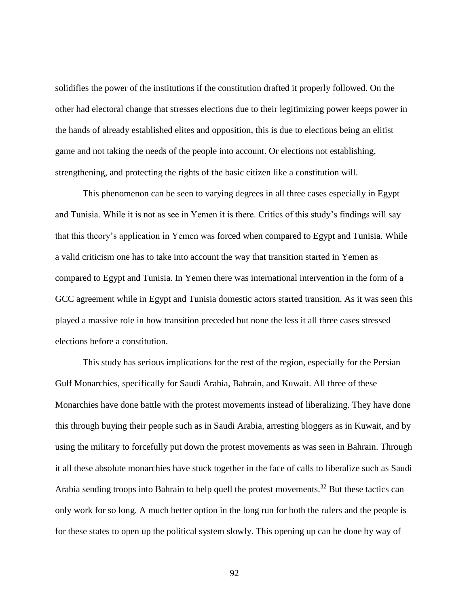solidifies the power of the institutions if the constitution drafted it properly followed. On the other had electoral change that stresses elections due to their legitimizing power keeps power in the hands of already established elites and opposition, this is due to elections being an elitist game and not taking the needs of the people into account. Or elections not establishing, strengthening, and protecting the rights of the basic citizen like a constitution will.

This phenomenon can be seen to varying degrees in all three cases especially in Egypt and Tunisia. While it is not as see in Yemen it is there. Critics of this study's findings will say that this theory's application in Yemen was forced when compared to Egypt and Tunisia. While a valid criticism one has to take into account the way that transition started in Yemen as compared to Egypt and Tunisia. In Yemen there was international intervention in the form of a GCC agreement while in Egypt and Tunisia domestic actors started transition. As it was seen this played a massive role in how transition preceded but none the less it all three cases stressed elections before a constitution.

This study has serious implications for the rest of the region, especially for the Persian Gulf Monarchies, specifically for Saudi Arabia, Bahrain, and Kuwait. All three of these Monarchies have done battle with the protest movements instead of liberalizing. They have done this through buying their people such as in Saudi Arabia, arresting bloggers as in Kuwait, and by using the military to forcefully put down the protest movements as was seen in Bahrain. Through it all these absolute monarchies have stuck together in the face of calls to liberalize such as Saudi Arabia sending troops into Bahrain to help quell the protest movements.<sup>32</sup> But these tactics can only work for so long. A much better option in the long run for both the rulers and the people is for these states to open up the political system slowly. This opening up can be done by way of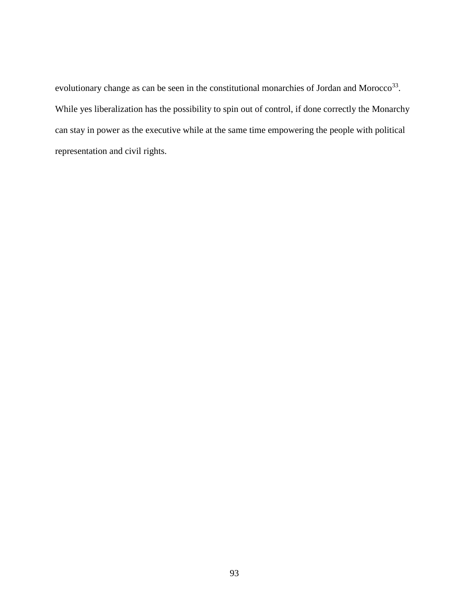evolutionary change as can be seen in the constitutional monarchies of Jordan and Morocco<sup>33</sup>. While yes liberalization has the possibility to spin out of control, if done correctly the Monarchy can stay in power as the executive while at the same time empowering the people with political representation and civil rights.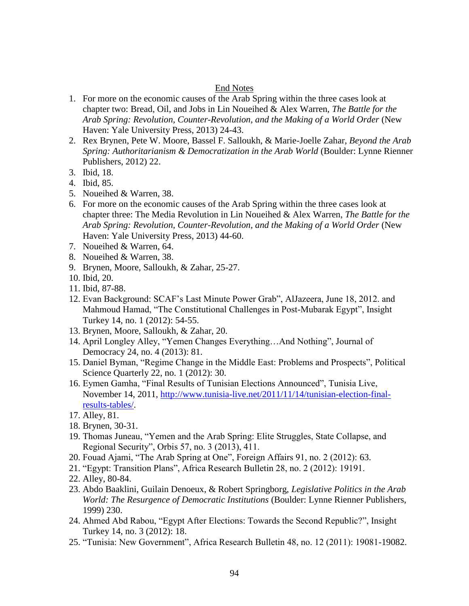## End Notes

- 1. For more on the economic causes of the Arab Spring within the three cases look at chapter two: Bread, Oil, and Jobs in Lin Noueihed & Alex Warren, *The Battle for the Arab Spring: Revolution, Counter-Revolution, and the Making of a World Order* (New Haven: Yale University Press, 2013) 24-43.
- 2. Rex Brynen, Pete W. Moore, Bassel F. Salloukh, & Marie-Joelle Zahar, *Beyond the Arab Spring: Authoritarianism & Democratization in the Arab World (Boulder: Lynne Rienner)* Publishers, 2012) 22.
- 3. Ibid, 18.
- 4. Ibid, 85.
- 5. Noueihed & Warren, 38.
- 6. For more on the economic causes of the Arab Spring within the three cases look at chapter three: The Media Revolution in Lin Noueihed & Alex Warren, *The Battle for the Arab Spring: Revolution, Counter-Revolution, and the Making of a World Order* (New Haven: Yale University Press, 2013) 44-60.
- 7. Noueihed & Warren, 64.
- 8. Noueihed & Warren, 38.
- 9. Brynen, Moore, Salloukh, & Zahar, 25-27.
- 10. Ibid, 20.
- 11. Ibid, 87-88.
- 12. Evan Background: SCAF's Last Minute Power Grab", AlJazeera, June 18, 2012. and Mahmoud Hamad, "The Constitutional Challenges in Post-Mubarak Egypt", Insight Turkey 14, no. 1 (2012): 54-55.
- 13. Brynen, Moore, Salloukh, & Zahar, 20.
- 14. April Longley Alley, "Yemen Changes Everything…And Nothing", Journal of Democracy 24, no. 4 (2013): 81.
- 15. Daniel Byman, "Regime Change in the Middle East: Problems and Prospects", Political Science Quarterly 22, no. 1 (2012): 30.
- 16. Eymen Gamha, "Final Results of Tunisian Elections Announced", Tunisia Live, November 14, 2011, [http://www.tunisia-live.net/2011/11/14/tunisian-election-final](http://www.tunisia-live.net/2011/11/14/tunisian-election-final-results-tables/)[results-tables/.](http://www.tunisia-live.net/2011/11/14/tunisian-election-final-results-tables/)
- 17. Alley, 81.
- 18. Brynen, 30-31.
- 19. Thomas Juneau, "Yemen and the Arab Spring: Elite Struggles, State Collapse, and Regional Security", Orbis 57, no. 3 (2013), 411.
- 20. Fouad Ajami, "The Arab Spring at One", Foreign Affairs 91, no. 2 (2012): 63.
- 21. "Egypt: Transition Plans", Africa Research Bulletin 28, no. 2 (2012): 19191.
- 22. Alley, 80-84.
- 23. Abdo Baaklini, Guilain Denoeux, & Robert Springborg, *Legislative Politics in the Arab World: The Resurgence of Democratic Institutions* (Boulder: Lynne Rienner Publishers, 1999) 230.
- 24. Ahmed Abd Rabou, "Egypt After Elections: Towards the Second Republic?", Insight Turkey 14, no. 3 (2012): 18.
- 25. "Tunisia: New Government", Africa Research Bulletin 48, no. 12 (2011): 19081-19082.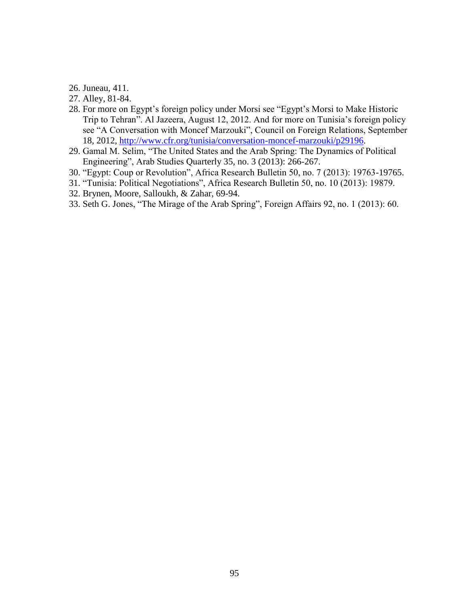26. Juneau, 411.

27. Alley, 81-84.

- 28. For more on Egypt's foreign policy under Morsi see "Egypt's Morsi to Make Historic Trip to Tehran". Al Jazeera, August 12, 2012. And for more on Tunisia's foreign policy see "A Conversation with Moncef Marzouki", Council on Foreign Relations, September 18, 2012, [http://www.cfr.org/tunisia/conversation-moncef-marzouki/p29196.](http://www.cfr.org/tunisia/conversation-moncef-marzouki/p29196)
- 29. Gamal M. Selim, "The United States and the Arab Spring: The Dynamics of Political Engineering", Arab Studies Quarterly 35, no. 3 (2013): 266-267.
- 30. "Egypt: Coup or Revolution", Africa Research Bulletin 50, no. 7 (2013): 19763-19765.
- 31. "Tunisia: Political Negotiations", Africa Research Bulletin 50, no. 10 (2013): 19879.
- 32. Brynen, Moore, Salloukh, & Zahar, 69-94.
- 33. Seth G. Jones, "The Mirage of the Arab Spring", Foreign Affairs 92, no. 1 (2013): 60.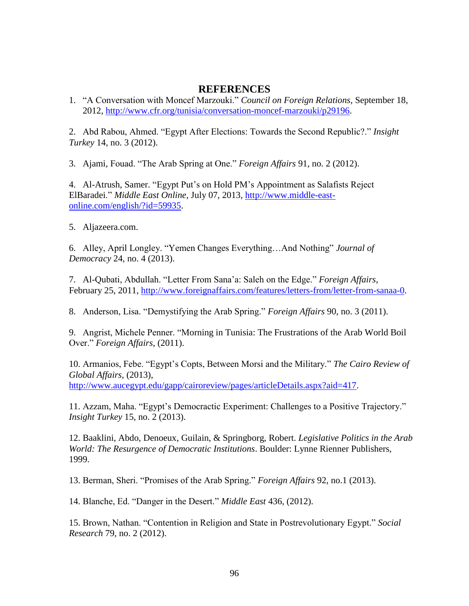# **REFERENCES**

1. "A Conversation with Moncef Marzouki." *Council on Foreign Relations*, September 18, 2012, [http://www.cfr.org/tunisia/conversation-moncef-marzouki/p29196.](http://www.cfr.org/tunisia/conversation-moncef-marzouki/p29196)

2. Abd Rabou, Ahmed. "Egypt After Elections: Towards the Second Republic?." *Insight Turkey* 14, no. 3 (2012).

3. Ajami, Fouad. "The Arab Spring at One." *Foreign Affairs* 91, no. 2 (2012).

4. Al-Atrush, Samer. "Egypt Put's on Hold PM's Appointment as Salafists Reject ElBaradei." *Middle East Online*, July 07, 2013, [http://www.middle-east](http://www.middle-east-online.com/english/?id=59935)[online.com/english/?id=59935.](http://www.middle-east-online.com/english/?id=59935)

5. Aljazeera.com.

6. Alley, April Longley. "Yemen Changes Everything…And Nothing" *Journal of Democracy* 24, no. 4 (2013).

7. Al-Qubati, Abdullah. "Letter From Sana'a: Saleh on the Edge." *Foreign Affairs*, February 25, 2011, [http://www.foreignaffairs.com/features/letters-from/letter-from-sanaa-0.](http://www.foreignaffairs.com/features/letters-from/letter-from-sanaa-0)

8. Anderson, Lisa. "Demystifying the Arab Spring." *Foreign Affairs* 90, no. 3 (2011).

9. Angrist, Michele Penner. "Morning in Tunisia: The Frustrations of the Arab World Boil Over." *Foreign Affairs*, (2011).

10. Armanios, Febe. "Egypt's Copts, Between Morsi and the Military." *The Cairo Review of Global Affairs*, (2013), [http://www.aucegypt.edu/gapp/cairoreview/pages/articleDetails.aspx?aid=417.](http://www.aucegypt.edu/gapp/cairoreview/pages/articleDetails.aspx?aid=417)

11. Azzam, Maha. "Egypt's Democractic Experiment: Challenges to a Positive Trajectory." *Insight Turkey* 15, no. 2 (2013).

12. Baaklini, Abdo, Denoeux, Guilain, & Springborg, Robert. *Legislative Politics in the Arab World: The Resurgence of Democratic Institutions*. Boulder: Lynne Rienner Publishers, 1999.

13. Berman, Sheri. "Promises of the Arab Spring." *Foreign Affairs* 92, no.1 (2013).

14. Blanche, Ed. "Danger in the Desert." *Middle East* 436, (2012).

15. Brown, Nathan. "Contention in Religion and State in Postrevolutionary Egypt." *Social Research* 79, no. 2 (2012).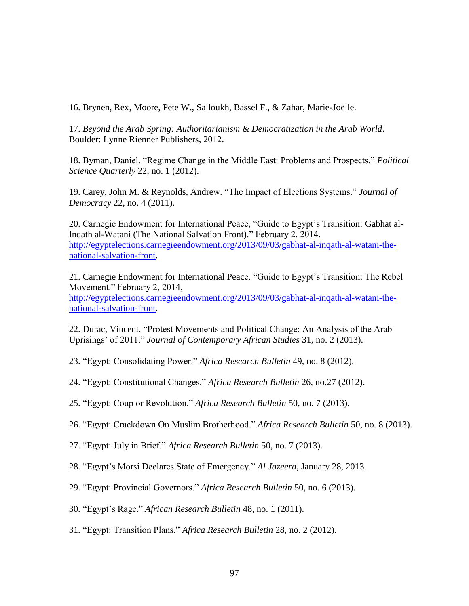16. Brynen, Rex, Moore, Pete W., Salloukh, Bassel F., & Zahar, Marie-Joelle.

17. *Beyond the Arab Spring: Authoritarianism & Democratization in the Arab World*. Boulder: Lynne Rienner Publishers, 2012.

18. Byman, Daniel. "Regime Change in the Middle East: Problems and Prospects." *Political Science Quarterly* 22, no. 1 (2012).

19. Carey, John M. & Reynolds, Andrew. "The Impact of Elections Systems." *Journal of Democracy* 22, no. 4 (2011).

20. Carnegie Endowment for International Peace, "Guide to Egypt's Transition: Gabhat al-Inqath al-Watani (The National Salvation Front)." February 2, 2014, [http://egyptelections.carnegieendowment.org/2013/09/03/gabhat-al-inqath-al-watani-the](http://egyptelections.carnegieendowment.org/2013/09/03/gabhat-al-inqath-al-watani-the-national-salvation-front)[national-salvation-front.](http://egyptelections.carnegieendowment.org/2013/09/03/gabhat-al-inqath-al-watani-the-national-salvation-front)

21. Carnegie Endowment for International Peace. "Guide to Egypt's Transition: The Rebel Movement." February 2, 2014, [http://egyptelections.carnegieendowment.org/2013/09/03/gabhat-al-inqath-al-watani-the](http://egyptelections.carnegieendowment.org/2013/09/03/gabhat-al-inqath-al-watani-the-national-salvation-front)[national-salvation-front.](http://egyptelections.carnegieendowment.org/2013/09/03/gabhat-al-inqath-al-watani-the-national-salvation-front)

22. Durac, Vincent. "Protest Movements and Political Change: An Analysis of the Arab Uprisings' of 2011." *Journal of Contemporary African Studies* 31, no. 2 (2013).

23. "Egypt: Consolidating Power." *Africa Research Bulletin* 49, no. 8 (2012).

24. "Egypt: Constitutional Changes." *Africa Research Bulletin* 26, no.27 (2012).

25. "Egypt: Coup or Revolution." *Africa Research Bulletin* 50, no. 7 (2013).

26. "Egypt: Crackdown On Muslim Brotherhood." *Africa Research Bulletin* 50, no. 8 (2013).

27. "Egypt: July in Brief." *Africa Research Bulletin* 50, no. 7 (2013).

28. "Egypt's Morsi Declares State of Emergency." *Al Jazeera*, January 28, 2013.

- 29. "Egypt: Provincial Governors." *Africa Research Bulletin* 50, no. 6 (2013).
- 30. "Egypt's Rage." *African Research Bulletin* 48, no. 1 (2011).
- 31. "Egypt: Transition Plans." *Africa Research Bulletin* 28, no. 2 (2012).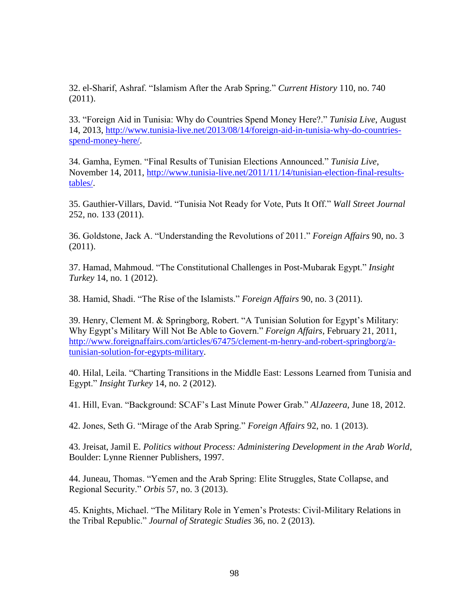32. el-Sharif, Ashraf. "Islamism After the Arab Spring." *Current History* 110, no. 740 (2011).

33. "Foreign Aid in Tunisia: Why do Countries Spend Money Here?." *Tunisia Live*, August 14, 2013, [http://www.tunisia-live.net/2013/08/14/foreign-aid-in-tunisia-why-do-countries](http://www.tunisia-live.net/2013/08/14/foreign-aid-in-tunisia-why-do-countries-spend-money-here/)[spend-money-here/.](http://www.tunisia-live.net/2013/08/14/foreign-aid-in-tunisia-why-do-countries-spend-money-here/)

34. Gamha, Eymen. "Final Results of Tunisian Elections Announced." *Tunisia Live*, November 14, 2011, [http://www.tunisia-live.net/2011/11/14/tunisian-election-final-results](http://www.tunisia-live.net/2011/11/14/tunisian-election-final-results-tables/)[tables/.](http://www.tunisia-live.net/2011/11/14/tunisian-election-final-results-tables/)

35. Gauthier-Villars, David. "Tunisia Not Ready for Vote, Puts It Off." *Wall Street Journal* 252, no. 133 (2011).

36. Goldstone, Jack A. "Understanding the Revolutions of 2011." *Foreign Affairs* 90, no. 3 (2011).

37. Hamad, Mahmoud. "The Constitutional Challenges in Post-Mubarak Egypt." *Insight Turkey* 14, no. 1 (2012).

38. Hamid, Shadi. "The Rise of the Islamists." *Foreign Affairs* 90, no. 3 (2011).

39. Henry, Clement M. & Springborg, Robert. "A Tunisian Solution for Egypt's Military: Why Egypt's Military Will Not Be Able to Govern." *Foreign Affairs*, February 21, 2011, [http://www.foreignaffairs.com/articles/67475/clement-m-henry-and-robert-springborg/a](http://www.foreignaffairs.com/articles/67475/clement-m-henry-and-robert-springborg/a-tunisian-solution-for-egypts-military)[tunisian-solution-for-egypts-military.](http://www.foreignaffairs.com/articles/67475/clement-m-henry-and-robert-springborg/a-tunisian-solution-for-egypts-military)

40. Hilal, Leila. "Charting Transitions in the Middle East: Lessons Learned from Tunisia and Egypt." *Insight Turkey* 14, no. 2 (2012).

41. Hill, Evan. "Background: SCAF's Last Minute Power Grab." *AlJazeera*, June 18, 2012.

42. Jones, Seth G. "Mirage of the Arab Spring." *Foreign Affairs* 92, no. 1 (2013).

43. Jreisat, Jamil E. *Politics without Process: Administering Development in the Arab World*, Boulder: Lynne Rienner Publishers, 1997.

44. Juneau, Thomas. "Yemen and the Arab Spring: Elite Struggles, State Collapse, and Regional Security." *Orbis* 57, no. 3 (2013).

45. Knights, Michael. "The Military Role in Yemen's Protests: Civil-Military Relations in the Tribal Republic." *Journal of Strategic Studies* 36, no. 2 (2013).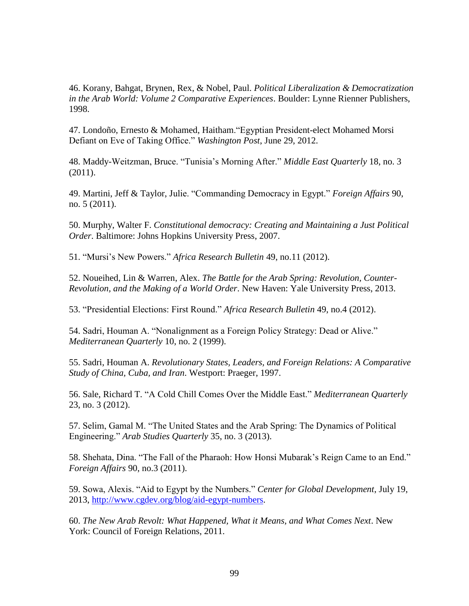46. Korany, Bahgat, Brynen, Rex, & Nobel, Paul. *Political Liberalization & Democratization in the Arab World: Volume 2 Comparative Experiences*. Boulder: Lynne Rienner Publishers, 1998.

47. Londoño, Ernesto & Mohamed, Haitham."Egyptian President-elect Mohamed Morsi Defiant on Eve of Taking Office." *Washington Post*, June 29, 2012.

48. Maddy-Weitzman, Bruce. "Tunisia's Morning After." *Middle East Quarterly* 18, no. 3 (2011).

49. Martini, Jeff & Taylor, Julie. "Commanding Democracy in Egypt." *Foreign Affairs* 90, no. 5 (2011).

50. Murphy, Walter F. *Constitutional democracy: Creating and Maintaining a Just Political Order*. Baltimore: Johns Hopkins University Press, 2007.

51. "Mursi's New Powers." *Africa Research Bulletin* 49, no.11 (2012).

52. Noueihed, Lin & Warren, Alex. *The Battle for the Arab Spring: Revolution, Counter-Revolution, and the Making of a World Order*. New Haven: Yale University Press, 2013.

53. "Presidential Elections: First Round." *Africa Research Bulletin* 49, no.4 (2012).

54. Sadri, Houman A. "Nonalignment as a Foreign Policy Strategy: Dead or Alive." *Mediterranean Quarterly* 10, no. 2 (1999).

55. Sadri, Houman A. *Revolutionary States, Leaders, and Foreign Relations: A Comparative Study of China, Cuba, and Iran*. Westport: Praeger, 1997.

56. Sale, Richard T. "A Cold Chill Comes Over the Middle East." *Mediterranean Quarterly*  23, no. 3 (2012).

57. Selim, Gamal M. "The United States and the Arab Spring: The Dynamics of Political Engineering." *Arab Studies Quarterly* 35, no. 3 (2013).

58. Shehata, Dina. "The Fall of the Pharaoh: How Honsi Mubarak's Reign Came to an End." *Foreign Affairs* 90, no.3 (2011).

59. Sowa, Alexis. "Aid to Egypt by the Numbers." *Center for Global Development*, July 19, 2013, [http://www.cgdev.org/blog/aid-egypt-numbers.](http://www.cgdev.org/blog/aid-egypt-numbers)

60. *The New Arab Revolt: What Happened, What it Means, and What Comes Next*. New York: Council of Foreign Relations, 2011.